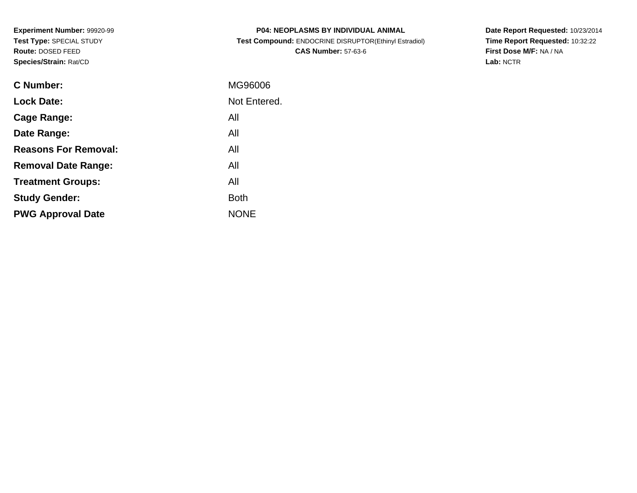**Experiment Number:** 99920-99**Test Type:** SPECIAL STUDY**Route:** DOSED FEED**Species/Strain:** Rat/CD

| <b>P04: NEOPLASMS BY INDIVIDUAL ANIMAL</b>            |
|-------------------------------------------------------|
| Test Compound: ENDOCRINE DISRUPTOR(Ethinyl Estradiol) |
| <b>CAS Number: 57-63-6</b>                            |

**Date Report Requested:** 10/23/2014 **Time Report Requested:** 10:32:22**First Dose M/F:** NA / NA**Lab:** NCTR

| C Number:                   | MG96006      |
|-----------------------------|--------------|
| <b>Lock Date:</b>           | Not Entered. |
| Cage Range:                 | All          |
| Date Range:                 | All          |
| <b>Reasons For Removal:</b> | All          |
| <b>Removal Date Range:</b>  | All          |
| <b>Treatment Groups:</b>    | All          |
| <b>Study Gender:</b>        | <b>Both</b>  |
| <b>PWG Approval Date</b>    | <b>NONE</b>  |
|                             |              |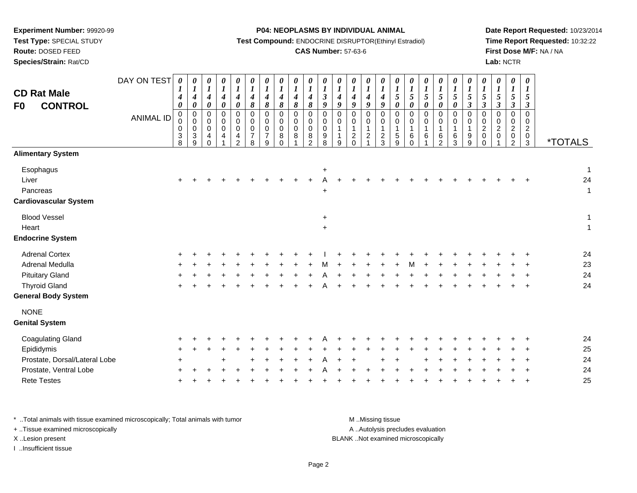**Test Type:** SPECIAL STUDY

# **Route:** DOSED FEED

**Species/Strain:** Rat/CD

#### **P04: NEOPLASMS BY INDIVIDUAL ANIMAL**

**Test Compound:** ENDOCRINE DISRUPTOR(Ethinyl Estradiol)

### **CAS Number:** 57-63-6

**Date Report Requested:** 10/23/2014**Time Report Requested:** 10:32:22**First Dose M/F:** NA / NA**Lab:** NCTR

| <b>CD Rat Male</b><br><b>CONTROL</b><br>F0                                                                               | DAY ON TEST<br><b>ANIMAL ID</b> | 0<br>$\boldsymbol{l}$<br>$\boldsymbol{4}$<br>$\boldsymbol{\theta}$<br>$\mathbf 0$<br>0<br>$\mathbf 0$<br>3<br>8 | 0<br>$\boldsymbol{l}$<br>$\boldsymbol{4}$<br>$\pmb{\theta}$<br>0<br>$\pmb{0}$<br>$\pmb{0}$<br>$\ensuremath{\mathsf{3}}$<br>9 | $\boldsymbol{\theta}$<br>$\boldsymbol{l}$<br>$\boldsymbol{4}$<br>$\pmb{\theta}$<br>$\mathbf 0$<br>0<br>$\mathbf 0$<br>$\overline{4}$<br>$\Omega$ | 0<br>$\boldsymbol{l}$<br>$\boldsymbol{4}$<br>$\boldsymbol{\theta}$<br>$\mathbf 0$<br>0<br>0<br>4 | 0<br>$\boldsymbol{l}$<br>$\boldsymbol{4}$<br>$\boldsymbol{\theta}$<br>0<br>$\boldsymbol{0}$<br>$\mathsf 0$<br>$\frac{4}{2}$ | 0<br>$\boldsymbol{l}$<br>$\boldsymbol{4}$<br>8<br>$\mathbf 0$<br>$\pmb{0}$<br>$\pmb{0}$<br>$\overline{7}$<br>8 | $\frac{\theta}{I}$<br>$\boldsymbol{4}$<br>$\pmb{8}$<br>$\mathbf 0$<br>$\pmb{0}$<br>$\pmb{0}$<br>$\overline{7}$<br>9 | $\frac{\theta}{I}$<br>$\boldsymbol{4}$<br>$\boldsymbol{\delta}$<br>$\mathbf 0$<br>$\pmb{0}$<br>0<br>8<br>$\Omega$ | $\frac{\theta}{I}$<br>$\boldsymbol{4}$<br>$\pmb{8}$<br>0<br>0<br>0<br>8 | $\boldsymbol{\theta}$<br>$\boldsymbol{l}$<br>$\boldsymbol{4}$<br>8<br>$\Omega$<br>0<br>$\mathbf 0$<br>8<br>2 | 0<br>$\boldsymbol{l}$<br>$\boldsymbol{\beta}$<br>9<br>$\Omega$<br>0<br>$\mathbf 0$<br>$\boldsymbol{9}$<br>8 | 0<br>$\boldsymbol{l}$<br>$\boldsymbol{4}$<br>9<br>$\Omega$<br>0<br>-1<br>9 | 0<br>$\boldsymbol{l}$<br>$\boldsymbol{4}$<br>9<br>$\Omega$<br>$\pmb{0}$<br>$\mathbf{1}$<br>$\frac{2}{0}$ | 0<br>$\boldsymbol{l}$<br>$\boldsymbol{4}$<br>9<br>$\mathbf 0$<br>$\pmb{0}$<br>1<br>$\overline{c}$ | $\frac{\theta}{I}$<br>$\boldsymbol{4}$<br>$\boldsymbol{g}$<br>$\Omega$<br>0<br>1<br>$\frac{2}{3}$ | $\frac{\theta}{I}$<br>$\mathfrak{s}$<br>$\pmb{\theta}$<br>0<br>0<br>$\mathbf{1}$<br>$\frac{5}{9}$ | $\boldsymbol{\theta}$<br>$\boldsymbol{l}$<br>$\overline{5}$<br>$\boldsymbol{\theta}$<br>$\mathbf 0$<br>0<br>1<br>6<br>$\Omega$ | 0<br>$\boldsymbol{l}$<br>5<br>$\boldsymbol{\theta}$<br>$\mathbf 0$<br>0<br>1<br>$\,6$ | 0<br>$\boldsymbol{l}$<br>5<br>0<br>0<br>0<br>1<br>6<br>$\overline{2}$ | $\boldsymbol{\theta}$<br>$\boldsymbol{l}$<br>$\mathfrak{s}$<br>$\boldsymbol{\theta}$<br>$\mathbf 0$<br>$\pmb{0}$<br>$\mathbf{1}$<br>$\,6\,$<br>3 | $\begin{matrix} 0 \\ 1 \end{matrix}$<br>5<br>$\mathfrak{z}$<br>$\mathbf 0$<br>$\mathbf 0$<br>1<br>9<br>$\boldsymbol{9}$ | $\frac{\theta}{I}$<br>$5\overline{)}$<br>$\boldsymbol{\beta}$<br>$\Omega$<br>0<br>$\overline{a}$<br>0<br>$\mathbf 0$ | $\frac{\boldsymbol{\theta}}{\boldsymbol{I}}$<br>5<br>$\boldsymbol{\beta}$<br>$\Omega$<br>$\mathbf 0$<br>$\overline{c}$<br>$\,0\,$ | $\boldsymbol{\theta}$<br>$\boldsymbol{l}$<br>5<br>$\boldsymbol{\beta}$<br>$\Omega$<br>0<br>$\sqrt{2}$<br>$\pmb{0}$<br>$\overline{2}$ | 0<br>$\boldsymbol{l}$<br>5<br>$\boldsymbol{\beta}$<br>$\mathbf 0$<br>0<br>$\boldsymbol{2}$<br>$\frac{0}{3}$ | <i><b>*TOTALS</b></i>   |
|--------------------------------------------------------------------------------------------------------------------------|---------------------------------|-----------------------------------------------------------------------------------------------------------------|------------------------------------------------------------------------------------------------------------------------------|--------------------------------------------------------------------------------------------------------------------------------------------------|--------------------------------------------------------------------------------------------------|-----------------------------------------------------------------------------------------------------------------------------|----------------------------------------------------------------------------------------------------------------|---------------------------------------------------------------------------------------------------------------------|-------------------------------------------------------------------------------------------------------------------|-------------------------------------------------------------------------|--------------------------------------------------------------------------------------------------------------|-------------------------------------------------------------------------------------------------------------|----------------------------------------------------------------------------|----------------------------------------------------------------------------------------------------------|---------------------------------------------------------------------------------------------------|---------------------------------------------------------------------------------------------------|---------------------------------------------------------------------------------------------------|--------------------------------------------------------------------------------------------------------------------------------|---------------------------------------------------------------------------------------|-----------------------------------------------------------------------|--------------------------------------------------------------------------------------------------------------------------------------------------|-------------------------------------------------------------------------------------------------------------------------|----------------------------------------------------------------------------------------------------------------------|-----------------------------------------------------------------------------------------------------------------------------------|--------------------------------------------------------------------------------------------------------------------------------------|-------------------------------------------------------------------------------------------------------------|-------------------------|
| <b>Alimentary System</b>                                                                                                 |                                 |                                                                                                                 |                                                                                                                              |                                                                                                                                                  |                                                                                                  |                                                                                                                             |                                                                                                                |                                                                                                                     |                                                                                                                   |                                                                         |                                                                                                              |                                                                                                             |                                                                            |                                                                                                          |                                                                                                   |                                                                                                   |                                                                                                   |                                                                                                                                |                                                                                       |                                                                       |                                                                                                                                                  |                                                                                                                         |                                                                                                                      |                                                                                                                                   |                                                                                                                                      |                                                                                                             |                         |
| Esophagus<br>Liver<br>Pancreas<br><b>Cardiovascular System</b>                                                           |                                 |                                                                                                                 |                                                                                                                              |                                                                                                                                                  |                                                                                                  |                                                                                                                             |                                                                                                                |                                                                                                                     |                                                                                                                   |                                                                         |                                                                                                              | +<br>$\ddot{}$                                                                                              |                                                                            |                                                                                                          |                                                                                                   |                                                                                                   |                                                                                                   |                                                                                                                                |                                                                                       |                                                                       |                                                                                                                                                  |                                                                                                                         |                                                                                                                      |                                                                                                                                   |                                                                                                                                      |                                                                                                             | $\mathbf{1}$<br>24<br>1 |
| <b>Blood Vessel</b><br>Heart                                                                                             |                                 |                                                                                                                 |                                                                                                                              |                                                                                                                                                  |                                                                                                  |                                                                                                                             |                                                                                                                |                                                                                                                     |                                                                                                                   |                                                                         |                                                                                                              | $+$<br>$+$                                                                                                  |                                                                            |                                                                                                          |                                                                                                   |                                                                                                   |                                                                                                   |                                                                                                                                |                                                                                       |                                                                       |                                                                                                                                                  |                                                                                                                         |                                                                                                                      |                                                                                                                                   |                                                                                                                                      |                                                                                                             | 1<br>$\mathbf{1}$       |
| <b>Endocrine System</b>                                                                                                  |                                 |                                                                                                                 |                                                                                                                              |                                                                                                                                                  |                                                                                                  |                                                                                                                             |                                                                                                                |                                                                                                                     |                                                                                                                   |                                                                         |                                                                                                              |                                                                                                             |                                                                            |                                                                                                          |                                                                                                   |                                                                                                   |                                                                                                   |                                                                                                                                |                                                                                       |                                                                       |                                                                                                                                                  |                                                                                                                         |                                                                                                                      |                                                                                                                                   |                                                                                                                                      |                                                                                                             |                         |
| <b>Adrenal Cortex</b><br>Adrenal Medulla<br><b>Pituitary Gland</b><br><b>Thyroid Gland</b><br><b>General Body System</b> |                                 |                                                                                                                 |                                                                                                                              |                                                                                                                                                  |                                                                                                  |                                                                                                                             |                                                                                                                |                                                                                                                     |                                                                                                                   |                                                                         |                                                                                                              |                                                                                                             |                                                                            |                                                                                                          |                                                                                                   |                                                                                                   |                                                                                                   |                                                                                                                                |                                                                                       |                                                                       |                                                                                                                                                  |                                                                                                                         |                                                                                                                      |                                                                                                                                   |                                                                                                                                      | $\ddot{}$                                                                                                   | 24<br>23<br>24<br>24    |
| <b>NONE</b><br><b>Genital System</b>                                                                                     |                                 |                                                                                                                 |                                                                                                                              |                                                                                                                                                  |                                                                                                  |                                                                                                                             |                                                                                                                |                                                                                                                     |                                                                                                                   |                                                                         |                                                                                                              |                                                                                                             |                                                                            |                                                                                                          |                                                                                                   |                                                                                                   |                                                                                                   |                                                                                                                                |                                                                                       |                                                                       |                                                                                                                                                  |                                                                                                                         |                                                                                                                      |                                                                                                                                   |                                                                                                                                      |                                                                                                             |                         |
| <b>Coagulating Gland</b><br>Epididymis<br>Prostate, Dorsal/Lateral Lobe                                                  |                                 |                                                                                                                 |                                                                                                                              |                                                                                                                                                  |                                                                                                  |                                                                                                                             |                                                                                                                |                                                                                                                     |                                                                                                                   |                                                                         |                                                                                                              |                                                                                                             |                                                                            |                                                                                                          |                                                                                                   |                                                                                                   |                                                                                                   |                                                                                                                                |                                                                                       |                                                                       |                                                                                                                                                  |                                                                                                                         |                                                                                                                      |                                                                                                                                   |                                                                                                                                      |                                                                                                             | 24<br>25<br>24          |
| Prostate, Ventral Lobe<br><b>Rete Testes</b>                                                                             |                                 |                                                                                                                 |                                                                                                                              |                                                                                                                                                  |                                                                                                  |                                                                                                                             |                                                                                                                |                                                                                                                     |                                                                                                                   |                                                                         |                                                                                                              |                                                                                                             |                                                                            |                                                                                                          |                                                                                                   |                                                                                                   |                                                                                                   |                                                                                                                                |                                                                                       |                                                                       |                                                                                                                                                  |                                                                                                                         |                                                                                                                      |                                                                                                                                   |                                                                                                                                      | $\overline{\phantom{a}}$                                                                                    | 24<br>25                |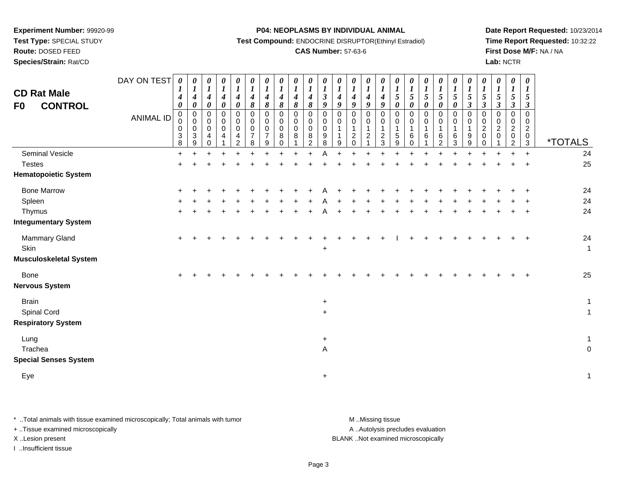**Test Type:** SPECIAL STUDY

# **Route:** DOSED FEED

**Species/Strain:** Rat/CD

#### **P04: NEOPLASMS BY INDIVIDUAL ANIMAL**

**Test Compound:** ENDOCRINE DISRUPTOR(Ethinyl Estradiol)

### **CAS Number:** 57-63-6

**Date Report Requested:** 10/23/2014**Time Report Requested:** 10:32:22**First Dose M/F:** NA / NA**Lab:** NCTR

| <b>CD Rat Male</b><br><b>CONTROL</b><br>F <sub>0</sub>                | DAY ON TEST<br><b>ANIMAL ID</b> | 0<br>$\bm{l}$<br>4<br>0<br>0<br>0<br>0<br>$\sqrt{3}$<br>8 | 0<br>$\boldsymbol{l}$<br>$\boldsymbol{4}$<br>$\boldsymbol{\theta}$<br>$\pmb{0}$<br>$\mathbf 0$<br>$\mathbf 0$<br>$\sqrt{3}$<br>9 | 0<br>$\boldsymbol{l}$<br>$\boldsymbol{4}$<br>$\pmb{\theta}$<br>0<br>0<br>$\mathsf 0$<br>4<br>$\Omega$ | 0<br>$\boldsymbol{l}$<br>$\boldsymbol{4}$<br>$\pmb{\theta}$<br>$\pmb{0}$<br>0<br>$\pmb{0}$<br>4 | 0<br>$\boldsymbol{l}$<br>$\boldsymbol{4}$<br>$\pmb{\theta}$<br>$\pmb{0}$<br>0<br>$\mathbf 0$<br>$\overline{4}$<br>2 | 0<br>$\boldsymbol{l}$<br>$\boldsymbol{4}$<br>8<br>$\pmb{0}$<br>0<br>0<br>$\overline{7}$<br>8 | 0<br>$\boldsymbol{l}$<br>4<br>8<br>$\mathbf 0$<br>0<br>$\mathbf 0$<br>$\overline{7}$<br>9 | 0<br>$\boldsymbol{l}$<br>$\boldsymbol{4}$<br>8<br>$\mathbf 0$<br>$\mathbf 0$<br>$\mathbf 0$<br>8<br>$\Omega$ | $\boldsymbol{\theta}$<br>$\boldsymbol{l}$<br>4<br>$\boldsymbol{\delta}$<br>$\mathbf 0$<br>$\mathbf 0$<br>$\Omega$<br>8 | 0<br>$\boldsymbol{l}$<br>4<br>$\pmb{8}$<br>$\mathbf 0$<br>$\mathbf 0$<br>$\mathbf 0$<br>8<br>2 | 0<br>$\boldsymbol{l}$<br>$\boldsymbol{\beta}$<br>9<br>$\mathbf 0$<br>0<br>$\mathbf 0$<br>9<br>8 | $\pmb{\theta}$<br>$\boldsymbol{l}$<br>$\boldsymbol{4}$<br>9<br>$\mathbf 0$<br>0<br>9 | 0<br>$\boldsymbol{l}$<br>$\boldsymbol{4}$<br>9<br>0<br>$\mathbf 0$<br>$\mathbf{1}$<br>$\overline{c}$<br>$\Omega$ | 0<br>$\boldsymbol{l}$<br>$\boldsymbol{4}$<br>$\boldsymbol{g}$<br>$\,0\,$<br>$\pmb{0}$<br>$\mathbf{1}$<br>$\boldsymbol{2}$ | 0<br>$\boldsymbol{l}$<br>$\boldsymbol{4}$<br>9<br>$\pmb{0}$<br>0<br>$\mathbf{1}$<br>$\overline{2}$<br>3 | 0<br>$\boldsymbol{l}$<br>5<br>$\pmb{\theta}$<br>0<br>0<br>$\mathbf{1}$<br>$\sqrt{5}$<br>9 | 0<br>$\boldsymbol{l}$<br>$\overline{5}$<br>$\boldsymbol{\theta}$<br>$\mathbf 0$<br>$\mathbf 0$<br>$\overline{1}$<br>6<br>$\Omega$ | 0<br>$\boldsymbol{l}$<br>$\sqrt{5}$<br>0<br>0<br>0<br>1<br>6 | 0<br>$\boldsymbol{l}$<br>$\mathfrak{s}$<br>$\boldsymbol{\theta}$<br>$\mathbf 0$<br>$\mathbf 0$<br>1<br>6<br>2 | 0<br>$\boldsymbol{l}$<br>$\mathfrak{s}$<br>0<br>0<br>$\mathbf 0$<br>1<br>6<br>3 | 0<br>$\boldsymbol{l}$<br>$\sqrt{5}$<br>$\boldsymbol{\beta}$<br>$\mathbf 0$<br>0<br>1<br>9<br>9 | 0<br>$\boldsymbol{l}$<br>5<br>$\boldsymbol{\beta}$<br>0<br>0<br>$\overline{c}$<br>$\mathbf 0$<br>0 | 0<br>$\boldsymbol{l}$<br>5<br>$\boldsymbol{\beta}$<br>0<br>0<br>$\overline{c}$<br>$\Omega$ | 0<br>$\boldsymbol{l}$<br>$\sqrt{5}$<br>3<br>0<br>0<br>$\overline{c}$<br>$\mathbf 0$<br>2 | $\boldsymbol{\theta}$<br>$\boldsymbol{l}$<br>5<br>3<br>$\Omega$<br>0<br>$\overline{c}$<br>$\mathbf 0$<br>$\mathbf{3}$ | <i><b>*TOTALS</b></i>        |
|-----------------------------------------------------------------------|---------------------------------|-----------------------------------------------------------|----------------------------------------------------------------------------------------------------------------------------------|-------------------------------------------------------------------------------------------------------|-------------------------------------------------------------------------------------------------|---------------------------------------------------------------------------------------------------------------------|----------------------------------------------------------------------------------------------|-------------------------------------------------------------------------------------------|--------------------------------------------------------------------------------------------------------------|------------------------------------------------------------------------------------------------------------------------|------------------------------------------------------------------------------------------------|-------------------------------------------------------------------------------------------------|--------------------------------------------------------------------------------------|------------------------------------------------------------------------------------------------------------------|---------------------------------------------------------------------------------------------------------------------------|---------------------------------------------------------------------------------------------------------|-------------------------------------------------------------------------------------------|-----------------------------------------------------------------------------------------------------------------------------------|--------------------------------------------------------------|---------------------------------------------------------------------------------------------------------------|---------------------------------------------------------------------------------|------------------------------------------------------------------------------------------------|----------------------------------------------------------------------------------------------------|--------------------------------------------------------------------------------------------|------------------------------------------------------------------------------------------|-----------------------------------------------------------------------------------------------------------------------|------------------------------|
| Seminal Vesicle<br><b>Testes</b>                                      |                                 | $\ddot{}$<br>$\ddot{}$                                    |                                                                                                                                  |                                                                                                       |                                                                                                 |                                                                                                                     |                                                                                              |                                                                                           |                                                                                                              |                                                                                                                        |                                                                                                |                                                                                                 |                                                                                      |                                                                                                                  |                                                                                                                           |                                                                                                         |                                                                                           |                                                                                                                                   |                                                              |                                                                                                               |                                                                                 |                                                                                                |                                                                                                    |                                                                                            |                                                                                          | $\ddot{+}$                                                                                                            | 24<br>25                     |
| <b>Hematopoietic System</b>                                           |                                 |                                                           |                                                                                                                                  |                                                                                                       |                                                                                                 |                                                                                                                     |                                                                                              |                                                                                           |                                                                                                              |                                                                                                                        |                                                                                                |                                                                                                 |                                                                                      |                                                                                                                  |                                                                                                                           |                                                                                                         |                                                                                           |                                                                                                                                   |                                                              |                                                                                                               |                                                                                 |                                                                                                |                                                                                                    |                                                                                            |                                                                                          |                                                                                                                       |                              |
| <b>Bone Marrow</b><br>Spleen<br>Thymus<br><b>Integumentary System</b> |                                 |                                                           |                                                                                                                                  |                                                                                                       |                                                                                                 |                                                                                                                     |                                                                                              |                                                                                           |                                                                                                              |                                                                                                                        |                                                                                                |                                                                                                 |                                                                                      |                                                                                                                  |                                                                                                                           |                                                                                                         |                                                                                           |                                                                                                                                   |                                                              |                                                                                                               |                                                                                 |                                                                                                |                                                                                                    |                                                                                            |                                                                                          |                                                                                                                       | 24<br>24<br>24               |
| Mammary Gland<br>Skin<br><b>Musculoskeletal System</b>                |                                 | $+$                                                       |                                                                                                                                  |                                                                                                       |                                                                                                 |                                                                                                                     |                                                                                              |                                                                                           |                                                                                                              |                                                                                                                        |                                                                                                | $\ddot{}$                                                                                       |                                                                                      |                                                                                                                  |                                                                                                                           |                                                                                                         |                                                                                           |                                                                                                                                   |                                                              | ÷                                                                                                             | +                                                                               | ÷                                                                                              |                                                                                                    |                                                                                            |                                                                                          | $\overline{1}$                                                                                                        | 24<br>$\mathbf{1}$           |
| <b>Bone</b><br><b>Nervous System</b>                                  |                                 | ÷                                                         |                                                                                                                                  |                                                                                                       |                                                                                                 |                                                                                                                     |                                                                                              |                                                                                           |                                                                                                              |                                                                                                                        |                                                                                                |                                                                                                 |                                                                                      |                                                                                                                  |                                                                                                                           |                                                                                                         |                                                                                           |                                                                                                                                   |                                                              |                                                                                                               |                                                                                 |                                                                                                |                                                                                                    |                                                                                            |                                                                                          |                                                                                                                       | 25                           |
| <b>Brain</b><br>Spinal Cord<br><b>Respiratory System</b>              |                                 |                                                           |                                                                                                                                  |                                                                                                       |                                                                                                 |                                                                                                                     |                                                                                              |                                                                                           |                                                                                                              |                                                                                                                        |                                                                                                | $\ddot{}$<br>$\ddot{}$                                                                          |                                                                                      |                                                                                                                  |                                                                                                                           |                                                                                                         |                                                                                           |                                                                                                                                   |                                                              |                                                                                                               |                                                                                 |                                                                                                |                                                                                                    |                                                                                            |                                                                                          |                                                                                                                       | $\mathbf{1}$<br>$\mathbf{1}$ |
| Lung<br>Trachea<br><b>Special Senses System</b>                       |                                 |                                                           |                                                                                                                                  |                                                                                                       |                                                                                                 |                                                                                                                     |                                                                                              |                                                                                           |                                                                                                              |                                                                                                                        |                                                                                                | $\mathbf +$<br>Α                                                                                |                                                                                      |                                                                                                                  |                                                                                                                           |                                                                                                         |                                                                                           |                                                                                                                                   |                                                              |                                                                                                               |                                                                                 |                                                                                                |                                                                                                    |                                                                                            |                                                                                          |                                                                                                                       | $\mathbf{1}$<br>$\mathbf 0$  |
| Eye                                                                   |                                 |                                                           |                                                                                                                                  |                                                                                                       |                                                                                                 |                                                                                                                     |                                                                                              |                                                                                           |                                                                                                              |                                                                                                                        |                                                                                                | $\ddot{}$                                                                                       |                                                                                      |                                                                                                                  |                                                                                                                           |                                                                                                         |                                                                                           |                                                                                                                                   |                                                              |                                                                                                               |                                                                                 |                                                                                                |                                                                                                    |                                                                                            |                                                                                          |                                                                                                                       | $\mathbf{1}$                 |

\* ..Total animals with tissue examined microscopically; Total animals with tumor **M** . Missing tissue M ..Missing tissue

+ ..Tissue examined microscopically

I ..Insufficient tissue

A ..Autolysis precludes evaluation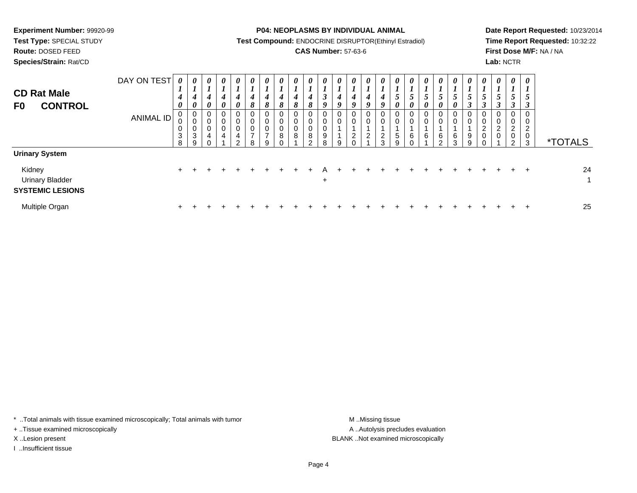**Test Type:** SPECIAL STUDY

**Route:** DOSED FEED

**Species/Strain:** Rat/CD

**P04: NEOPLASMS BY INDIVIDUAL ANIMAL**

**Test Compound:** ENDOCRINE DISRUPTOR(Ethinyl Estradiol)

### **CAS Number:** 57-63-6

**Date Report Requested:** 10/23/2014**Time Report Requested:** 10:32:22**First Dose M/F:** NA / NA**Lab:** NCTR

| <b>CD Rat Male</b><br><b>CONTROL</b><br>F <sub>0</sub>                               | DAY ON TEST<br><b>ANIMAL ID</b> | 0<br>$\mathbf{I}$<br>$\boldsymbol{4}$<br>0<br>$\mathbf 0$<br>0<br>$\pmb{0}$<br>$\ensuremath{\mathsf{3}}$<br>8 | $\boldsymbol{\theta}$<br>$\mathbf{I}$<br>4<br>$\boldsymbol{\theta}$<br>0<br>0<br>0<br>$\sqrt{3}$<br>9 | $\boldsymbol{\theta}$<br>1<br>4<br>$\boldsymbol{\theta}$<br>0<br>0<br>$\mathbf 0$<br>4 | 0<br>4<br>0<br>0<br>0<br>0<br>4 | $\boldsymbol{\theta}$<br>L<br>4<br>$\boldsymbol{\theta}$<br>0<br>0<br>0<br>4<br>ົ | $\boldsymbol{\theta}$<br>$\overline{ }$<br>4<br>8<br>0<br>0<br>$\mathbf 0$<br>$\overline{ }$<br>8 | $\boldsymbol{\theta}$<br>x.<br>4<br>$\pmb{8}$<br>0<br>$\mathbf 0$<br>0<br>$\overline{ }$<br>9 | 0<br>4<br>8<br>0<br>0<br>0<br>8 | 0<br>$\overline{ }$<br>4<br>8<br>0<br>$\pmb{0}$<br>$\mathsf 0$<br>$\bf{8}$ | $\boldsymbol{\theta}$<br>┻<br>$\boldsymbol{4}$<br>8<br>U<br>$\mathbf 0$<br>0<br>$\bf8$<br>$\sim$ | 0<br>L<br>$\boldsymbol{\beta}$<br>$\boldsymbol{0}$<br>0<br>0<br>0<br>9<br>$\mathsf{R}$ | $\boldsymbol{\theta}$<br>$\overline{ }$<br>4<br>9<br>0<br>0<br>9 | $\boldsymbol{\theta}$<br>4<br>9<br>0<br>$\mathbf 0$<br>$\overline{2}$ | 0<br>4<br>O<br>0<br>0<br>$\mathcal{D}$<br>▵ | 0<br>4<br>9<br>0<br>0<br>$\overline{c}$<br>3 | $\theta$<br>$\mathbf{I}$<br>$5\overline{)}$<br>0<br>0<br>$\mathbf 0$<br>$\,$ 5 $\,$<br>9 | $\boldsymbol{\theta}$<br>$\mathbf{I}$<br>$\overline{5}$<br>0<br>U<br>0<br>$\,6\,$ | 0<br>$\overline{ }$<br>0<br>0<br>0<br>6 | $\boldsymbol{\theta}$<br>$\mathbf{I}$<br>5<br>0<br>0<br>0<br>6<br><sup>o</sup> | 0<br>$\boldsymbol{l}$<br>$\mathfrak{s}$<br>$\boldsymbol{\theta}$<br>U<br>$\mathbf 0$<br>$\,6$<br>3 | 0<br>$\mathfrak{S}$<br>$\rightarrow$<br>0<br>$\pmb{0}$<br>9<br>9 | $\boldsymbol{\theta}$<br>$\overline{1}$<br>$\overline{5}$<br>0<br>$\pmb{0}$<br>$\sqrt{2}$<br>$\pmb{0}$ | 0<br>$\mathbf{c}$<br>0<br>0<br>$\overline{c}$<br>$\mathbf 0$ | 0<br>C<br>0<br>0<br>ົ<br>∠<br>0<br>C | $\boldsymbol{\theta}$<br>x.<br>$\overline{5}$<br>$\rightarrow$<br>0<br>0<br>$\overline{2}$<br>$\mathbf 0$<br>3 | <i><b>*TOTALS</b></i> |
|--------------------------------------------------------------------------------------|---------------------------------|---------------------------------------------------------------------------------------------------------------|-------------------------------------------------------------------------------------------------------|----------------------------------------------------------------------------------------|---------------------------------|-----------------------------------------------------------------------------------|---------------------------------------------------------------------------------------------------|-----------------------------------------------------------------------------------------------|---------------------------------|----------------------------------------------------------------------------|--------------------------------------------------------------------------------------------------|----------------------------------------------------------------------------------------|------------------------------------------------------------------|-----------------------------------------------------------------------|---------------------------------------------|----------------------------------------------|------------------------------------------------------------------------------------------|-----------------------------------------------------------------------------------|-----------------------------------------|--------------------------------------------------------------------------------|----------------------------------------------------------------------------------------------------|------------------------------------------------------------------|--------------------------------------------------------------------------------------------------------|--------------------------------------------------------------|--------------------------------------|----------------------------------------------------------------------------------------------------------------|-----------------------|
| <b>Urinary System</b><br>Kidney<br><b>Urinary Bladder</b><br><b>SYSTEMIC LESIONS</b> |                                 | $\pm$                                                                                                         |                                                                                                       |                                                                                        |                                 |                                                                                   |                                                                                                   |                                                                                               |                                 |                                                                            |                                                                                                  | $+$                                                                                    |                                                                  |                                                                       |                                             |                                              |                                                                                          |                                                                                   |                                         |                                                                                |                                                                                                    |                                                                  |                                                                                                        |                                                              |                                      | ÷                                                                                                              | 24                    |
| Multiple Organ                                                                       |                                 | $\pm$                                                                                                         |                                                                                                       |                                                                                        |                                 |                                                                                   |                                                                                                   |                                                                                               |                                 |                                                                            |                                                                                                  |                                                                                        |                                                                  |                                                                       |                                             |                                              |                                                                                          |                                                                                   |                                         |                                                                                |                                                                                                    |                                                                  |                                                                                                        |                                                              |                                      | $\div$                                                                                                         | 25                    |

\* ..Total animals with tissue examined microscopically; Total animals with tumor **M** . Missing tissue M ..Missing tissue

+ ..Tissue examined microscopically

I ..Insufficient tissue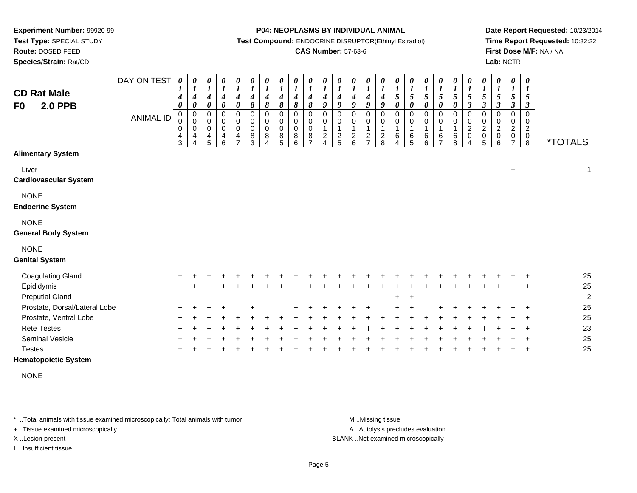**Route:** DOSED FEED

**Species/Strain:** Rat/CD

#### **P04: NEOPLASMS BY INDIVIDUAL ANIMAL**

**Test Compound:** ENDOCRINE DISRUPTOR(Ethinyl Estradiol)

### **CAS Number:** 57-63-6

**Date Report Requested:** 10/23/2014**Time Report Requested:** 10:32:22**First Dose M/F:** NA / NA**Lab:** NCTR

| <b>CD Rat Male</b><br><b>2.0 PPB</b><br>F0 | DAY ON TEST<br><b>ANIMAL ID</b> | 0<br>1<br>4<br>0<br>$\pmb{0}$<br>0<br>0<br>$\overline{4}$<br>3 | 0<br>$\boldsymbol{l}$<br>$\boldsymbol{4}$<br>$\boldsymbol{\theta}$<br>$\,0\,$<br>$\mathbf 0$<br>0<br>4<br>4 | 0<br>$\boldsymbol{l}$<br>$\boldsymbol{4}$<br>0<br>0<br>0<br>$\,0\,$<br>$\overline{4}$<br>5 | $\boldsymbol{\theta}$<br>$\boldsymbol{l}$<br>4<br>$\boldsymbol{\theta}$<br>$\mathbf 0$<br>0<br>$\mathbf 0$<br>$\overline{4}$<br>$6\phantom{1}6$ | 0<br>$\boldsymbol{l}$<br>$\boldsymbol{4}$<br>$\boldsymbol{\theta}$<br>0<br>0<br>$\pmb{0}$<br>4<br>$\overline{ }$ | $\pmb{\theta}$<br>$\boldsymbol{l}$<br>$\boldsymbol{4}$<br>8<br>$\mathbf 0$<br>0<br>$\pmb{0}$<br>$^8_3$ | $\boldsymbol{\theta}$<br>$\boldsymbol{l}$<br>4<br>8<br>$\pmb{0}$<br>$\pmb{0}$<br>$\pmb{0}$<br>8<br>4 | $\pmb{\theta}$<br>$\boldsymbol{l}$<br>$\boldsymbol{4}$<br>8<br>$\,0\,$<br>$\pmb{0}$<br>$\pmb{0}$<br>8<br>5 | $\pmb{\theta}$<br>$\boldsymbol{l}$<br>4<br>8<br>$\,0\,$<br>$\pmb{0}$<br>$\pmb{0}$<br>8<br>6 | 0<br>$\boldsymbol{l}$<br>4<br>8<br>0<br>0<br>0<br>8<br>$\overline{ }$ | $\pmb{\theta}$<br>$\boldsymbol{l}$<br>4<br>9<br>$\mathbf 0$<br>0<br>$\overline{c}$<br>Λ | $\pmb{\theta}$<br>$\boldsymbol{l}$<br>4<br>9<br>0<br>0<br>$\overline{a}$<br>5 | 0<br>$\boldsymbol{l}$<br>$\boldsymbol{4}$<br>9<br>0<br>0<br>$\frac{2}{6}$ | $\pmb{\theta}$<br>$\boldsymbol{l}$<br>$\boldsymbol{4}$<br>9<br>0<br>0<br>$\mathbf{1}$<br>$\overline{c}$<br>$\overline{ }$ | $\pmb{\theta}$<br>$\boldsymbol{l}$<br>$\boldsymbol{4}$<br>9<br>$\pmb{0}$<br>$\,0\,$<br>$\mathbf 1$<br>$_{\rm 8}^2$ | $\boldsymbol{\theta}$<br>$\boldsymbol{l}$<br>$\overline{5}$<br>$\boldsymbol{\theta}$<br>$\mathbf 0$<br>$\pmb{0}$<br>$\mathbf{1}$<br>6<br>4 | 0<br>$\boldsymbol{l}$<br>$\sqrt{5}$<br>0<br>$\pmb{0}$<br>0<br>1<br>6<br>5 | $\boldsymbol{\theta}$<br>$\boldsymbol{l}$<br>$\sqrt{5}$<br>$\boldsymbol{\theta}$<br>$\pmb{0}$<br>0<br>6<br>6 | $\pmb{\theta}$<br>$\boldsymbol{l}$<br>5<br>$\boldsymbol{\theta}$<br>0<br>0<br>$\,6$<br>$\overline{ }$ | $\pmb{\theta}$<br>$\boldsymbol{l}$<br>5<br>0<br>0<br>0<br>6<br>8 | $\boldsymbol{\theta}$<br>$\boldsymbol{l}$<br>$\mathfrak{s}$<br>$\boldsymbol{\beta}$<br>$\,0\,$<br>$\pmb{0}$<br>$\boldsymbol{2}$<br>$\,0\,$<br>4 | 0<br>$\boldsymbol{l}$<br>5<br>3<br>0<br>0<br>$\boldsymbol{2}$<br>0<br>5 | 0<br>$\boldsymbol{l}$<br>$\mathfrak{s}$<br>3<br>$\mathbf 0$<br>0<br>$\overline{c}$<br>0<br>6 | 0<br>$\boldsymbol{l}$<br>5<br>3<br>0<br>0<br>$\overline{c}$ | $\pmb{\theta}$<br>1<br>5<br>3<br>$\mathbf 0$<br>0<br>$\overline{c}$<br>$_{\rm 8}^{\rm 0}$ | <i><b>*TOTALS</b></i> |
|--------------------------------------------|---------------------------------|----------------------------------------------------------------|-------------------------------------------------------------------------------------------------------------|--------------------------------------------------------------------------------------------|-------------------------------------------------------------------------------------------------------------------------------------------------|------------------------------------------------------------------------------------------------------------------|--------------------------------------------------------------------------------------------------------|------------------------------------------------------------------------------------------------------|------------------------------------------------------------------------------------------------------------|---------------------------------------------------------------------------------------------|-----------------------------------------------------------------------|-----------------------------------------------------------------------------------------|-------------------------------------------------------------------------------|---------------------------------------------------------------------------|---------------------------------------------------------------------------------------------------------------------------|--------------------------------------------------------------------------------------------------------------------|--------------------------------------------------------------------------------------------------------------------------------------------|---------------------------------------------------------------------------|--------------------------------------------------------------------------------------------------------------|-------------------------------------------------------------------------------------------------------|------------------------------------------------------------------|-------------------------------------------------------------------------------------------------------------------------------------------------|-------------------------------------------------------------------------|----------------------------------------------------------------------------------------------|-------------------------------------------------------------|-------------------------------------------------------------------------------------------|-----------------------|
| <b>Alimentary System</b>                   |                                 |                                                                |                                                                                                             |                                                                                            |                                                                                                                                                 |                                                                                                                  |                                                                                                        |                                                                                                      |                                                                                                            |                                                                                             |                                                                       |                                                                                         |                                                                               |                                                                           |                                                                                                                           |                                                                                                                    |                                                                                                                                            |                                                                           |                                                                                                              |                                                                                                       |                                                                  |                                                                                                                                                 |                                                                         |                                                                                              |                                                             |                                                                                           |                       |
| Liver<br><b>Cardiovascular System</b>      |                                 |                                                                |                                                                                                             |                                                                                            |                                                                                                                                                 |                                                                                                                  |                                                                                                        |                                                                                                      |                                                                                                            |                                                                                             |                                                                       |                                                                                         |                                                                               |                                                                           |                                                                                                                           |                                                                                                                    |                                                                                                                                            |                                                                           |                                                                                                              |                                                                                                       |                                                                  |                                                                                                                                                 |                                                                         |                                                                                              | $\ddot{}$                                                   |                                                                                           | 1                     |
| <b>NONE</b><br><b>Endocrine System</b>     |                                 |                                                                |                                                                                                             |                                                                                            |                                                                                                                                                 |                                                                                                                  |                                                                                                        |                                                                                                      |                                                                                                            |                                                                                             |                                                                       |                                                                                         |                                                                               |                                                                           |                                                                                                                           |                                                                                                                    |                                                                                                                                            |                                                                           |                                                                                                              |                                                                                                       |                                                                  |                                                                                                                                                 |                                                                         |                                                                                              |                                                             |                                                                                           |                       |
| <b>NONE</b><br><b>General Body System</b>  |                                 |                                                                |                                                                                                             |                                                                                            |                                                                                                                                                 |                                                                                                                  |                                                                                                        |                                                                                                      |                                                                                                            |                                                                                             |                                                                       |                                                                                         |                                                                               |                                                                           |                                                                                                                           |                                                                                                                    |                                                                                                                                            |                                                                           |                                                                                                              |                                                                                                       |                                                                  |                                                                                                                                                 |                                                                         |                                                                                              |                                                             |                                                                                           |                       |
| <b>NONE</b><br><b>Genital System</b>       |                                 |                                                                |                                                                                                             |                                                                                            |                                                                                                                                                 |                                                                                                                  |                                                                                                        |                                                                                                      |                                                                                                            |                                                                                             |                                                                       |                                                                                         |                                                                               |                                                                           |                                                                                                                           |                                                                                                                    |                                                                                                                                            |                                                                           |                                                                                                              |                                                                                                       |                                                                  |                                                                                                                                                 |                                                                         |                                                                                              |                                                             |                                                                                           |                       |
| <b>Coagulating Gland</b>                   |                                 |                                                                |                                                                                                             |                                                                                            |                                                                                                                                                 |                                                                                                                  |                                                                                                        |                                                                                                      |                                                                                                            |                                                                                             |                                                                       |                                                                                         |                                                                               |                                                                           |                                                                                                                           |                                                                                                                    |                                                                                                                                            |                                                                           |                                                                                                              |                                                                                                       |                                                                  |                                                                                                                                                 |                                                                         |                                                                                              |                                                             |                                                                                           | 25                    |
| Epididymis                                 |                                 | $\pm$                                                          |                                                                                                             |                                                                                            |                                                                                                                                                 |                                                                                                                  |                                                                                                        |                                                                                                      |                                                                                                            |                                                                                             |                                                                       |                                                                                         |                                                                               |                                                                           |                                                                                                                           |                                                                                                                    |                                                                                                                                            |                                                                           |                                                                                                              |                                                                                                       |                                                                  |                                                                                                                                                 |                                                                         |                                                                                              |                                                             | $\div$                                                                                    | 25                    |
| <b>Preputial Gland</b>                     |                                 |                                                                |                                                                                                             |                                                                                            |                                                                                                                                                 |                                                                                                                  |                                                                                                        |                                                                                                      |                                                                                                            |                                                                                             |                                                                       |                                                                                         |                                                                               |                                                                           |                                                                                                                           |                                                                                                                    |                                                                                                                                            |                                                                           |                                                                                                              |                                                                                                       |                                                                  |                                                                                                                                                 |                                                                         |                                                                                              |                                                             |                                                                                           | $\overline{2}$        |
| Prostate, Dorsal/Lateral Lobe              |                                 |                                                                |                                                                                                             |                                                                                            |                                                                                                                                                 |                                                                                                                  |                                                                                                        |                                                                                                      |                                                                                                            |                                                                                             |                                                                       |                                                                                         |                                                                               |                                                                           |                                                                                                                           |                                                                                                                    |                                                                                                                                            |                                                                           |                                                                                                              |                                                                                                       |                                                                  |                                                                                                                                                 |                                                                         |                                                                                              |                                                             |                                                                                           | 25                    |
| Prostate, Ventral Lobe                     |                                 |                                                                |                                                                                                             |                                                                                            |                                                                                                                                                 |                                                                                                                  |                                                                                                        |                                                                                                      |                                                                                                            |                                                                                             |                                                                       |                                                                                         |                                                                               |                                                                           |                                                                                                                           |                                                                                                                    |                                                                                                                                            |                                                                           |                                                                                                              |                                                                                                       |                                                                  |                                                                                                                                                 |                                                                         |                                                                                              |                                                             |                                                                                           | 25                    |
| <b>Rete Testes</b>                         |                                 |                                                                |                                                                                                             |                                                                                            |                                                                                                                                                 |                                                                                                                  |                                                                                                        |                                                                                                      |                                                                                                            |                                                                                             |                                                                       |                                                                                         |                                                                               |                                                                           |                                                                                                                           |                                                                                                                    |                                                                                                                                            |                                                                           |                                                                                                              |                                                                                                       |                                                                  |                                                                                                                                                 |                                                                         |                                                                                              |                                                             |                                                                                           | 23                    |
| <b>Seminal Vesicle</b><br><b>Testes</b>    |                                 |                                                                |                                                                                                             |                                                                                            |                                                                                                                                                 |                                                                                                                  |                                                                                                        |                                                                                                      |                                                                                                            |                                                                                             |                                                                       |                                                                                         |                                                                               |                                                                           |                                                                                                                           |                                                                                                                    |                                                                                                                                            |                                                                           |                                                                                                              |                                                                                                       |                                                                  |                                                                                                                                                 |                                                                         |                                                                                              |                                                             |                                                                                           | 25<br>25              |
|                                            |                                 |                                                                |                                                                                                             |                                                                                            |                                                                                                                                                 |                                                                                                                  |                                                                                                        |                                                                                                      |                                                                                                            |                                                                                             |                                                                       |                                                                                         |                                                                               |                                                                           |                                                                                                                           |                                                                                                                    |                                                                                                                                            |                                                                           |                                                                                                              |                                                                                                       |                                                                  |                                                                                                                                                 |                                                                         |                                                                                              |                                                             |                                                                                           |                       |

**Hematopoietic System**

NONE

\* ..Total animals with tissue examined microscopically; Total animals with tumor **M** . Missing tissue M ..Missing tissue

+ ..Tissue examined microscopically

I ..Insufficient tissue

A ..Autolysis precludes evaluation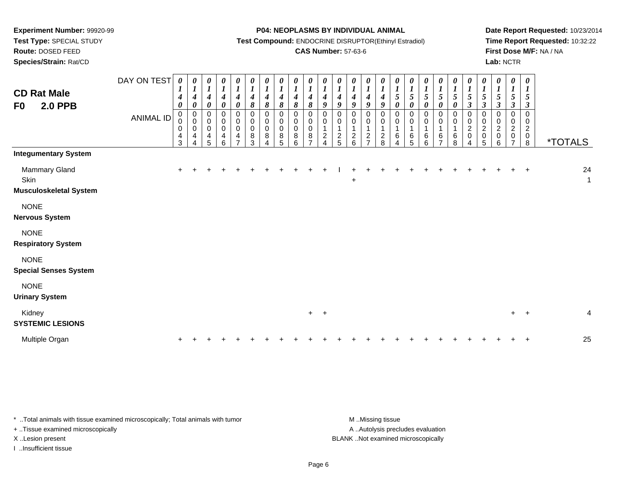**Route:** DOSED FEED

**Species/Strain:** Rat/CD

#### **P04: NEOPLASMS BY INDIVIDUAL ANIMAL**

**Test Compound:** ENDOCRINE DISRUPTOR(Ethinyl Estradiol)

### **CAS Number:** 57-63-6

**Date Report Requested:** 10/23/2014**Time Report Requested:** 10:32:22**First Dose M/F:** NA / NA**Lab:** NCTR

| <b>CD Rat Male</b><br><b>2.0 PPB</b><br>F0             | DAY ON TEST<br><b>ANIMAL ID</b> | $\boldsymbol{\theta}$<br>$\boldsymbol{4}$<br>0<br>$\pmb{0}$<br>0<br>0<br>4<br>3 | 0<br>$\boldsymbol{l}$<br>$\boldsymbol{4}$<br>$\boldsymbol{\theta}$<br>$\boldsymbol{0}$<br>$\mathbf 0$<br>0<br>4<br>4 | 0<br>$\boldsymbol{l}$<br>$\boldsymbol{4}$<br>$\pmb{\theta}$<br>0<br>$\pmb{0}$<br>$\pmb{0}$<br>$\overline{4}$<br>5 | $\boldsymbol{\theta}$<br>$\boldsymbol{l}$<br>$\boldsymbol{4}$<br>$\boldsymbol{\theta}$<br>0<br>$\pmb{0}$<br>$\mathbf 0$<br>$\overline{4}$<br>6 | 0<br>$\boldsymbol{l}$<br>$\boldsymbol{4}$<br>$\pmb{\theta}$<br>0<br>$\pmb{0}$<br>$\pmb{0}$<br>4<br>$\overline{ }$ | 0<br>$\boldsymbol{l}$<br>$\boldsymbol{4}$<br>8<br>0<br>$\pmb{0}$<br>$\pmb{0}$<br>$\frac{8}{3}$ | 0<br>$\boldsymbol{l}$<br>$\boldsymbol{4}$<br>$\pmb{8}$<br>$\mathbf 0$<br>$\pmb{0}$<br>$\pmb{0}$<br>$\,8\,$<br>$\lambda$ | 0<br>$\boldsymbol{l}$<br>$\boldsymbol{4}$<br>8<br>0<br>$\pmb{0}$<br>$\pmb{0}$<br>$\bf 8$<br>5 | 0<br>$\boldsymbol{l}$<br>4<br>8<br>0<br>$\pmb{0}$<br>$\pmb{0}$<br>8<br>6 | 0<br>$\boldsymbol{l}$<br>4<br>$\pmb{8}$<br>0<br>0<br>$\bar{0}$<br>$\bf 8$<br>$\overline{7}$ | $\boldsymbol{\theta}$<br>4<br>9<br>0<br>$\mathbf 0$<br>$\overline{c}$<br>4 | 0<br>$\boldsymbol{l}$<br>$\boldsymbol{4}$<br>9<br>0<br>$\mathbf 0$<br>$\mathbf{1}$<br>$\frac{2}{5}$ | 0<br>$\boldsymbol{l}$<br>$\boldsymbol{4}$<br>9<br>0<br>$\pmb{0}$<br>1<br>$\begin{array}{c} 2 \\ 6 \end{array}$ | $\boldsymbol{\theta}$<br>$\boldsymbol{l}$<br>$\boldsymbol{4}$<br>9<br>0<br>$\pmb{0}$<br>$\mathbf{1}$<br>$\frac{2}{7}$ | 0<br>$\boldsymbol{l}$<br>$\boldsymbol{4}$<br>9<br>0<br>$\pmb{0}$<br>$\mathbf 1$<br>$\frac{2}{8}$ | 0<br>$\boldsymbol{l}$<br>$\sqrt{5}$<br>$\pmb{\theta}$<br>0<br>$\pmb{0}$<br>$\mathbf{1}$<br>$\,6$<br>$\boldsymbol{\Lambda}$ | 5<br>$\boldsymbol{\theta}$<br>0<br>0<br>1<br>6<br>5 | $\boldsymbol{\theta}$<br>$\mathfrak{s}$<br>$\boldsymbol{\theta}$<br>0<br>0<br>$\,6\,$<br>6 | 0<br>$\boldsymbol{l}$<br>5<br>$\pmb{\theta}$<br>0<br>$\pmb{0}$<br>$\,6$<br>$\overline{ }$ | 0<br>$\boldsymbol{l}$<br>5<br>$\pmb{\theta}$<br>0<br>$\pmb{0}$<br>$\mathbf 1$<br>$\,6\,$<br>8 | 0<br>$\boldsymbol{l}$<br>$\mathfrak{s}$<br>$\boldsymbol{\beta}$<br>0<br>$\begin{smallmatrix} 0\\2 \end{smallmatrix}$<br>$\pmb{0}$<br>4 | 0<br>$\boldsymbol{l}$<br>5<br>$\boldsymbol{\beta}$<br>0<br>0<br>$\overline{c}$<br>$\pmb{0}$<br>5 | 0<br>$\boldsymbol{l}$<br>5<br>$\boldsymbol{\beta}$<br>0<br>0<br>$\overline{c}$<br>0<br>6 | 0<br>1<br>5<br>$\boldsymbol{\beta}$<br>$\mathbf 0$<br>0<br>$\sqrt{2}$<br>0<br>$\overline{7}$ | $\pmb{\theta}$<br>5<br>$\boldsymbol{\beta}$<br>$\pmb{0}$<br>$\mathbf 0$<br>$\overline{c}$<br>$_{\rm 8}^{\rm 0}$ | <i><b>*TOTALS</b></i> |
|--------------------------------------------------------|---------------------------------|---------------------------------------------------------------------------------|----------------------------------------------------------------------------------------------------------------------|-------------------------------------------------------------------------------------------------------------------|------------------------------------------------------------------------------------------------------------------------------------------------|-------------------------------------------------------------------------------------------------------------------|------------------------------------------------------------------------------------------------|-------------------------------------------------------------------------------------------------------------------------|-----------------------------------------------------------------------------------------------|--------------------------------------------------------------------------|---------------------------------------------------------------------------------------------|----------------------------------------------------------------------------|-----------------------------------------------------------------------------------------------------|----------------------------------------------------------------------------------------------------------------|-----------------------------------------------------------------------------------------------------------------------|--------------------------------------------------------------------------------------------------|----------------------------------------------------------------------------------------------------------------------------|-----------------------------------------------------|--------------------------------------------------------------------------------------------|-------------------------------------------------------------------------------------------|-----------------------------------------------------------------------------------------------|----------------------------------------------------------------------------------------------------------------------------------------|--------------------------------------------------------------------------------------------------|------------------------------------------------------------------------------------------|----------------------------------------------------------------------------------------------|-----------------------------------------------------------------------------------------------------------------|-----------------------|
| <b>Integumentary System</b>                            |                                 |                                                                                 |                                                                                                                      |                                                                                                                   |                                                                                                                                                |                                                                                                                   |                                                                                                |                                                                                                                         |                                                                                               |                                                                          |                                                                                             |                                                                            |                                                                                                     |                                                                                                                |                                                                                                                       |                                                                                                  |                                                                                                                            |                                                     |                                                                                            |                                                                                           |                                                                                               |                                                                                                                                        |                                                                                                  |                                                                                          |                                                                                              |                                                                                                                 |                       |
| Mammary Gland<br>Skin<br><b>Musculoskeletal System</b> |                                 |                                                                                 |                                                                                                                      |                                                                                                                   |                                                                                                                                                |                                                                                                                   |                                                                                                |                                                                                                                         |                                                                                               |                                                                          |                                                                                             |                                                                            |                                                                                                     | $\pm$                                                                                                          |                                                                                                                       |                                                                                                  |                                                                                                                            |                                                     |                                                                                            |                                                                                           |                                                                                               |                                                                                                                                        |                                                                                                  |                                                                                          |                                                                                              | $\ddot{}$                                                                                                       | 24<br>$\mathbf{1}$    |
| <b>NONE</b><br><b>Nervous System</b>                   |                                 |                                                                                 |                                                                                                                      |                                                                                                                   |                                                                                                                                                |                                                                                                                   |                                                                                                |                                                                                                                         |                                                                                               |                                                                          |                                                                                             |                                                                            |                                                                                                     |                                                                                                                |                                                                                                                       |                                                                                                  |                                                                                                                            |                                                     |                                                                                            |                                                                                           |                                                                                               |                                                                                                                                        |                                                                                                  |                                                                                          |                                                                                              |                                                                                                                 |                       |
| <b>NONE</b><br><b>Respiratory System</b>               |                                 |                                                                                 |                                                                                                                      |                                                                                                                   |                                                                                                                                                |                                                                                                                   |                                                                                                |                                                                                                                         |                                                                                               |                                                                          |                                                                                             |                                                                            |                                                                                                     |                                                                                                                |                                                                                                                       |                                                                                                  |                                                                                                                            |                                                     |                                                                                            |                                                                                           |                                                                                               |                                                                                                                                        |                                                                                                  |                                                                                          |                                                                                              |                                                                                                                 |                       |
| <b>NONE</b><br><b>Special Senses System</b>            |                                 |                                                                                 |                                                                                                                      |                                                                                                                   |                                                                                                                                                |                                                                                                                   |                                                                                                |                                                                                                                         |                                                                                               |                                                                          |                                                                                             |                                                                            |                                                                                                     |                                                                                                                |                                                                                                                       |                                                                                                  |                                                                                                                            |                                                     |                                                                                            |                                                                                           |                                                                                               |                                                                                                                                        |                                                                                                  |                                                                                          |                                                                                              |                                                                                                                 |                       |
| <b>NONE</b><br><b>Urinary System</b>                   |                                 |                                                                                 |                                                                                                                      |                                                                                                                   |                                                                                                                                                |                                                                                                                   |                                                                                                |                                                                                                                         |                                                                                               |                                                                          |                                                                                             |                                                                            |                                                                                                     |                                                                                                                |                                                                                                                       |                                                                                                  |                                                                                                                            |                                                     |                                                                                            |                                                                                           |                                                                                               |                                                                                                                                        |                                                                                                  |                                                                                          |                                                                                              |                                                                                                                 |                       |
| Kidney<br><b>SYSTEMIC LESIONS</b>                      |                                 |                                                                                 |                                                                                                                      |                                                                                                                   |                                                                                                                                                |                                                                                                                   |                                                                                                |                                                                                                                         |                                                                                               |                                                                          |                                                                                             | $+$ $+$                                                                    |                                                                                                     |                                                                                                                |                                                                                                                       |                                                                                                  |                                                                                                                            |                                                     |                                                                                            |                                                                                           |                                                                                               |                                                                                                                                        |                                                                                                  |                                                                                          | $+$                                                                                          | $\overline{+}$                                                                                                  | $\overline{4}$        |
| Multiple Organ                                         |                                 |                                                                                 |                                                                                                                      |                                                                                                                   |                                                                                                                                                |                                                                                                                   |                                                                                                |                                                                                                                         |                                                                                               |                                                                          |                                                                                             |                                                                            |                                                                                                     |                                                                                                                |                                                                                                                       |                                                                                                  |                                                                                                                            |                                                     |                                                                                            |                                                                                           |                                                                                               |                                                                                                                                        |                                                                                                  |                                                                                          |                                                                                              |                                                                                                                 | 25                    |

\* ..Total animals with tissue examined microscopically; Total animals with tumor **M** . Missing tissue M ..Missing tissue + ..Tissue examined microscopically X ..Lesion present BLANK ..Not examined microscopically

I ..Insufficient tissue

A ..Autolysis precludes evaluation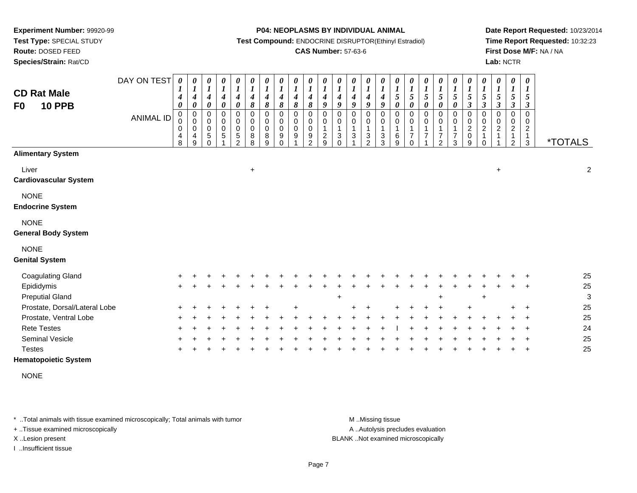**Route:** DOSED FEED

**Species/Strain:** Rat/CD

#### **P04: NEOPLASMS BY INDIVIDUAL ANIMAL**

**Test Compound:** ENDOCRINE DISRUPTOR(Ethinyl Estradiol)

### **CAS Number:** 57-63-6

**Date Report Requested:** 10/23/2014**Time Report Requested:** 10:32:23**First Dose M/F:** NA / NA**Lab:** NCTR

| <b>CD Rat Male</b><br><b>10 PPB</b><br>F <sub>0</sub>             | DAY ON TEST<br><b>ANIMAL ID</b> | $\boldsymbol{\theta}$<br>4<br>0<br>$_{\rm 0}^{\rm 0}$<br>0<br>4<br>8 | 0<br>$\boldsymbol{l}$<br>4<br>$\boldsymbol{\theta}$<br>$\mathbf 0$<br>0<br>0<br>4<br>9 | 0<br>$\boldsymbol{l}$<br>$\overline{\mathcal{A}}$<br>0<br>$\mathbf 0$<br>0<br>$\pmb{0}$<br>5 | $\boldsymbol{\theta}$<br>$\boldsymbol{l}$<br>$\boldsymbol{4}$<br>$\boldsymbol{\theta}$<br>0<br>$\mathbf 0$<br>$\pmb{0}$<br>$\sqrt{5}$ | $\frac{\boldsymbol{\theta}}{\boldsymbol{I}}$<br>$\boldsymbol{4}$<br>$\boldsymbol{\theta}$<br>0<br>0<br>$\pmb{0}$<br>$\mathbf 5$<br>$\overline{2}$ | 0<br>$\boldsymbol{l}$<br>$\boldsymbol{4}$<br>8<br>0<br>$\pmb{0}$<br>$\pmb{0}$<br>8<br>8 | $\boldsymbol{\theta}$<br>$\boldsymbol{l}$<br>$\boldsymbol{4}$<br>$\boldsymbol{\delta}$<br>$\mathbf 0$<br>$\mathbf 0$<br>$\mathbf 0$<br>8<br>9 | 0<br>$\boldsymbol{l}$<br>$\boldsymbol{4}$<br>8<br>$\mathbf 0$<br>0<br>$\mathsf 0$<br>9<br>$\Omega$ | 0<br>$\boldsymbol{l}$<br>4<br>8<br>$\mathbf 0$<br>0<br>0<br>9 | $\boldsymbol{\theta}$<br>$\boldsymbol{l}$<br>$\boldsymbol{4}$<br>8<br>$\overline{0}$<br>$\mathbf 0$<br>$\mathbf 0$<br>9<br>$\mathcal{P}$ | $\pmb{\theta}$<br>$\boldsymbol{l}$<br>$\boldsymbol{4}$<br>9<br>$\mathbf 0$<br>0<br>$\boldsymbol{2}$<br>9 | $\frac{\theta}{I}$<br>4<br>9<br>0<br>0<br>$\mathbf{1}$<br>$\mathbf{3}$<br>0 | 0<br>$\boldsymbol{l}$<br>$\boldsymbol{4}$<br>9<br>0<br>0<br>$\mathbf{1}$<br>$\mathbf{3}$ | $\pmb{\theta}$<br>$\boldsymbol{l}$<br>$\boldsymbol{4}$<br>$\boldsymbol{q}$<br>$\mathbf 0$<br>0<br>$\mathbf{1}$<br>$\sqrt{3}$<br>$\overline{2}$ | 0<br>$\boldsymbol{l}$<br>4<br>9<br>$\mathbf 0$<br>0<br>1<br>3<br>3 | 0<br>$\boldsymbol{l}$<br>$\mathfrak{s}$<br>$\boldsymbol{\theta}$<br>$\mathbf 0$<br>0<br>$\mathbf{1}$<br>6<br>$\boldsymbol{9}$ | $\boldsymbol{\theta}$<br>$\boldsymbol{l}$<br>5<br>0<br>$\mathbf 0$<br>0<br>$\mathbf{1}$<br>$\overline{7}$<br>$\Omega$ | $\begin{matrix} 0 \\ 1 \end{matrix}$<br>$\sqrt{5}$<br>0<br>$\mathbf 0$<br>0<br>$\mathbf 1$<br>$\overline{7}$ | $\boldsymbol{\theta}$<br>$\boldsymbol{l}$<br>$\sqrt{5}$<br>$\boldsymbol{\theta}$<br>0<br>0<br>$\mathbf{1}$<br>$\overline{7}$<br>$\overline{c}$ | 0<br>$\boldsymbol{l}$<br>5<br>0<br>0<br>0<br>1<br>$\overline{7}$<br>$\mathbf{3}$ | $\boldsymbol{\theta}$<br>$\boldsymbol{l}$<br>$\sqrt{5}$<br>$\boldsymbol{\beta}$<br>$\pmb{0}$<br>0<br>$\boldsymbol{2}$<br>$\pmb{0}$<br>9 | $\boldsymbol{\theta}$<br>$\boldsymbol{l}$<br>5<br>$\boldsymbol{\beta}$<br>$\mathbf 0$<br>$\mathbf 0$<br>$\overline{c}$<br>$\Omega$ | 0<br>$\boldsymbol{l}$<br>5<br>$\boldsymbol{\beta}$<br>$\Omega$<br>0<br>$\overline{c}$ | $\boldsymbol{\theta}$<br>$\boldsymbol{l}$<br>5<br>$\boldsymbol{\beta}$<br>$\mathbf 0$<br>$\mathbf 0$<br>$\boldsymbol{2}$<br>1<br>2 | 0<br>$\boldsymbol{l}$<br>5<br>3<br>$\mathbf 0$<br>0<br>$\overline{\mathbf{c}}$<br>$\mathbf{1}$<br>$\mathfrak{Z}$ | <i><b>*TOTALS</b></i> |
|-------------------------------------------------------------------|---------------------------------|----------------------------------------------------------------------|----------------------------------------------------------------------------------------|----------------------------------------------------------------------------------------------|---------------------------------------------------------------------------------------------------------------------------------------|---------------------------------------------------------------------------------------------------------------------------------------------------|-----------------------------------------------------------------------------------------|-----------------------------------------------------------------------------------------------------------------------------------------------|----------------------------------------------------------------------------------------------------|---------------------------------------------------------------|------------------------------------------------------------------------------------------------------------------------------------------|----------------------------------------------------------------------------------------------------------|-----------------------------------------------------------------------------|------------------------------------------------------------------------------------------|------------------------------------------------------------------------------------------------------------------------------------------------|--------------------------------------------------------------------|-------------------------------------------------------------------------------------------------------------------------------|-----------------------------------------------------------------------------------------------------------------------|--------------------------------------------------------------------------------------------------------------|------------------------------------------------------------------------------------------------------------------------------------------------|----------------------------------------------------------------------------------|-----------------------------------------------------------------------------------------------------------------------------------------|------------------------------------------------------------------------------------------------------------------------------------|---------------------------------------------------------------------------------------|------------------------------------------------------------------------------------------------------------------------------------|------------------------------------------------------------------------------------------------------------------|-----------------------|
| <b>Alimentary System</b><br>Liver<br><b>Cardiovascular System</b> |                                 |                                                                      |                                                                                        |                                                                                              |                                                                                                                                       |                                                                                                                                                   | $\ddot{}$                                                                               |                                                                                                                                               |                                                                                                    |                                                               |                                                                                                                                          |                                                                                                          |                                                                             |                                                                                          |                                                                                                                                                |                                                                    |                                                                                                                               |                                                                                                                       |                                                                                                              |                                                                                                                                                |                                                                                  |                                                                                                                                         |                                                                                                                                    | $\ddot{}$                                                                             |                                                                                                                                    |                                                                                                                  | $\overline{c}$        |
| <b>NONE</b><br><b>Endocrine System</b>                            |                                 |                                                                      |                                                                                        |                                                                                              |                                                                                                                                       |                                                                                                                                                   |                                                                                         |                                                                                                                                               |                                                                                                    |                                                               |                                                                                                                                          |                                                                                                          |                                                                             |                                                                                          |                                                                                                                                                |                                                                    |                                                                                                                               |                                                                                                                       |                                                                                                              |                                                                                                                                                |                                                                                  |                                                                                                                                         |                                                                                                                                    |                                                                                       |                                                                                                                                    |                                                                                                                  |                       |
| <b>NONE</b><br><b>General Body System</b>                         |                                 |                                                                      |                                                                                        |                                                                                              |                                                                                                                                       |                                                                                                                                                   |                                                                                         |                                                                                                                                               |                                                                                                    |                                                               |                                                                                                                                          |                                                                                                          |                                                                             |                                                                                          |                                                                                                                                                |                                                                    |                                                                                                                               |                                                                                                                       |                                                                                                              |                                                                                                                                                |                                                                                  |                                                                                                                                         |                                                                                                                                    |                                                                                       |                                                                                                                                    |                                                                                                                  |                       |
| <b>NONE</b><br><b>Genital System</b>                              |                                 |                                                                      |                                                                                        |                                                                                              |                                                                                                                                       |                                                                                                                                                   |                                                                                         |                                                                                                                                               |                                                                                                    |                                                               |                                                                                                                                          |                                                                                                          |                                                                             |                                                                                          |                                                                                                                                                |                                                                    |                                                                                                                               |                                                                                                                       |                                                                                                              |                                                                                                                                                |                                                                                  |                                                                                                                                         |                                                                                                                                    |                                                                                       |                                                                                                                                    |                                                                                                                  |                       |
| <b>Coagulating Gland</b>                                          |                                 |                                                                      |                                                                                        |                                                                                              |                                                                                                                                       |                                                                                                                                                   |                                                                                         |                                                                                                                                               |                                                                                                    |                                                               |                                                                                                                                          |                                                                                                          |                                                                             |                                                                                          |                                                                                                                                                |                                                                    |                                                                                                                               |                                                                                                                       |                                                                                                              |                                                                                                                                                |                                                                                  |                                                                                                                                         |                                                                                                                                    |                                                                                       |                                                                                                                                    |                                                                                                                  | 25                    |
| Epididymis                                                        |                                 | $\pm$                                                                |                                                                                        |                                                                                              |                                                                                                                                       |                                                                                                                                                   |                                                                                         |                                                                                                                                               |                                                                                                    |                                                               |                                                                                                                                          |                                                                                                          |                                                                             |                                                                                          |                                                                                                                                                |                                                                    |                                                                                                                               |                                                                                                                       |                                                                                                              |                                                                                                                                                |                                                                                  |                                                                                                                                         |                                                                                                                                    |                                                                                       |                                                                                                                                    | $\div$                                                                                                           | 25                    |
| <b>Preputial Gland</b>                                            |                                 |                                                                      |                                                                                        |                                                                                              |                                                                                                                                       |                                                                                                                                                   |                                                                                         |                                                                                                                                               |                                                                                                    |                                                               |                                                                                                                                          |                                                                                                          | $\ddot{}$                                                                   |                                                                                          |                                                                                                                                                |                                                                    |                                                                                                                               |                                                                                                                       |                                                                                                              | ÷                                                                                                                                              |                                                                                  |                                                                                                                                         | $\ddot{}$                                                                                                                          |                                                                                       |                                                                                                                                    |                                                                                                                  | 3                     |
| Prostate, Dorsal/Lateral Lobe                                     |                                 |                                                                      |                                                                                        |                                                                                              |                                                                                                                                       |                                                                                                                                                   |                                                                                         |                                                                                                                                               |                                                                                                    |                                                               |                                                                                                                                          |                                                                                                          |                                                                             |                                                                                          |                                                                                                                                                |                                                                    |                                                                                                                               |                                                                                                                       |                                                                                                              |                                                                                                                                                |                                                                                  |                                                                                                                                         |                                                                                                                                    |                                                                                       |                                                                                                                                    | $\ddot{}$                                                                                                        | 25                    |
| Prostate, Ventral Lobe                                            |                                 |                                                                      |                                                                                        |                                                                                              |                                                                                                                                       |                                                                                                                                                   |                                                                                         |                                                                                                                                               |                                                                                                    |                                                               |                                                                                                                                          |                                                                                                          |                                                                             |                                                                                          |                                                                                                                                                |                                                                    |                                                                                                                               |                                                                                                                       |                                                                                                              |                                                                                                                                                |                                                                                  |                                                                                                                                         |                                                                                                                                    |                                                                                       |                                                                                                                                    | $\ddot{}$                                                                                                        | 25                    |
| <b>Rete Testes</b>                                                |                                 |                                                                      |                                                                                        |                                                                                              |                                                                                                                                       |                                                                                                                                                   |                                                                                         |                                                                                                                                               |                                                                                                    |                                                               |                                                                                                                                          |                                                                                                          |                                                                             |                                                                                          |                                                                                                                                                |                                                                    |                                                                                                                               |                                                                                                                       |                                                                                                              |                                                                                                                                                |                                                                                  |                                                                                                                                         |                                                                                                                                    |                                                                                       |                                                                                                                                    | $\ddot{}$                                                                                                        | 24                    |
| Seminal Vesicle<br><b>Testes</b>                                  |                                 |                                                                      |                                                                                        |                                                                                              |                                                                                                                                       |                                                                                                                                                   |                                                                                         |                                                                                                                                               |                                                                                                    |                                                               |                                                                                                                                          |                                                                                                          |                                                                             |                                                                                          |                                                                                                                                                |                                                                    |                                                                                                                               |                                                                                                                       |                                                                                                              |                                                                                                                                                |                                                                                  |                                                                                                                                         |                                                                                                                                    |                                                                                       |                                                                                                                                    | $\ddot{}$                                                                                                        | 25<br>25              |
|                                                                   |                                 |                                                                      |                                                                                        |                                                                                              |                                                                                                                                       |                                                                                                                                                   |                                                                                         |                                                                                                                                               |                                                                                                    |                                                               |                                                                                                                                          |                                                                                                          |                                                                             |                                                                                          |                                                                                                                                                |                                                                    |                                                                                                                               |                                                                                                                       |                                                                                                              |                                                                                                                                                |                                                                                  |                                                                                                                                         |                                                                                                                                    |                                                                                       |                                                                                                                                    |                                                                                                                  |                       |

### **Hematopoietic System**

NONE

\* ..Total animals with tissue examined microscopically; Total animals with tumor **M** . Missing tissue M ..Missing tissue

+ ..Tissue examined microscopically

I ..Insufficient tissue

A ..Autolysis precludes evaluation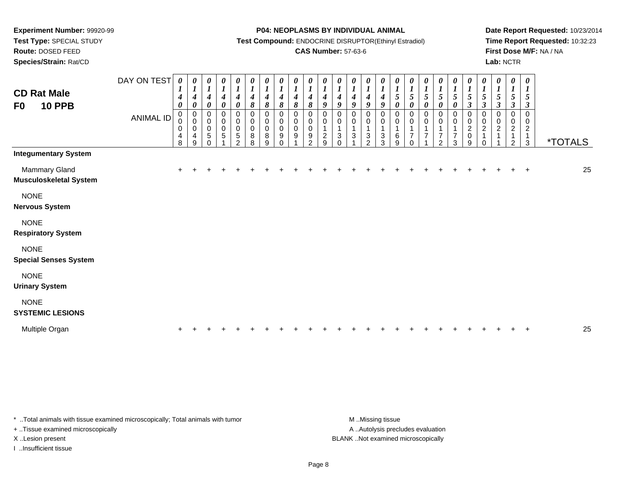**Route:** DOSED FEED

**Species/Strain:** Rat/CD

#### **P04: NEOPLASMS BY INDIVIDUAL ANIMAL**

**Test Compound:** ENDOCRINE DISRUPTOR(Ethinyl Estradiol)

### **CAS Number:** 57-63-6

**Date Report Requested:** 10/23/2014**Time Report Requested:** 10:32:23**First Dose M/F:** NA / NA**Lab:** NCTR

| <b>CD Rat Male</b><br><b>10 PPB</b><br>F <sub>0</sub> | DAY ON TEST<br><b>ANIMAL ID</b> | 0<br>1<br>$\boldsymbol{4}$<br>0<br>0<br>0<br>$\pmb{0}$<br>4<br>8 | 0<br>$\boldsymbol{l}$<br>$\boldsymbol{4}$<br>0<br>$\pmb{0}$<br>$\pmb{0}$<br>$\pmb{0}$<br>4<br>9 | 0<br>$\boldsymbol{l}$<br>$\boldsymbol{4}$<br>0<br>$\pmb{0}$<br>$\pmb{0}$<br>$\pmb{0}$<br>5<br>0 | $\boldsymbol{l}$<br>$\boldsymbol{4}$<br>$\boldsymbol{\theta}$<br>0<br>$\pmb{0}$<br>$\pmb{0}$<br>5 | 0<br>$\boldsymbol{l}$<br>$\boldsymbol{4}$<br>$\pmb{\theta}$<br>$\pmb{0}$<br>$_{\rm 0}^{\rm 0}$<br>5<br>$\mathcal{P}$ | $\boldsymbol{\theta}$<br>$\boldsymbol{l}$<br>$\boldsymbol{4}$<br>8<br>$\mathbf 0$<br>$\mathbf 0$<br>$\pmb{0}$<br>$\bf 8$<br>8 | 0<br>$\boldsymbol{l}$<br>$\boldsymbol{4}$<br>8<br>0<br>$\pmb{0}$<br>$\pmb{0}$<br>8<br>$\boldsymbol{9}$ | 0<br>$\boldsymbol{l}$<br>$\boldsymbol{4}$<br>8<br>$\pmb{0}$<br>$\pmb{0}$<br>$\pmb{0}$<br>9<br>$\Omega$ | $\begin{matrix} 0 \\ 1 \end{matrix}$<br>$\boldsymbol{4}$<br>8<br>$\pmb{0}$<br>$\pmb{0}$<br>$\mbox{O}$<br>$\boldsymbol{9}$ | $\frac{\theta}{I}$<br>$\boldsymbol{4}$<br>8<br>0<br>$\pmb{0}$<br>$\pmb{0}$<br>9<br>$\overline{2}$ | $\boldsymbol{l}$<br>$\boldsymbol{4}$<br>9<br>0<br>$\mathbf 1$<br>$\overline{c}$<br>9 | 4<br>9<br>0<br>0<br>1<br>3<br>0 | 0<br>$\boldsymbol{l}$<br>$\boldsymbol{4}$<br>9<br>0<br>0<br>3 | 0<br>1<br>4<br>9<br>0<br>0<br>3<br>$\overline{2}$ | $\pmb{\theta}$<br>$\boldsymbol{l}$<br>$\boldsymbol{4}$<br>9<br>0<br>$\pmb{0}$<br>$\mathbf{1}$<br>3<br>3 | 0<br>1<br>$\sqrt{5}$<br>0<br>0<br>$\pmb{0}$<br>$\mathbf{1}$<br>6<br>9 | 0<br>$\boldsymbol{l}$<br>$5\overline{)}$<br>$\boldsymbol{\theta}$<br>0<br>$\boldsymbol{0}$<br>1<br>$\overline{7}$<br>$\Omega$ | 0<br>$\frac{1}{5}$<br>0<br>0<br>$\pmb{0}$<br>$\overline{7}$ | $\begin{array}{c} \n0 \\ \n1 \\ \n5 \n\end{array}$<br>$\boldsymbol{\theta}$<br>$\pmb{0}$<br>$\pmb{0}$<br>1<br>$\boldsymbol{7}$<br>$\overline{2}$ | $\frac{\theta}{I}$<br>$\pmb{\theta}$<br>$_{\rm 0}^{\rm 0}$<br>$\mathbf{1}$<br>$\overline{7}$<br>3 | $\frac{\theta}{1}$<br>$\mathbf{3}$<br>0<br>$\mathbf 0$<br>$\frac{2}{0}$<br>9 | 0<br>$\frac{1}{5}$<br>$\mathfrak{z}$<br>0<br>$\pmb{0}$<br>$\overline{2}$<br>$\mathbf{1}$<br>0 | 0<br>$\boldsymbol{l}$<br>$\sqrt{5}$<br>$\boldsymbol{\beta}$<br>0<br>$\mathbf 0$<br>$\sqrt{2}$<br>$\overline{1}$ | 0<br>$\boldsymbol{l}$<br>5<br>$\boldsymbol{\beta}$<br>0<br>$\pmb{0}$<br>$\overline{c}$<br>$\mathbf{1}$<br>$\overline{c}$ | 0<br>$\boldsymbol{I}$<br>5<br>$\mathfrak{z}$<br>$\mathbf 0$<br>0<br>$\overline{2}$<br>$\mathbf{1}$<br>$\mathbf{3}$ | <i><b>*TOTALS</b></i> |
|-------------------------------------------------------|---------------------------------|------------------------------------------------------------------|-------------------------------------------------------------------------------------------------|-------------------------------------------------------------------------------------------------|---------------------------------------------------------------------------------------------------|----------------------------------------------------------------------------------------------------------------------|-------------------------------------------------------------------------------------------------------------------------------|--------------------------------------------------------------------------------------------------------|--------------------------------------------------------------------------------------------------------|---------------------------------------------------------------------------------------------------------------------------|---------------------------------------------------------------------------------------------------|--------------------------------------------------------------------------------------|---------------------------------|---------------------------------------------------------------|---------------------------------------------------|---------------------------------------------------------------------------------------------------------|-----------------------------------------------------------------------|-------------------------------------------------------------------------------------------------------------------------------|-------------------------------------------------------------|--------------------------------------------------------------------------------------------------------------------------------------------------|---------------------------------------------------------------------------------------------------|------------------------------------------------------------------------------|-----------------------------------------------------------------------------------------------|-----------------------------------------------------------------------------------------------------------------|--------------------------------------------------------------------------------------------------------------------------|--------------------------------------------------------------------------------------------------------------------|-----------------------|
| <b>Integumentary System</b>                           |                                 |                                                                  |                                                                                                 |                                                                                                 |                                                                                                   |                                                                                                                      |                                                                                                                               |                                                                                                        |                                                                                                        |                                                                                                                           |                                                                                                   |                                                                                      |                                 |                                                               |                                                   |                                                                                                         |                                                                       |                                                                                                                               |                                                             |                                                                                                                                                  |                                                                                                   |                                                                              |                                                                                               |                                                                                                                 |                                                                                                                          |                                                                                                                    |                       |
| Mammary Gland<br><b>Musculoskeletal System</b>        |                                 |                                                                  |                                                                                                 |                                                                                                 |                                                                                                   |                                                                                                                      |                                                                                                                               |                                                                                                        |                                                                                                        |                                                                                                                           |                                                                                                   |                                                                                      |                                 |                                                               |                                                   |                                                                                                         |                                                                       |                                                                                                                               |                                                             |                                                                                                                                                  |                                                                                                   |                                                                              |                                                                                               |                                                                                                                 |                                                                                                                          | $\div$                                                                                                             | 25                    |
| <b>NONE</b><br><b>Nervous System</b>                  |                                 |                                                                  |                                                                                                 |                                                                                                 |                                                                                                   |                                                                                                                      |                                                                                                                               |                                                                                                        |                                                                                                        |                                                                                                                           |                                                                                                   |                                                                                      |                                 |                                                               |                                                   |                                                                                                         |                                                                       |                                                                                                                               |                                                             |                                                                                                                                                  |                                                                                                   |                                                                              |                                                                                               |                                                                                                                 |                                                                                                                          |                                                                                                                    |                       |
| <b>NONE</b><br><b>Respiratory System</b>              |                                 |                                                                  |                                                                                                 |                                                                                                 |                                                                                                   |                                                                                                                      |                                                                                                                               |                                                                                                        |                                                                                                        |                                                                                                                           |                                                                                                   |                                                                                      |                                 |                                                               |                                                   |                                                                                                         |                                                                       |                                                                                                                               |                                                             |                                                                                                                                                  |                                                                                                   |                                                                              |                                                                                               |                                                                                                                 |                                                                                                                          |                                                                                                                    |                       |
| <b>NONE</b><br><b>Special Senses System</b>           |                                 |                                                                  |                                                                                                 |                                                                                                 |                                                                                                   |                                                                                                                      |                                                                                                                               |                                                                                                        |                                                                                                        |                                                                                                                           |                                                                                                   |                                                                                      |                                 |                                                               |                                                   |                                                                                                         |                                                                       |                                                                                                                               |                                                             |                                                                                                                                                  |                                                                                                   |                                                                              |                                                                                               |                                                                                                                 |                                                                                                                          |                                                                                                                    |                       |
| <b>NONE</b><br><b>Urinary System</b>                  |                                 |                                                                  |                                                                                                 |                                                                                                 |                                                                                                   |                                                                                                                      |                                                                                                                               |                                                                                                        |                                                                                                        |                                                                                                                           |                                                                                                   |                                                                                      |                                 |                                                               |                                                   |                                                                                                         |                                                                       |                                                                                                                               |                                                             |                                                                                                                                                  |                                                                                                   |                                                                              |                                                                                               |                                                                                                                 |                                                                                                                          |                                                                                                                    |                       |
| <b>NONE</b><br><b>SYSTEMIC LESIONS</b>                |                                 |                                                                  |                                                                                                 |                                                                                                 |                                                                                                   |                                                                                                                      |                                                                                                                               |                                                                                                        |                                                                                                        |                                                                                                                           |                                                                                                   |                                                                                      |                                 |                                                               |                                                   |                                                                                                         |                                                                       |                                                                                                                               |                                                             |                                                                                                                                                  |                                                                                                   |                                                                              |                                                                                               |                                                                                                                 |                                                                                                                          |                                                                                                                    |                       |
| Multiple Organ                                        |                                 |                                                                  |                                                                                                 |                                                                                                 |                                                                                                   |                                                                                                                      |                                                                                                                               |                                                                                                        |                                                                                                        |                                                                                                                           |                                                                                                   |                                                                                      |                                 |                                                               |                                                   |                                                                                                         |                                                                       |                                                                                                                               |                                                             |                                                                                                                                                  |                                                                                                   |                                                                              |                                                                                               |                                                                                                                 |                                                                                                                          |                                                                                                                    | 25                    |

\* ..Total animals with tissue examined microscopically; Total animals with tumor **M** . Missing tissue M ..Missing tissue

+ ..Tissue examined microscopically

I ..Insufficient tissue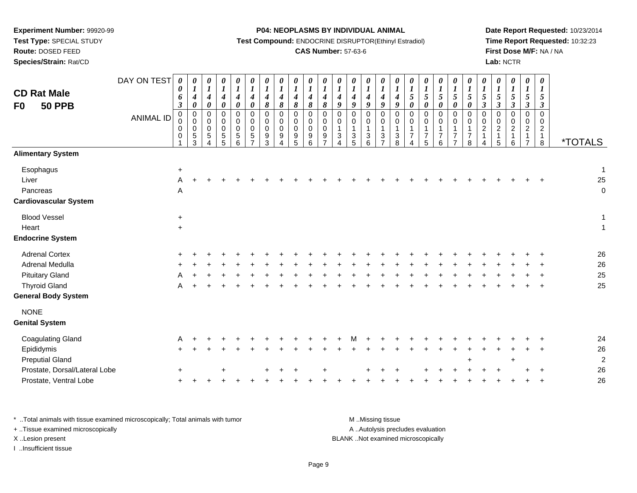**Test Type:** SPECIAL STUDY

**Route:** DOSED FEED

**Species/Strain:** Rat/CD

#### **P04: NEOPLASMS BY INDIVIDUAL ANIMAL**

**Test Compound:** ENDOCRINE DISRUPTOR(Ethinyl Estradiol)

### **CAS Number:** 57-63-6

**Date Report Requested:** 10/23/2014**Time Report Requested:** 10:32:23**First Dose M/F:** NA / NA**Lab:** NCTR

| <b>CD Rat Male</b><br><b>50 PPB</b><br>F <sub>0</sub>          | DAY ON TEST<br><b>ANIMAL ID</b> | $\boldsymbol{\theta}$<br>0<br>6<br>$\boldsymbol{\beta}$<br>$\mathbf 0$<br>0<br>0<br>0<br>1 | 0<br>$\boldsymbol{I}$<br>$\boldsymbol{4}$<br>$\boldsymbol{\theta}$<br>$\mathbf 0$<br>$\pmb{0}$<br>$\mathbf 0$<br>$\,$ 5 $\,$<br>3 | $\boldsymbol{\theta}$<br>$\boldsymbol{l}$<br>$\boldsymbol{4}$<br>$\pmb{\theta}$<br>$\pmb{0}$<br>$\mathbf 0$<br>$\mathbf 0$<br>$\,$ 5 $\,$<br>Δ | 0<br>$\boldsymbol{l}$<br>$\boldsymbol{4}$<br>$\pmb{\theta}$<br>$\mathbf 0$<br>$\mathbf 0$<br>$\mathbf 0$<br>$\,$ 5 $\,$<br>5 | $\boldsymbol{l}$<br>$\boldsymbol{4}$<br>$\pmb{\theta}$<br>$\Omega$<br>0<br>$\Omega$<br>5<br>6 | 0<br>$\boldsymbol{l}$<br>$\boldsymbol{4}$<br>$\boldsymbol{\theta}$<br>$\mathbf 0$<br>$\mathbf 0$<br>$\mathbf 0$<br>$\,$ 5 $\,$ | 0<br>$\boldsymbol{l}$<br>$\boldsymbol{4}$<br>$\pmb{8}$<br>0<br>0<br>$\mathbf 0$<br>$9\,$<br>3 | 0<br>$\boldsymbol{l}$<br>$\boldsymbol{4}$<br>$\pmb{8}$<br>$\mathbf 0$<br>$\mathbf 0$<br>$\mathbf 0$<br>9 | 0<br>$\boldsymbol{l}$<br>$\boldsymbol{4}$<br>8<br>$\mathbf 0$<br>$\pmb{0}$<br>$\mathbf 0$<br>9<br>5 | 0<br>$\boldsymbol{l}$<br>$\boldsymbol{4}$<br>$\pmb{8}$<br>$\mathbf 0$<br>$\mathbf 0$<br>$\mathbf 0$<br>9<br>6 | $\boldsymbol{\theta}$<br>$\boldsymbol{l}$<br>$\boldsymbol{4}$<br>$\pmb{8}$<br>$\mathbf 0$<br>$\mathbf 0$<br>$\mathbf 0$<br>9<br>7 | 0<br>$\boldsymbol{l}$<br>$\boldsymbol{4}$<br>9<br>$\pmb{0}$<br>0<br>$\mathbf{1}$<br>$\ensuremath{\mathsf{3}}$<br>4 | 0<br>$\boldsymbol{l}$<br>$\boldsymbol{4}$<br>9<br>$\pmb{0}$<br>0<br>$\mathbf 1$<br>$\mathbf{3}$<br>5 | 0<br>$\boldsymbol{l}$<br>$\boldsymbol{4}$<br>$\boldsymbol{9}$<br>$\mathbf 0$<br>$\pmb{0}$<br>$\mathbf{1}$<br>$\sqrt{3}$<br>6 | 0<br>$\boldsymbol{l}$<br>$\boldsymbol{4}$<br>9<br>0<br>0<br>$\mathbf{1}$<br>3<br>$\overline{7}$ | $\boldsymbol{\theta}$<br>$\boldsymbol{l}$<br>$\boldsymbol{4}$<br>$\boldsymbol{g}$<br>$\mathbf 0$<br>$\mathbf 0$<br>$\mathbf{1}$<br>$\sqrt{3}$<br>8 | $\boldsymbol{\theta}$<br>$\boldsymbol{l}$<br>$\mathfrak{s}$<br>$\boldsymbol{\theta}$<br>$\mathbf 0$<br>0<br>$\overline{1}$<br>$\overline{7}$<br>Δ | 0<br>$\boldsymbol{I}$<br>5<br>$\boldsymbol{\theta}$<br>$\mathbf 0$<br>0<br>$\overline{7}$<br>5 | 0<br>$\boldsymbol{l}$<br>5<br>$\pmb{\theta}$<br>$\mathbf 0$<br>0<br>1<br>$\overline{7}$<br>6 | 0<br>$\boldsymbol{l}$<br>$\sqrt{5}$<br>$\pmb{\theta}$<br>$\mathbf 0$<br>$\mathbf 0$<br>$\mathbf{1}$<br>$\overline{7}$<br>$\overline{7}$ | 0<br>$\boldsymbol{l}$<br>5<br>$\pmb{\theta}$<br>$\mathbf 0$<br>0<br>$\mathbf{1}$<br>$\overline{7}$<br>8 | $\boldsymbol{\theta}$<br>$\boldsymbol{l}$<br>$\sqrt{5}$<br>$\boldsymbol{\beta}$<br>$\mathbf 0$<br>$\mathbf 0$<br>$\boldsymbol{2}$<br>4 | 0<br>$\boldsymbol{l}$<br>$\sqrt{5}$<br>$\boldsymbol{\beta}$<br>$\mathbf 0$<br>$\mathbf 0$<br>$\overline{c}$<br>$\mathbf{1}$<br>5 | 0<br>$\boldsymbol{l}$<br>5<br>$\boldsymbol{\beta}$<br>0<br>0<br>$\overline{c}$<br>6 | 0<br>$\boldsymbol{l}$<br>5<br>$\boldsymbol{\beta}$<br>$\pmb{0}$<br>$\pmb{0}$<br>$\overline{2}$<br>$\overline{7}$ | 0<br>$\boldsymbol{l}$<br>5<br>$\boldsymbol{\beta}$<br>$\mathbf 0$<br>0<br>$\overline{c}$<br>$\mathbf{1}$<br>8 | <i><b>*TOTALS</b></i>             |
|----------------------------------------------------------------|---------------------------------|--------------------------------------------------------------------------------------------|-----------------------------------------------------------------------------------------------------------------------------------|------------------------------------------------------------------------------------------------------------------------------------------------|------------------------------------------------------------------------------------------------------------------------------|-----------------------------------------------------------------------------------------------|--------------------------------------------------------------------------------------------------------------------------------|-----------------------------------------------------------------------------------------------|----------------------------------------------------------------------------------------------------------|-----------------------------------------------------------------------------------------------------|---------------------------------------------------------------------------------------------------------------|-----------------------------------------------------------------------------------------------------------------------------------|--------------------------------------------------------------------------------------------------------------------|------------------------------------------------------------------------------------------------------|------------------------------------------------------------------------------------------------------------------------------|-------------------------------------------------------------------------------------------------|----------------------------------------------------------------------------------------------------------------------------------------------------|---------------------------------------------------------------------------------------------------------------------------------------------------|------------------------------------------------------------------------------------------------|----------------------------------------------------------------------------------------------|-----------------------------------------------------------------------------------------------------------------------------------------|---------------------------------------------------------------------------------------------------------|----------------------------------------------------------------------------------------------------------------------------------------|----------------------------------------------------------------------------------------------------------------------------------|-------------------------------------------------------------------------------------|------------------------------------------------------------------------------------------------------------------|---------------------------------------------------------------------------------------------------------------|-----------------------------------|
| <b>Alimentary System</b>                                       |                                 |                                                                                            |                                                                                                                                   |                                                                                                                                                |                                                                                                                              |                                                                                               |                                                                                                                                |                                                                                               |                                                                                                          |                                                                                                     |                                                                                                               |                                                                                                                                   |                                                                                                                    |                                                                                                      |                                                                                                                              |                                                                                                 |                                                                                                                                                    |                                                                                                                                                   |                                                                                                |                                                                                              |                                                                                                                                         |                                                                                                         |                                                                                                                                        |                                                                                                                                  |                                                                                     |                                                                                                                  |                                                                                                               |                                   |
| Esophagus<br>Liver<br>Pancreas<br><b>Cardiovascular System</b> |                                 | $\ddot{}$<br>Α<br>A                                                                        |                                                                                                                                   |                                                                                                                                                |                                                                                                                              |                                                                                               |                                                                                                                                |                                                                                               |                                                                                                          |                                                                                                     |                                                                                                               |                                                                                                                                   |                                                                                                                    |                                                                                                      |                                                                                                                              |                                                                                                 |                                                                                                                                                    |                                                                                                                                                   |                                                                                                |                                                                                              |                                                                                                                                         |                                                                                                         |                                                                                                                                        |                                                                                                                                  |                                                                                     |                                                                                                                  |                                                                                                               | $\mathbf{1}$<br>25<br>$\mathbf 0$ |
| <b>Blood Vessel</b>                                            |                                 |                                                                                            |                                                                                                                                   |                                                                                                                                                |                                                                                                                              |                                                                                               |                                                                                                                                |                                                                                               |                                                                                                          |                                                                                                     |                                                                                                               |                                                                                                                                   |                                                                                                                    |                                                                                                      |                                                                                                                              |                                                                                                 |                                                                                                                                                    |                                                                                                                                                   |                                                                                                |                                                                                              |                                                                                                                                         |                                                                                                         |                                                                                                                                        |                                                                                                                                  |                                                                                     |                                                                                                                  |                                                                                                               | $\mathbf 1$                       |
| Heart                                                          |                                 | $\ddot{}$<br>$+$                                                                           |                                                                                                                                   |                                                                                                                                                |                                                                                                                              |                                                                                               |                                                                                                                                |                                                                                               |                                                                                                          |                                                                                                     |                                                                                                               |                                                                                                                                   |                                                                                                                    |                                                                                                      |                                                                                                                              |                                                                                                 |                                                                                                                                                    |                                                                                                                                                   |                                                                                                |                                                                                              |                                                                                                                                         |                                                                                                         |                                                                                                                                        |                                                                                                                                  |                                                                                     |                                                                                                                  |                                                                                                               | $\overline{1}$                    |
| <b>Endocrine System</b>                                        |                                 |                                                                                            |                                                                                                                                   |                                                                                                                                                |                                                                                                                              |                                                                                               |                                                                                                                                |                                                                                               |                                                                                                          |                                                                                                     |                                                                                                               |                                                                                                                                   |                                                                                                                    |                                                                                                      |                                                                                                                              |                                                                                                 |                                                                                                                                                    |                                                                                                                                                   |                                                                                                |                                                                                              |                                                                                                                                         |                                                                                                         |                                                                                                                                        |                                                                                                                                  |                                                                                     |                                                                                                                  |                                                                                                               |                                   |
| <b>Adrenal Cortex</b>                                          |                                 |                                                                                            |                                                                                                                                   |                                                                                                                                                |                                                                                                                              |                                                                                               |                                                                                                                                |                                                                                               |                                                                                                          |                                                                                                     |                                                                                                               |                                                                                                                                   |                                                                                                                    |                                                                                                      |                                                                                                                              |                                                                                                 |                                                                                                                                                    |                                                                                                                                                   |                                                                                                |                                                                                              |                                                                                                                                         |                                                                                                         |                                                                                                                                        |                                                                                                                                  |                                                                                     |                                                                                                                  |                                                                                                               | 26                                |
| Adrenal Medulla                                                |                                 |                                                                                            |                                                                                                                                   |                                                                                                                                                |                                                                                                                              |                                                                                               |                                                                                                                                |                                                                                               |                                                                                                          |                                                                                                     |                                                                                                               |                                                                                                                                   |                                                                                                                    |                                                                                                      |                                                                                                                              |                                                                                                 |                                                                                                                                                    |                                                                                                                                                   |                                                                                                |                                                                                              |                                                                                                                                         |                                                                                                         |                                                                                                                                        |                                                                                                                                  |                                                                                     |                                                                                                                  |                                                                                                               | 26                                |
| <b>Pituitary Gland</b>                                         |                                 | A                                                                                          |                                                                                                                                   |                                                                                                                                                |                                                                                                                              |                                                                                               |                                                                                                                                |                                                                                               |                                                                                                          |                                                                                                     |                                                                                                               |                                                                                                                                   |                                                                                                                    |                                                                                                      |                                                                                                                              |                                                                                                 |                                                                                                                                                    |                                                                                                                                                   |                                                                                                |                                                                                              |                                                                                                                                         |                                                                                                         |                                                                                                                                        |                                                                                                                                  |                                                                                     |                                                                                                                  |                                                                                                               | 25                                |
| <b>Thyroid Gland</b>                                           |                                 |                                                                                            |                                                                                                                                   |                                                                                                                                                |                                                                                                                              |                                                                                               |                                                                                                                                |                                                                                               |                                                                                                          |                                                                                                     |                                                                                                               |                                                                                                                                   |                                                                                                                    |                                                                                                      |                                                                                                                              |                                                                                                 |                                                                                                                                                    |                                                                                                                                                   |                                                                                                |                                                                                              |                                                                                                                                         |                                                                                                         |                                                                                                                                        |                                                                                                                                  |                                                                                     |                                                                                                                  |                                                                                                               | 25                                |
| <b>General Body System</b>                                     |                                 |                                                                                            |                                                                                                                                   |                                                                                                                                                |                                                                                                                              |                                                                                               |                                                                                                                                |                                                                                               |                                                                                                          |                                                                                                     |                                                                                                               |                                                                                                                                   |                                                                                                                    |                                                                                                      |                                                                                                                              |                                                                                                 |                                                                                                                                                    |                                                                                                                                                   |                                                                                                |                                                                                              |                                                                                                                                         |                                                                                                         |                                                                                                                                        |                                                                                                                                  |                                                                                     |                                                                                                                  |                                                                                                               |                                   |
| <b>NONE</b><br><b>Genital System</b>                           |                                 |                                                                                            |                                                                                                                                   |                                                                                                                                                |                                                                                                                              |                                                                                               |                                                                                                                                |                                                                                               |                                                                                                          |                                                                                                     |                                                                                                               |                                                                                                                                   |                                                                                                                    |                                                                                                      |                                                                                                                              |                                                                                                 |                                                                                                                                                    |                                                                                                                                                   |                                                                                                |                                                                                              |                                                                                                                                         |                                                                                                         |                                                                                                                                        |                                                                                                                                  |                                                                                     |                                                                                                                  |                                                                                                               |                                   |
| <b>Coagulating Gland</b>                                       |                                 | Α                                                                                          |                                                                                                                                   |                                                                                                                                                |                                                                                                                              |                                                                                               |                                                                                                                                |                                                                                               |                                                                                                          |                                                                                                     |                                                                                                               |                                                                                                                                   |                                                                                                                    |                                                                                                      |                                                                                                                              |                                                                                                 |                                                                                                                                                    |                                                                                                                                                   |                                                                                                |                                                                                              |                                                                                                                                         |                                                                                                         |                                                                                                                                        |                                                                                                                                  |                                                                                     |                                                                                                                  |                                                                                                               | 24                                |
| Epididymis                                                     |                                 |                                                                                            |                                                                                                                                   |                                                                                                                                                |                                                                                                                              |                                                                                               |                                                                                                                                |                                                                                               |                                                                                                          |                                                                                                     |                                                                                                               |                                                                                                                                   |                                                                                                                    |                                                                                                      |                                                                                                                              |                                                                                                 |                                                                                                                                                    |                                                                                                                                                   |                                                                                                |                                                                                              |                                                                                                                                         |                                                                                                         |                                                                                                                                        |                                                                                                                                  |                                                                                     |                                                                                                                  |                                                                                                               | 26                                |
| <b>Preputial Gland</b>                                         |                                 |                                                                                            |                                                                                                                                   |                                                                                                                                                |                                                                                                                              |                                                                                               |                                                                                                                                |                                                                                               |                                                                                                          |                                                                                                     |                                                                                                               |                                                                                                                                   |                                                                                                                    |                                                                                                      |                                                                                                                              |                                                                                                 |                                                                                                                                                    |                                                                                                                                                   |                                                                                                |                                                                                              |                                                                                                                                         | $\div$                                                                                                  |                                                                                                                                        |                                                                                                                                  | ÷.                                                                                  |                                                                                                                  |                                                                                                               | $\overline{c}$                    |
| Prostate, Dorsal/Lateral Lobe                                  |                                 |                                                                                            |                                                                                                                                   |                                                                                                                                                |                                                                                                                              |                                                                                               |                                                                                                                                |                                                                                               |                                                                                                          |                                                                                                     |                                                                                                               |                                                                                                                                   |                                                                                                                    |                                                                                                      |                                                                                                                              |                                                                                                 |                                                                                                                                                    |                                                                                                                                                   |                                                                                                |                                                                                              |                                                                                                                                         |                                                                                                         |                                                                                                                                        |                                                                                                                                  |                                                                                     |                                                                                                                  |                                                                                                               | 26                                |
| Prostate, Ventral Lobe                                         |                                 |                                                                                            |                                                                                                                                   |                                                                                                                                                |                                                                                                                              |                                                                                               |                                                                                                                                |                                                                                               |                                                                                                          |                                                                                                     |                                                                                                               |                                                                                                                                   |                                                                                                                    |                                                                                                      |                                                                                                                              |                                                                                                 |                                                                                                                                                    |                                                                                                                                                   |                                                                                                |                                                                                              |                                                                                                                                         |                                                                                                         |                                                                                                                                        |                                                                                                                                  |                                                                                     |                                                                                                                  |                                                                                                               | 26                                |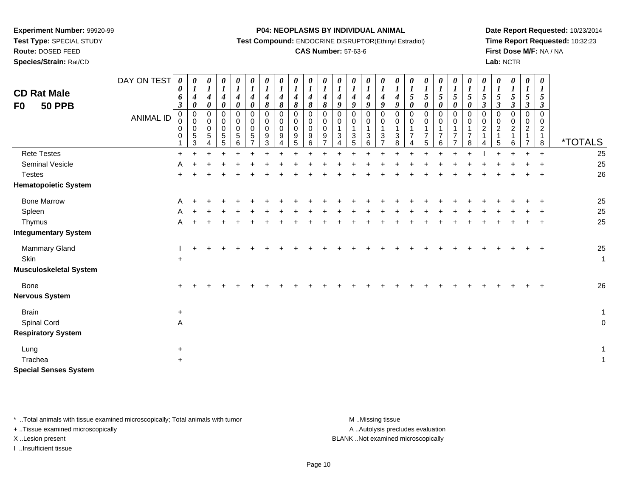**Test Type:** SPECIAL STUDY

**Route:** DOSED FEED

**Species/Strain:** Rat/CD

#### **P04: NEOPLASMS BY INDIVIDUAL ANIMAL**

**Test Compound:** ENDOCRINE DISRUPTOR(Ethinyl Estradiol)

### **CAS Number:** 57-63-6

**Date Report Requested:** 10/23/2014**Time Report Requested:** 10:32:23**First Dose M/F:** NA / NA**Lab:** NCTR

| <b>CD Rat Male</b><br><b>50 PPB</b><br>F <sub>0</sub> | DAY ON TEST<br><b>ANIMAL ID</b> | 0<br>0<br>6<br>$\boldsymbol{\beta}$<br>0<br>0<br>$\,0\,$<br>0 | 0<br>$\boldsymbol{l}$<br>$\boldsymbol{4}$<br>0<br>$\pmb{0}$<br>$\mathsf{O}\xspace$<br>$\pmb{0}$<br>$\sqrt{5}$<br>3 | $\frac{\theta}{1}$<br>$\boldsymbol{4}$<br>$\boldsymbol{\theta}$<br>0<br>$\mathbf 0$<br>0<br>5 | 0<br>$\boldsymbol{l}$<br>$\boldsymbol{4}$<br>0<br>0<br>0<br>0<br>$5\,$<br>5 | 0<br>$\boldsymbol{l}$<br>4<br>0<br>$\mathbf 0$<br>$\mathbf 0$<br>$\mathbf 0$<br>5<br>6 | $\boldsymbol{\theta}$<br>$\boldsymbol{l}$<br>$\boldsymbol{4}$<br>$\pmb{\theta}$<br>0<br>0<br>$\pmb{0}$<br>$\sqrt{5}$<br>$\overline{7}$ | 0<br>$\boldsymbol{l}$<br>$\boldsymbol{4}$<br>8<br>0<br>0<br>$\pmb{0}$<br>9<br>3 | 0<br>$\boldsymbol{l}$<br>$\boldsymbol{4}$<br>8<br>$\mathbf 0$<br>$\pmb{0}$<br>$\pmb{0}$<br>9<br>4 | $\boldsymbol{\theta}$<br>$\boldsymbol{l}$<br>$\boldsymbol{4}$<br>8<br>$\pmb{0}$<br>0<br>$\mathbf 0$<br>9<br>5 | $\boldsymbol{\theta}$<br>$\boldsymbol{l}$<br>$\boldsymbol{4}$<br>8<br>$\mathbf 0$<br>$\mathbf 0$<br>$\mathbf 0$<br>9<br>6 | 0<br>$\boldsymbol{l}$<br>$\boldsymbol{4}$<br>$\pmb{8}$<br>0<br>0<br>0<br>9 | 0<br>$\boldsymbol{l}$<br>$\boldsymbol{4}$<br>9<br>0<br>$\boldsymbol{0}$<br>$\mathbf{1}$<br>$\mathfrak{S}$<br>4 | $\begin{matrix} 0 \\ 1 \end{matrix}$<br>$\boldsymbol{4}$<br>$\boldsymbol{g}$<br>$\pmb{0}$<br>$\mathbf 0$<br>$\mathbf{1}$<br>$\sqrt{3}$<br>5 | $\boldsymbol{\theta}$<br>$\boldsymbol{l}$<br>4<br>9<br>0<br>0<br>1<br>3<br>6 | $\boldsymbol{l}$<br>$\boldsymbol{4}$<br>9<br>0<br>0<br>$\mathbf 1$<br>3 | 0<br>$\boldsymbol{l}$<br>$\boldsymbol{4}$<br>9<br>$\mathbf 0$<br>$\Omega$<br>3<br>8 | 0<br>$\boldsymbol{l}$<br>5<br>0<br>$\mathbf 0$<br>0<br>$\overline{7}$<br>4 | 0<br>$\frac{1}{5}$<br>0<br>0<br>0<br>$\mathbf{1}$<br>$\overline{7}$<br>5 | 0<br>$\boldsymbol{l}$<br>$\mathfrak{s}$<br>$\boldsymbol{\theta}$<br>$\pmb{0}$<br>$\mathbf 0$<br>$\overline{7}$<br>6 | 0<br>$\frac{1}{5}$<br>$\boldsymbol{\theta}$<br>0<br>0<br>1<br>$\overline{7}$<br>$\overline{7}$ | 0<br>$\boldsymbol{l}$<br>5<br>$\boldsymbol{\theta}$<br>0<br>0<br>$\overline{7}$<br>8 | 0<br>$\boldsymbol{l}$<br>5<br>$\mathfrak{z}$<br>$\mathbf 0$<br>0<br>$\overline{c}$<br>$\mathbf{1}$<br>4 | 0<br>$\boldsymbol{l}$<br>$\mathfrak{s}$<br>$\mathfrak{z}$<br>0<br>$\mathbf 0$<br>$\overline{2}$<br>1<br>5 | $\boldsymbol{\theta}$<br>$\boldsymbol{l}$<br>5<br>$\boldsymbol{\beta}$<br>$\mathbf 0$<br>$\pmb{0}$<br>$\overline{2}$<br>$\mathbf{1}$<br>6 | 0<br>$\boldsymbol{l}$<br>5<br>$\boldsymbol{\beta}$<br>$\mathbf 0$<br>0<br>$\overline{2}$<br>$\overline{7}$ | $\pmb{\theta}$<br>$\boldsymbol{l}$<br>5<br>$\mathfrak{z}$<br>$\Omega$<br>$\Omega$<br>$\overline{2}$<br>$\mathbf{1}$<br>8 | <i><b>*TOTALS</b></i> |
|-------------------------------------------------------|---------------------------------|---------------------------------------------------------------|--------------------------------------------------------------------------------------------------------------------|-----------------------------------------------------------------------------------------------|-----------------------------------------------------------------------------|----------------------------------------------------------------------------------------|----------------------------------------------------------------------------------------------------------------------------------------|---------------------------------------------------------------------------------|---------------------------------------------------------------------------------------------------|---------------------------------------------------------------------------------------------------------------|---------------------------------------------------------------------------------------------------------------------------|----------------------------------------------------------------------------|----------------------------------------------------------------------------------------------------------------|---------------------------------------------------------------------------------------------------------------------------------------------|------------------------------------------------------------------------------|-------------------------------------------------------------------------|-------------------------------------------------------------------------------------|----------------------------------------------------------------------------|--------------------------------------------------------------------------|---------------------------------------------------------------------------------------------------------------------|------------------------------------------------------------------------------------------------|--------------------------------------------------------------------------------------|---------------------------------------------------------------------------------------------------------|-----------------------------------------------------------------------------------------------------------|-------------------------------------------------------------------------------------------------------------------------------------------|------------------------------------------------------------------------------------------------------------|--------------------------------------------------------------------------------------------------------------------------|-----------------------|
| <b>Rete Testes</b>                                    |                                 | $\ddot{}$                                                     |                                                                                                                    |                                                                                               |                                                                             |                                                                                        |                                                                                                                                        |                                                                                 |                                                                                                   |                                                                                                               |                                                                                                                           |                                                                            |                                                                                                                |                                                                                                                                             |                                                                              |                                                                         |                                                                                     |                                                                            |                                                                          |                                                                                                                     |                                                                                                |                                                                                      |                                                                                                         |                                                                                                           |                                                                                                                                           |                                                                                                            | $\ddot{}$                                                                                                                | 25                    |
| Seminal Vesicle                                       |                                 | A                                                             |                                                                                                                    |                                                                                               |                                                                             |                                                                                        |                                                                                                                                        |                                                                                 |                                                                                                   |                                                                                                               |                                                                                                                           |                                                                            |                                                                                                                |                                                                                                                                             |                                                                              |                                                                         |                                                                                     |                                                                            |                                                                          |                                                                                                                     |                                                                                                |                                                                                      |                                                                                                         |                                                                                                           |                                                                                                                                           |                                                                                                            |                                                                                                                          | 25                    |
| <b>Testes</b>                                         |                                 |                                                               |                                                                                                                    |                                                                                               |                                                                             |                                                                                        |                                                                                                                                        |                                                                                 |                                                                                                   |                                                                                                               |                                                                                                                           |                                                                            |                                                                                                                |                                                                                                                                             |                                                                              |                                                                         |                                                                                     |                                                                            |                                                                          |                                                                                                                     |                                                                                                |                                                                                      |                                                                                                         |                                                                                                           |                                                                                                                                           |                                                                                                            |                                                                                                                          | 26                    |
| <b>Hematopoietic System</b>                           |                                 |                                                               |                                                                                                                    |                                                                                               |                                                                             |                                                                                        |                                                                                                                                        |                                                                                 |                                                                                                   |                                                                                                               |                                                                                                                           |                                                                            |                                                                                                                |                                                                                                                                             |                                                                              |                                                                         |                                                                                     |                                                                            |                                                                          |                                                                                                                     |                                                                                                |                                                                                      |                                                                                                         |                                                                                                           |                                                                                                                                           |                                                                                                            |                                                                                                                          |                       |
| <b>Bone Marrow</b>                                    |                                 | A                                                             |                                                                                                                    |                                                                                               |                                                                             |                                                                                        |                                                                                                                                        |                                                                                 |                                                                                                   |                                                                                                               |                                                                                                                           |                                                                            |                                                                                                                |                                                                                                                                             |                                                                              |                                                                         |                                                                                     |                                                                            |                                                                          |                                                                                                                     |                                                                                                |                                                                                      |                                                                                                         |                                                                                                           |                                                                                                                                           |                                                                                                            |                                                                                                                          | $25\,$                |
| Spleen                                                |                                 |                                                               |                                                                                                                    |                                                                                               |                                                                             |                                                                                        |                                                                                                                                        |                                                                                 |                                                                                                   |                                                                                                               |                                                                                                                           |                                                                            |                                                                                                                |                                                                                                                                             |                                                                              |                                                                         |                                                                                     |                                                                            |                                                                          |                                                                                                                     |                                                                                                |                                                                                      |                                                                                                         |                                                                                                           |                                                                                                                                           |                                                                                                            |                                                                                                                          | 25                    |
| Thymus                                                |                                 | A                                                             |                                                                                                                    |                                                                                               |                                                                             |                                                                                        |                                                                                                                                        |                                                                                 |                                                                                                   |                                                                                                               |                                                                                                                           |                                                                            |                                                                                                                |                                                                                                                                             |                                                                              |                                                                         |                                                                                     |                                                                            |                                                                          |                                                                                                                     |                                                                                                |                                                                                      |                                                                                                         |                                                                                                           |                                                                                                                                           |                                                                                                            | $\div$                                                                                                                   | 25                    |
| <b>Integumentary System</b>                           |                                 |                                                               |                                                                                                                    |                                                                                               |                                                                             |                                                                                        |                                                                                                                                        |                                                                                 |                                                                                                   |                                                                                                               |                                                                                                                           |                                                                            |                                                                                                                |                                                                                                                                             |                                                                              |                                                                         |                                                                                     |                                                                            |                                                                          |                                                                                                                     |                                                                                                |                                                                                      |                                                                                                         |                                                                                                           |                                                                                                                                           |                                                                                                            |                                                                                                                          |                       |
| Mammary Gland                                         |                                 |                                                               |                                                                                                                    |                                                                                               |                                                                             |                                                                                        |                                                                                                                                        |                                                                                 |                                                                                                   |                                                                                                               |                                                                                                                           |                                                                            |                                                                                                                |                                                                                                                                             |                                                                              |                                                                         |                                                                                     |                                                                            |                                                                          |                                                                                                                     |                                                                                                |                                                                                      |                                                                                                         |                                                                                                           |                                                                                                                                           |                                                                                                            | $\ddot{}$                                                                                                                | $25\,$                |
| Skin                                                  |                                 | $\ddot{}$                                                     |                                                                                                                    |                                                                                               |                                                                             |                                                                                        |                                                                                                                                        |                                                                                 |                                                                                                   |                                                                                                               |                                                                                                                           |                                                                            |                                                                                                                |                                                                                                                                             |                                                                              |                                                                         |                                                                                     |                                                                            |                                                                          |                                                                                                                     |                                                                                                |                                                                                      |                                                                                                         |                                                                                                           |                                                                                                                                           |                                                                                                            |                                                                                                                          | $\mathbf{1}$          |
| <b>Musculoskeletal System</b>                         |                                 |                                                               |                                                                                                                    |                                                                                               |                                                                             |                                                                                        |                                                                                                                                        |                                                                                 |                                                                                                   |                                                                                                               |                                                                                                                           |                                                                            |                                                                                                                |                                                                                                                                             |                                                                              |                                                                         |                                                                                     |                                                                            |                                                                          |                                                                                                                     |                                                                                                |                                                                                      |                                                                                                         |                                                                                                           |                                                                                                                                           |                                                                                                            |                                                                                                                          |                       |
| Bone<br><b>Nervous System</b>                         |                                 |                                                               |                                                                                                                    |                                                                                               |                                                                             |                                                                                        |                                                                                                                                        |                                                                                 |                                                                                                   |                                                                                                               |                                                                                                                           |                                                                            |                                                                                                                |                                                                                                                                             |                                                                              |                                                                         |                                                                                     |                                                                            |                                                                          |                                                                                                                     |                                                                                                |                                                                                      |                                                                                                         |                                                                                                           |                                                                                                                                           |                                                                                                            |                                                                                                                          | 26                    |
| <b>Brain</b>                                          |                                 | $\ddot{}$                                                     |                                                                                                                    |                                                                                               |                                                                             |                                                                                        |                                                                                                                                        |                                                                                 |                                                                                                   |                                                                                                               |                                                                                                                           |                                                                            |                                                                                                                |                                                                                                                                             |                                                                              |                                                                         |                                                                                     |                                                                            |                                                                          |                                                                                                                     |                                                                                                |                                                                                      |                                                                                                         |                                                                                                           |                                                                                                                                           |                                                                                                            |                                                                                                                          | $\mathbf{1}$          |
| Spinal Cord                                           |                                 | A                                                             |                                                                                                                    |                                                                                               |                                                                             |                                                                                        |                                                                                                                                        |                                                                                 |                                                                                                   |                                                                                                               |                                                                                                                           |                                                                            |                                                                                                                |                                                                                                                                             |                                                                              |                                                                         |                                                                                     |                                                                            |                                                                          |                                                                                                                     |                                                                                                |                                                                                      |                                                                                                         |                                                                                                           |                                                                                                                                           |                                                                                                            |                                                                                                                          | $\mathsf{O}\xspace$   |
| <b>Respiratory System</b>                             |                                 |                                                               |                                                                                                                    |                                                                                               |                                                                             |                                                                                        |                                                                                                                                        |                                                                                 |                                                                                                   |                                                                                                               |                                                                                                                           |                                                                            |                                                                                                                |                                                                                                                                             |                                                                              |                                                                         |                                                                                     |                                                                            |                                                                          |                                                                                                                     |                                                                                                |                                                                                      |                                                                                                         |                                                                                                           |                                                                                                                                           |                                                                                                            |                                                                                                                          |                       |
| Lung                                                  |                                 | $\ddot{}$                                                     |                                                                                                                    |                                                                                               |                                                                             |                                                                                        |                                                                                                                                        |                                                                                 |                                                                                                   |                                                                                                               |                                                                                                                           |                                                                            |                                                                                                                |                                                                                                                                             |                                                                              |                                                                         |                                                                                     |                                                                            |                                                                          |                                                                                                                     |                                                                                                |                                                                                      |                                                                                                         |                                                                                                           |                                                                                                                                           |                                                                                                            |                                                                                                                          | $\mathbf{1}$          |
| Trachea                                               |                                 | $\ddot{}$                                                     |                                                                                                                    |                                                                                               |                                                                             |                                                                                        |                                                                                                                                        |                                                                                 |                                                                                                   |                                                                                                               |                                                                                                                           |                                                                            |                                                                                                                |                                                                                                                                             |                                                                              |                                                                         |                                                                                     |                                                                            |                                                                          |                                                                                                                     |                                                                                                |                                                                                      |                                                                                                         |                                                                                                           |                                                                                                                                           |                                                                                                            |                                                                                                                          | $\mathbf{1}$          |
| <b>Special Senses System</b>                          |                                 |                                                               |                                                                                                                    |                                                                                               |                                                                             |                                                                                        |                                                                                                                                        |                                                                                 |                                                                                                   |                                                                                                               |                                                                                                                           |                                                                            |                                                                                                                |                                                                                                                                             |                                                                              |                                                                         |                                                                                     |                                                                            |                                                                          |                                                                                                                     |                                                                                                |                                                                                      |                                                                                                         |                                                                                                           |                                                                                                                                           |                                                                                                            |                                                                                                                          |                       |

\* ..Total animals with tissue examined microscopically; Total animals with tumor **M** . Missing tissue M ..Missing tissue

+ ..Tissue examined microscopically

I ..Insufficient tissue

A ..Autolysis precludes evaluation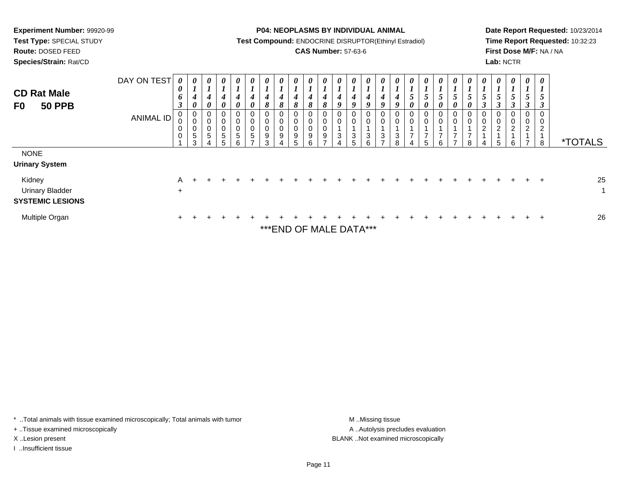**Route:** DOSED FEED

**Species/Strain:** Rat/CD

**P04: NEOPLASMS BY INDIVIDUAL ANIMAL**

**Test Compound:** ENDOCRINE DISRUPTOR(Ethinyl Estradiol)

### **CAS Number:** 57-63-6

**Date Report Requested:** 10/23/2014**Time Report Requested:** 10:32:23**First Dose M/F:** NA / NA**Lab:** NCTR

| <b>CD Rat Male</b><br><b>50 PPB</b><br>F <sub>0</sub>       | DAY ON TEST<br>ANIMAL ID | $\boldsymbol{\theta}$<br>0<br>6<br>$\mathbf{J}$<br>0<br>0<br>0 | $\boldsymbol{\theta}$<br>$\mathbf{I}$<br>4<br>0<br>0<br>$\mathbf 0$<br>0<br>$\,$ 5 $\,$<br>3 | $\boldsymbol{\theta}$<br>4<br>0<br>0<br>$\pmb{0}$<br>$\pmb{0}$<br>$\sqrt{5}$<br>4 | $\boldsymbol{\theta}$<br>4<br>$\boldsymbol{\theta}$<br>0<br>$\,0\,$<br>0<br>$\sqrt{5}$ | $\boldsymbol{\theta}$<br>4<br>$\boldsymbol{\theta}$<br>0<br>$\mathbf 0$<br>$\sqrt{5}$ | $\boldsymbol{\theta}$<br>4<br>0<br>0<br>0<br>0<br>$\sqrt{5}$ | $\boldsymbol{\theta}$<br>4<br>8<br>0<br>$\pmb{0}$<br>0<br>9<br>$\sim$ | $\boldsymbol{\mathit{U}}$<br>4<br>$\mathbf o$<br>0<br>$\pmb{0}$<br>$\pmb{0}$<br>9 | 0<br>4<br>$\Omega$<br>$\sigma$<br>0<br>0<br>9 | 4<br>$\mathbf o$<br>0<br>$\mathbf 0$<br>$\mathbf 0$<br>9<br>⌒ | U<br>4<br>8<br>0<br>0<br>0<br>$9\,$ | $\boldsymbol{\theta}$<br>4<br>9<br>0<br>0<br>3 | 0<br>4<br>9<br>$\mathbf 0$<br>3<br>5                        | $\boldsymbol{\theta}$<br>4<br>Q<br>0<br>$\pmb{0}$<br>3<br>ี | $\boldsymbol{\theta}$<br>4<br>$\boldsymbol{o}$<br>0<br>$\,0\,$<br>3 | 4<br>0<br>$\pmb{0}$<br>3<br>$\Omega$ | $\theta$<br>0 | $\boldsymbol{\theta}$<br>5<br>0<br>0<br>–<br>5 | $\boldsymbol{\theta}$<br>$\mathcal{L}$<br>$\boldsymbol{\theta}$<br>0<br>$\pmb{0}$<br>⇁ | $\boldsymbol{\mathit{U}}$<br>$\mathcal{L}$<br>0<br>0<br>0<br>$\overline{ }$ | v<br>$\mathcal{I}$<br>0 | $\theta$<br>C<br>0<br>$\mathbf 0$<br>$\overline{2}$ | $\theta$<br>5<br>0<br>0<br>$\overline{2}$<br>5 | $\boldsymbol{\theta}$<br>$\mathcal{L}$<br>J<br>0<br>$\pmb{0}$<br>$\overline{2}$<br>$\overline{A}$<br>6 | $\boldsymbol{\theta}$<br>$\overline{ }$<br>$\mathcal{I}$<br>0<br>0<br>ົ<br>$\epsilon$ | $\boldsymbol{\theta}$<br>$\boldsymbol{l}$<br>$\mathfrak{s}$<br>$\boldsymbol{\beta}$<br>0<br>0<br>2<br>8 | <i><b>*TOTALS</b></i> |
|-------------------------------------------------------------|--------------------------|----------------------------------------------------------------|----------------------------------------------------------------------------------------------|-----------------------------------------------------------------------------------|----------------------------------------------------------------------------------------|---------------------------------------------------------------------------------------|--------------------------------------------------------------|-----------------------------------------------------------------------|-----------------------------------------------------------------------------------|-----------------------------------------------|---------------------------------------------------------------|-------------------------------------|------------------------------------------------|-------------------------------------------------------------|-------------------------------------------------------------|---------------------------------------------------------------------|--------------------------------------|---------------|------------------------------------------------|----------------------------------------------------------------------------------------|-----------------------------------------------------------------------------|-------------------------|-----------------------------------------------------|------------------------------------------------|--------------------------------------------------------------------------------------------------------|---------------------------------------------------------------------------------------|---------------------------------------------------------------------------------------------------------|-----------------------|
| <b>NONE</b><br><b>Urinary System</b>                        |                          |                                                                |                                                                                              |                                                                                   |                                                                                        |                                                                                       |                                                              |                                                                       |                                                                                   |                                               |                                                               |                                     |                                                |                                                             |                                                             |                                                                     |                                      |               |                                                |                                                                                        |                                                                             |                         |                                                     |                                                |                                                                                                        |                                                                                       |                                                                                                         |                       |
| Kidney<br><b>Urinary Bladder</b><br><b>SYSTEMIC LESIONS</b> |                          | A<br>$\ddot{}$                                                 |                                                                                              |                                                                                   |                                                                                        |                                                                                       |                                                              |                                                                       |                                                                                   |                                               |                                                               |                                     |                                                |                                                             |                                                             |                                                                     |                                      |               |                                                |                                                                                        |                                                                             |                         |                                                     |                                                |                                                                                                        |                                                                                       | $\pm$                                                                                                   | 25                    |
| Multiple Organ                                              |                          | $+$                                                            | ÷.                                                                                           |                                                                                   |                                                                                        |                                                                                       |                                                              |                                                                       |                                                                                   |                                               |                                                               |                                     |                                                | $+$ ++ $\Gamma$ NID $\Omega$ $\Gamma$ NANI $\Gamma$ DATA+++ |                                                             |                                                                     |                                      |               |                                                |                                                                                        |                                                                             |                         |                                                     |                                                |                                                                                                        |                                                                                       | $\pm$                                                                                                   | 26                    |

\*END OF MALE DATA\*

\* ..Total animals with tissue examined microscopically; Total animals with tumor **M** . Missing tissue M ..Missing tissue

+ ..Tissue examined microscopically

I ..Insufficient tissue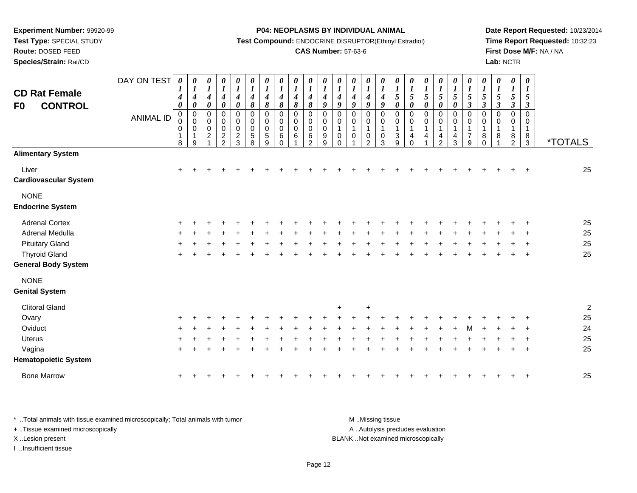**Test Type:** SPECIAL STUDY

**Route:** DOSED FEED

**Species/Strain:** Rat/CD

#### **P04: NEOPLASMS BY INDIVIDUAL ANIMAL**

**Test Compound:** ENDOCRINE DISRUPTOR(Ethinyl Estradiol)

### **CAS Number:** 57-63-6

**Date Report Requested:** 10/23/2014**Time Report Requested:** 10:32:23**First Dose M/F:** NA / NA**Lab:** NCTR

| <b>CD Rat Female</b><br><b>CONTROL</b><br>F <sub>0</sub> | DAY ON TEST<br><b>ANIMAL ID</b> | 0<br>$\boldsymbol{l}$<br>4<br>$\boldsymbol{\theta}$<br>$\pmb{0}$<br>0<br>$\pmb{0}$<br>$\mathbf{1}$<br>8 | 0<br>$\boldsymbol{l}$<br>$\boldsymbol{4}$<br>$\pmb{\theta}$<br>$\pmb{0}$<br>$\pmb{0}$<br>$\pmb{0}$<br>1<br>9 | 0<br>$\boldsymbol{l}$<br>$\boldsymbol{4}$<br>$\pmb{\theta}$<br>$\pmb{0}$<br>$\pmb{0}$<br>$\mathbf 0$<br>$\boldsymbol{2}$ | $\frac{\theta}{I}$<br>$\boldsymbol{4}$<br>$\pmb{\theta}$<br>$\pmb{0}$<br>$\mathsf{O}\xspace$<br>$\mathsf{O}\xspace$<br>$\frac{2}{2}$ | 0<br>$\boldsymbol{l}$<br>$\boldsymbol{4}$<br>$\pmb{\theta}$<br>$\pmb{0}$<br>$\pmb{0}$<br>$\pmb{0}$<br>$\frac{2}{3}$ | $\boldsymbol{\theta}$<br>$\boldsymbol{l}$<br>$\boldsymbol{4}$<br>$\boldsymbol{\delta}$<br>$\pmb{0}$<br>$\pmb{0}$<br>$\mathbf 0$<br>5<br>8 | 0<br>$\boldsymbol{l}$<br>4<br>8<br>$\mathbf 0$<br>0<br>$\mathbf 0$<br>$\sqrt{5}$<br>9 | $\boldsymbol{\theta}$<br>$\boldsymbol{l}$<br>$\boldsymbol{4}$<br>$\pmb{8}$<br>$\mathbf 0$<br>0<br>$\mathbf 0$<br>6<br>$\Omega$ | 0<br>$\boldsymbol{l}$<br>4<br>8<br>$\mathbf 0$<br>$\mathbf 0$<br>$\mathbf 0$<br>6 | 0<br>$\boldsymbol{l}$<br>$\boldsymbol{4}$<br>$\pmb{8}$<br>$\mathbf 0$<br>0<br>$\mathbf 0$<br>6<br>$\mathcal{P}$ | 0<br>$\boldsymbol{l}$<br>4<br>$\boldsymbol{g}$<br>$\mathbf 0$<br>0<br>$\mathbf 0$<br>9<br>9 | 0<br>$\boldsymbol{l}$<br>$\boldsymbol{4}$<br>9<br>$\mathbf 0$<br>0<br>$\mathbf 1$<br>0<br>$\Omega$ | 0<br>$\boldsymbol{l}$<br>$\boldsymbol{4}$<br>9<br>$\mathbf 0$<br>$\overline{0}$<br>$\mathbf{1}$<br>$\mathbf 0$<br>1 | 0<br>$\boldsymbol{l}$<br>$\boldsymbol{4}$<br>9<br>$\pmb{0}$<br>$\pmb{0}$<br>$\mathbf{1}$<br>$\pmb{0}$<br>$\mathcal{P}$ | 0<br>$\boldsymbol{l}$<br>$\boldsymbol{4}$<br>$\boldsymbol{9}$<br>$\mathbf 0$<br>0<br>1<br>0<br>3 | 0<br>$\boldsymbol{l}$<br>5<br>$\pmb{\theta}$<br>$\mathbf 0$<br>$\mathbf 0$<br>$\mathbf{3}$<br>9 | 0<br>$\boldsymbol{l}$<br>$\sqrt{5}$<br>$\pmb{\theta}$<br>$\mathbf 0$<br>$\,0\,$<br>$\mathbf{1}$<br>4<br>$\Omega$ | $\begin{matrix} 0 \\ 1 \end{matrix}$<br>5<br>$\pmb{\theta}$<br>$\mathbf 0$<br>$\pmb{0}$<br>$\mathbf{1}$<br>4 | $\boldsymbol{\theta}$<br>$\boldsymbol{l}$<br>$\mathfrak{s}$<br>$\pmb{\theta}$<br>$\pmb{0}$<br>$\pmb{0}$<br>$\mathbf{1}$<br>$\overline{\mathbf{4}}$<br>$\overline{2}$ | 0<br>$\boldsymbol{l}$<br>$\mathfrak{s}$<br>0<br>0<br>0<br>$\mathbf{1}$<br>4<br>3 | $\boldsymbol{\theta}$<br>$\boldsymbol{l}$<br>$\sqrt{5}$<br>$\boldsymbol{\beta}$<br>$\mathbf 0$<br>0<br>$\mathbf{1}$<br>$\overline{7}$<br>9 | 0<br>$\boldsymbol{l}$<br>5<br>$\mathfrak{z}$<br>0<br>0<br>1<br>8<br>$\Omega$ | 0<br>$\boldsymbol{l}$<br>5<br>$\boldsymbol{\beta}$<br>$\mathbf 0$<br>0<br>8 | 0<br>$\boldsymbol{l}$<br>5<br>$\boldsymbol{\beta}$<br>$\mathbf 0$<br>0<br>-1<br>8<br>$\mathfrak{p}$ | $\boldsymbol{\theta}$<br>$\boldsymbol{l}$<br>5<br>$\boldsymbol{\beta}$<br>$\mathbf 0$<br>0<br>8<br>3 | <i><b>*TOTALS</b></i> |
|----------------------------------------------------------|---------------------------------|---------------------------------------------------------------------------------------------------------|--------------------------------------------------------------------------------------------------------------|--------------------------------------------------------------------------------------------------------------------------|--------------------------------------------------------------------------------------------------------------------------------------|---------------------------------------------------------------------------------------------------------------------|-------------------------------------------------------------------------------------------------------------------------------------------|---------------------------------------------------------------------------------------|--------------------------------------------------------------------------------------------------------------------------------|-----------------------------------------------------------------------------------|-----------------------------------------------------------------------------------------------------------------|---------------------------------------------------------------------------------------------|----------------------------------------------------------------------------------------------------|---------------------------------------------------------------------------------------------------------------------|------------------------------------------------------------------------------------------------------------------------|--------------------------------------------------------------------------------------------------|-------------------------------------------------------------------------------------------------|------------------------------------------------------------------------------------------------------------------|--------------------------------------------------------------------------------------------------------------|----------------------------------------------------------------------------------------------------------------------------------------------------------------------|----------------------------------------------------------------------------------|--------------------------------------------------------------------------------------------------------------------------------------------|------------------------------------------------------------------------------|-----------------------------------------------------------------------------|-----------------------------------------------------------------------------------------------------|------------------------------------------------------------------------------------------------------|-----------------------|
| <b>Alimentary System</b>                                 |                                 |                                                                                                         |                                                                                                              |                                                                                                                          |                                                                                                                                      |                                                                                                                     |                                                                                                                                           |                                                                                       |                                                                                                                                |                                                                                   |                                                                                                                 |                                                                                             |                                                                                                    |                                                                                                                     |                                                                                                                        |                                                                                                  |                                                                                                 |                                                                                                                  |                                                                                                              |                                                                                                                                                                      |                                                                                  |                                                                                                                                            |                                                                              |                                                                             |                                                                                                     |                                                                                                      |                       |
| Liver<br><b>Cardiovascular System</b>                    |                                 | $\ddot{}$                                                                                               |                                                                                                              |                                                                                                                          |                                                                                                                                      |                                                                                                                     |                                                                                                                                           |                                                                                       |                                                                                                                                |                                                                                   |                                                                                                                 |                                                                                             |                                                                                                    |                                                                                                                     |                                                                                                                        |                                                                                                  |                                                                                                 |                                                                                                                  |                                                                                                              |                                                                                                                                                                      |                                                                                  |                                                                                                                                            |                                                                              |                                                                             |                                                                                                     |                                                                                                      | 25                    |
| <b>NONE</b>                                              |                                 |                                                                                                         |                                                                                                              |                                                                                                                          |                                                                                                                                      |                                                                                                                     |                                                                                                                                           |                                                                                       |                                                                                                                                |                                                                                   |                                                                                                                 |                                                                                             |                                                                                                    |                                                                                                                     |                                                                                                                        |                                                                                                  |                                                                                                 |                                                                                                                  |                                                                                                              |                                                                                                                                                                      |                                                                                  |                                                                                                                                            |                                                                              |                                                                             |                                                                                                     |                                                                                                      |                       |
| <b>Endocrine System</b>                                  |                                 |                                                                                                         |                                                                                                              |                                                                                                                          |                                                                                                                                      |                                                                                                                     |                                                                                                                                           |                                                                                       |                                                                                                                                |                                                                                   |                                                                                                                 |                                                                                             |                                                                                                    |                                                                                                                     |                                                                                                                        |                                                                                                  |                                                                                                 |                                                                                                                  |                                                                                                              |                                                                                                                                                                      |                                                                                  |                                                                                                                                            |                                                                              |                                                                             |                                                                                                     |                                                                                                      |                       |
| <b>Adrenal Cortex</b>                                    |                                 |                                                                                                         |                                                                                                              |                                                                                                                          |                                                                                                                                      |                                                                                                                     |                                                                                                                                           |                                                                                       |                                                                                                                                |                                                                                   |                                                                                                                 |                                                                                             |                                                                                                    |                                                                                                                     |                                                                                                                        |                                                                                                  |                                                                                                 |                                                                                                                  |                                                                                                              |                                                                                                                                                                      |                                                                                  |                                                                                                                                            |                                                                              |                                                                             |                                                                                                     |                                                                                                      | 25                    |
| Adrenal Medulla                                          |                                 |                                                                                                         |                                                                                                              |                                                                                                                          |                                                                                                                                      |                                                                                                                     |                                                                                                                                           |                                                                                       |                                                                                                                                |                                                                                   |                                                                                                                 |                                                                                             |                                                                                                    |                                                                                                                     |                                                                                                                        |                                                                                                  |                                                                                                 |                                                                                                                  |                                                                                                              |                                                                                                                                                                      |                                                                                  |                                                                                                                                            |                                                                              |                                                                             |                                                                                                     |                                                                                                      | 25                    |
| <b>Pituitary Gland</b>                                   |                                 |                                                                                                         |                                                                                                              |                                                                                                                          |                                                                                                                                      |                                                                                                                     |                                                                                                                                           |                                                                                       |                                                                                                                                |                                                                                   |                                                                                                                 |                                                                                             |                                                                                                    |                                                                                                                     |                                                                                                                        |                                                                                                  |                                                                                                 |                                                                                                                  |                                                                                                              |                                                                                                                                                                      |                                                                                  |                                                                                                                                            |                                                                              |                                                                             |                                                                                                     |                                                                                                      | 25                    |
| <b>Thyroid Gland</b>                                     |                                 | $\ddot{}$                                                                                               |                                                                                                              |                                                                                                                          |                                                                                                                                      |                                                                                                                     |                                                                                                                                           |                                                                                       |                                                                                                                                |                                                                                   |                                                                                                                 |                                                                                             |                                                                                                    |                                                                                                                     |                                                                                                                        |                                                                                                  |                                                                                                 |                                                                                                                  |                                                                                                              |                                                                                                                                                                      |                                                                                  |                                                                                                                                            |                                                                              |                                                                             |                                                                                                     | $\ddot{}$                                                                                            | 25                    |
| <b>General Body System</b>                               |                                 |                                                                                                         |                                                                                                              |                                                                                                                          |                                                                                                                                      |                                                                                                                     |                                                                                                                                           |                                                                                       |                                                                                                                                |                                                                                   |                                                                                                                 |                                                                                             |                                                                                                    |                                                                                                                     |                                                                                                                        |                                                                                                  |                                                                                                 |                                                                                                                  |                                                                                                              |                                                                                                                                                                      |                                                                                  |                                                                                                                                            |                                                                              |                                                                             |                                                                                                     |                                                                                                      |                       |
| <b>NONE</b>                                              |                                 |                                                                                                         |                                                                                                              |                                                                                                                          |                                                                                                                                      |                                                                                                                     |                                                                                                                                           |                                                                                       |                                                                                                                                |                                                                                   |                                                                                                                 |                                                                                             |                                                                                                    |                                                                                                                     |                                                                                                                        |                                                                                                  |                                                                                                 |                                                                                                                  |                                                                                                              |                                                                                                                                                                      |                                                                                  |                                                                                                                                            |                                                                              |                                                                             |                                                                                                     |                                                                                                      |                       |
| <b>Genital System</b>                                    |                                 |                                                                                                         |                                                                                                              |                                                                                                                          |                                                                                                                                      |                                                                                                                     |                                                                                                                                           |                                                                                       |                                                                                                                                |                                                                                   |                                                                                                                 |                                                                                             |                                                                                                    |                                                                                                                     |                                                                                                                        |                                                                                                  |                                                                                                 |                                                                                                                  |                                                                                                              |                                                                                                                                                                      |                                                                                  |                                                                                                                                            |                                                                              |                                                                             |                                                                                                     |                                                                                                      |                       |
| <b>Clitoral Gland</b>                                    |                                 |                                                                                                         |                                                                                                              |                                                                                                                          |                                                                                                                                      |                                                                                                                     |                                                                                                                                           |                                                                                       |                                                                                                                                |                                                                                   |                                                                                                                 |                                                                                             | $+$                                                                                                |                                                                                                                     | $\overline{ }$                                                                                                         |                                                                                                  |                                                                                                 |                                                                                                                  |                                                                                                              |                                                                                                                                                                      |                                                                                  |                                                                                                                                            |                                                                              |                                                                             |                                                                                                     |                                                                                                      | $\overline{c}$        |
| Ovary                                                    |                                 |                                                                                                         |                                                                                                              |                                                                                                                          |                                                                                                                                      |                                                                                                                     |                                                                                                                                           |                                                                                       |                                                                                                                                |                                                                                   |                                                                                                                 |                                                                                             |                                                                                                    |                                                                                                                     |                                                                                                                        |                                                                                                  |                                                                                                 |                                                                                                                  |                                                                                                              |                                                                                                                                                                      |                                                                                  |                                                                                                                                            |                                                                              |                                                                             |                                                                                                     |                                                                                                      | 25                    |
| Oviduct                                                  |                                 |                                                                                                         |                                                                                                              |                                                                                                                          |                                                                                                                                      |                                                                                                                     |                                                                                                                                           |                                                                                       |                                                                                                                                |                                                                                   |                                                                                                                 |                                                                                             |                                                                                                    |                                                                                                                     |                                                                                                                        |                                                                                                  |                                                                                                 |                                                                                                                  |                                                                                                              |                                                                                                                                                                      |                                                                                  |                                                                                                                                            |                                                                              |                                                                             |                                                                                                     |                                                                                                      | 24                    |
| Uterus                                                   |                                 |                                                                                                         |                                                                                                              |                                                                                                                          |                                                                                                                                      |                                                                                                                     |                                                                                                                                           |                                                                                       |                                                                                                                                |                                                                                   |                                                                                                                 |                                                                                             |                                                                                                    |                                                                                                                     |                                                                                                                        |                                                                                                  |                                                                                                 |                                                                                                                  |                                                                                                              |                                                                                                                                                                      |                                                                                  |                                                                                                                                            |                                                                              |                                                                             |                                                                                                     |                                                                                                      | 25                    |
| Vagina                                                   |                                 | +                                                                                                       |                                                                                                              |                                                                                                                          |                                                                                                                                      |                                                                                                                     |                                                                                                                                           |                                                                                       |                                                                                                                                |                                                                                   |                                                                                                                 |                                                                                             |                                                                                                    |                                                                                                                     |                                                                                                                        |                                                                                                  |                                                                                                 |                                                                                                                  |                                                                                                              |                                                                                                                                                                      |                                                                                  |                                                                                                                                            |                                                                              |                                                                             |                                                                                                     |                                                                                                      | 25                    |
| <b>Hematopoietic System</b>                              |                                 |                                                                                                         |                                                                                                              |                                                                                                                          |                                                                                                                                      |                                                                                                                     |                                                                                                                                           |                                                                                       |                                                                                                                                |                                                                                   |                                                                                                                 |                                                                                             |                                                                                                    |                                                                                                                     |                                                                                                                        |                                                                                                  |                                                                                                 |                                                                                                                  |                                                                                                              |                                                                                                                                                                      |                                                                                  |                                                                                                                                            |                                                                              |                                                                             |                                                                                                     |                                                                                                      |                       |
| <b>Bone Marrow</b>                                       |                                 | $\ddot{}$                                                                                               |                                                                                                              |                                                                                                                          |                                                                                                                                      |                                                                                                                     |                                                                                                                                           |                                                                                       |                                                                                                                                |                                                                                   |                                                                                                                 |                                                                                             |                                                                                                    |                                                                                                                     |                                                                                                                        |                                                                                                  |                                                                                                 |                                                                                                                  |                                                                                                              |                                                                                                                                                                      |                                                                                  |                                                                                                                                            |                                                                              |                                                                             |                                                                                                     |                                                                                                      | 25                    |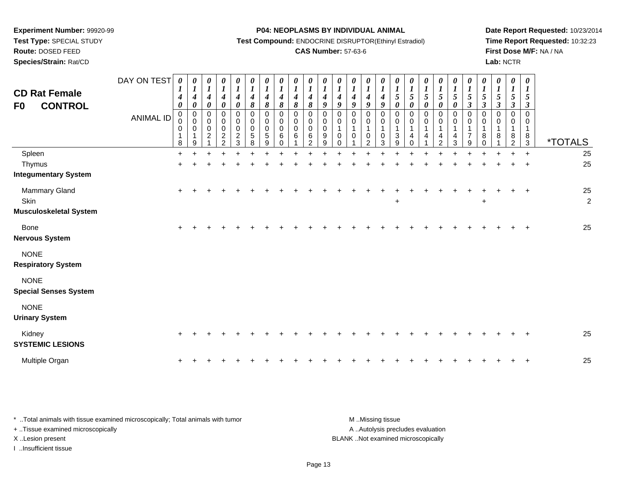**Test Type:** SPECIAL STUDY

**Route:** DOSED FEED

**Species/Strain:** Rat/CD

#### **P04: NEOPLASMS BY INDIVIDUAL ANIMAL**

**Test Compound:** ENDOCRINE DISRUPTOR(Ethinyl Estradiol)

# **CAS Number:** 57-63-6

**Date Report Requested:** 10/23/2014 **Time Report Requested:** 10:32:23**First Dose M/F:** NA / NA**Lab:** NCTR

| <b>CD Rat Female</b><br><b>CONTROL</b><br>F <sub>0</sub> | DAY ON TEST<br><b>ANIMAL ID</b> | 0<br>$\bm{l}$<br>$\boldsymbol{4}$<br>$\boldsymbol{\theta}$<br>$\pmb{0}$<br>0<br>0<br>$\mathbf 1$<br>$\bf 8$ | $\boldsymbol{\theta}$<br>$\boldsymbol{l}$<br>$\boldsymbol{4}$<br>$\boldsymbol{\theta}$<br>$\pmb{0}$<br>$\pmb{0}$<br>$\pmb{0}$<br>$\mathbf{1}$<br>9 | 0<br>$\boldsymbol{l}$<br>$\boldsymbol{4}$<br>$\boldsymbol{\theta}$<br>$\mathbf 0$<br>$\pmb{0}$<br>$\ddot{\mathbf{0}}$<br>$\overline{c}$ | 0<br>$\boldsymbol{I}$<br>$\boldsymbol{4}$<br>$\pmb{\theta}$<br>$\,0\,$<br>$\mathbf 0$<br>$\pmb{0}$<br>$\overline{c}$<br>$\mathcal{P}$ | 0<br>$\boldsymbol{l}$<br>$\boldsymbol{4}$<br>$\boldsymbol{\theta}$<br>0<br>$\pmb{0}$<br>$\pmb{0}$<br>$\frac{2}{3}$ | 0<br>$\boldsymbol{l}$<br>$\boldsymbol{4}$<br>$\pmb{8}$<br>$\pmb{0}$<br>$\mathbf 0$<br>$\mathbf 0$<br>$\sqrt{5}$<br>8 | 0<br>$\boldsymbol{l}$<br>4<br>8<br>$\mathbf 0$<br>0<br>$\mathbf 0$<br>5<br>9 | 0<br>$\boldsymbol{l}$<br>4<br>$\pmb{8}$<br>$\mathbf 0$<br>0<br>$\mathbf 0$<br>$\,6\,$<br>$\Omega$ | 0<br>$\boldsymbol{l}$<br>$\boldsymbol{4}$<br>8<br>$\mathbf 0$<br>0<br>$\mathbf 0$<br>6 | $\frac{\boldsymbol{\theta}}{\boldsymbol{I}}$<br>$\boldsymbol{4}$<br>8<br>$\mathbf 0$<br>$\pmb{0}$<br>$\mathbf 0$<br>6<br>$\mathcal{P}$ | 0<br>$\boldsymbol{l}$<br>$\boldsymbol{4}$<br>9<br>0<br>0<br>0<br>9<br>9 | 0<br>$\boldsymbol{l}$<br>$\boldsymbol{4}$<br>9<br>0<br>0<br>$\mathbf{1}$<br>0<br>$\Omega$ | 0<br>$\boldsymbol{l}$<br>$\boldsymbol{4}$<br>9<br>$\mathbf 0$<br>0<br>1<br>$\mathbf 0$ | 0<br>$\boldsymbol{l}$<br>4<br>9<br>0<br>0<br>1<br>$\pmb{0}$<br>$\mathcal{P}$ | 0<br>$\boldsymbol{l}$<br>$\boldsymbol{4}$<br>9<br>$\mathbf 0$<br>0<br>$\mathbf 1$<br>$\,0\,$<br>3 | $\boldsymbol{\theta}$<br>$\boldsymbol{l}$<br>5<br>$\boldsymbol{\theta}$<br>$\mathbf 0$<br>0<br>$\mathbf{1}$<br>3<br>9 | 0<br>$\boldsymbol{l}$<br>$\mathfrak{s}$<br>$\boldsymbol{\theta}$<br>$\mathbf 0$<br>$\pmb{0}$<br>$\overline{4}$<br>∩ | $\boldsymbol{\theta}$<br>$\boldsymbol{l}$<br>$\mathfrak{s}$<br>$\boldsymbol{\theta}$<br>0<br>$\pmb{0}$<br>$\mathbf{1}$<br>4 | 0<br>$\boldsymbol{l}$<br>$\sqrt{5}$<br>0<br>0<br>0<br>$\mathbf{1}$<br>$\overline{\mathbf{4}}$<br>$\mathcal{P}$ | 0<br>$\boldsymbol{l}$<br>$\sqrt{5}$<br>0<br>$\mathbf 0$<br>0<br>$\mathbf{1}$<br>$\overline{\mathbf{4}}$<br>3 | 0<br>$\boldsymbol{l}$<br>5<br>$\mathbf{3}$<br>$\Omega$<br>0<br>1<br>$\overline{7}$<br>9 | 0<br>$\boldsymbol{l}$<br>5<br>$\boldsymbol{\beta}$<br>$\Omega$<br>0<br>8<br>$\Omega$ | 0<br>$\boldsymbol{l}$<br>5<br>$\mathfrak{z}$<br>$\Omega$<br>$\Omega$<br>8 | $\pmb{\theta}$<br>$\boldsymbol{l}$<br>5<br>$\mathfrak{z}$<br>$\mathbf 0$<br>0<br>8<br>$\mathfrak{D}$ | $\boldsymbol{\theta}$<br>$\boldsymbol{l}$<br>$\mathfrak{H}$<br>$\mathbf{3}$<br>0<br>0<br>$\mathbf{1}$<br>$\frac{8}{3}$ | <i><b>*TOTALS</b></i> |
|----------------------------------------------------------|---------------------------------|-------------------------------------------------------------------------------------------------------------|----------------------------------------------------------------------------------------------------------------------------------------------------|-----------------------------------------------------------------------------------------------------------------------------------------|---------------------------------------------------------------------------------------------------------------------------------------|--------------------------------------------------------------------------------------------------------------------|----------------------------------------------------------------------------------------------------------------------|------------------------------------------------------------------------------|---------------------------------------------------------------------------------------------------|----------------------------------------------------------------------------------------|----------------------------------------------------------------------------------------------------------------------------------------|-------------------------------------------------------------------------|-------------------------------------------------------------------------------------------|----------------------------------------------------------------------------------------|------------------------------------------------------------------------------|---------------------------------------------------------------------------------------------------|-----------------------------------------------------------------------------------------------------------------------|---------------------------------------------------------------------------------------------------------------------|-----------------------------------------------------------------------------------------------------------------------------|----------------------------------------------------------------------------------------------------------------|--------------------------------------------------------------------------------------------------------------|-----------------------------------------------------------------------------------------|--------------------------------------------------------------------------------------|---------------------------------------------------------------------------|------------------------------------------------------------------------------------------------------|------------------------------------------------------------------------------------------------------------------------|-----------------------|
| Spleen                                                   |                                 | $\ddot{}$                                                                                                   |                                                                                                                                                    |                                                                                                                                         |                                                                                                                                       |                                                                                                                    |                                                                                                                      |                                                                              |                                                                                                   |                                                                                        |                                                                                                                                        |                                                                         |                                                                                           |                                                                                        |                                                                              |                                                                                                   |                                                                                                                       |                                                                                                                     |                                                                                                                             |                                                                                                                |                                                                                                              |                                                                                         |                                                                                      |                                                                           |                                                                                                      | $\ddot{}$                                                                                                              | 25                    |
| Thymus                                                   |                                 |                                                                                                             |                                                                                                                                                    |                                                                                                                                         |                                                                                                                                       |                                                                                                                    |                                                                                                                      |                                                                              |                                                                                                   |                                                                                        |                                                                                                                                        |                                                                         |                                                                                           |                                                                                        |                                                                              |                                                                                                   |                                                                                                                       |                                                                                                                     |                                                                                                                             |                                                                                                                |                                                                                                              |                                                                                         |                                                                                      |                                                                           |                                                                                                      | $\ddot{}$                                                                                                              | 25                    |
| <b>Integumentary System</b>                              |                                 |                                                                                                             |                                                                                                                                                    |                                                                                                                                         |                                                                                                                                       |                                                                                                                    |                                                                                                                      |                                                                              |                                                                                                   |                                                                                        |                                                                                                                                        |                                                                         |                                                                                           |                                                                                        |                                                                              |                                                                                                   |                                                                                                                       |                                                                                                                     |                                                                                                                             |                                                                                                                |                                                                                                              |                                                                                         |                                                                                      |                                                                           |                                                                                                      |                                                                                                                        |                       |
| Mammary Gland<br>Skin<br><b>Musculoskeletal System</b>   |                                 | $\ddot{}$                                                                                                   |                                                                                                                                                    |                                                                                                                                         |                                                                                                                                       |                                                                                                                    |                                                                                                                      |                                                                              |                                                                                                   |                                                                                        |                                                                                                                                        |                                                                         |                                                                                           |                                                                                        |                                                                              |                                                                                                   | $\ddot{}$                                                                                                             |                                                                                                                     |                                                                                                                             |                                                                                                                |                                                                                                              |                                                                                         | $\ddot{}$                                                                            |                                                                           |                                                                                                      | $\ddot{}$                                                                                                              | 25<br>$\overline{2}$  |
| <b>Bone</b><br><b>Nervous System</b>                     |                                 | $\ddot{}$                                                                                                   |                                                                                                                                                    |                                                                                                                                         |                                                                                                                                       |                                                                                                                    |                                                                                                                      |                                                                              |                                                                                                   |                                                                                        |                                                                                                                                        |                                                                         |                                                                                           |                                                                                        |                                                                              |                                                                                                   |                                                                                                                       |                                                                                                                     |                                                                                                                             |                                                                                                                |                                                                                                              |                                                                                         |                                                                                      |                                                                           |                                                                                                      | $\overline{+}$                                                                                                         | 25                    |
| <b>NONE</b><br><b>Respiratory System</b>                 |                                 |                                                                                                             |                                                                                                                                                    |                                                                                                                                         |                                                                                                                                       |                                                                                                                    |                                                                                                                      |                                                                              |                                                                                                   |                                                                                        |                                                                                                                                        |                                                                         |                                                                                           |                                                                                        |                                                                              |                                                                                                   |                                                                                                                       |                                                                                                                     |                                                                                                                             |                                                                                                                |                                                                                                              |                                                                                         |                                                                                      |                                                                           |                                                                                                      |                                                                                                                        |                       |
| <b>NONE</b><br><b>Special Senses System</b>              |                                 |                                                                                                             |                                                                                                                                                    |                                                                                                                                         |                                                                                                                                       |                                                                                                                    |                                                                                                                      |                                                                              |                                                                                                   |                                                                                        |                                                                                                                                        |                                                                         |                                                                                           |                                                                                        |                                                                              |                                                                                                   |                                                                                                                       |                                                                                                                     |                                                                                                                             |                                                                                                                |                                                                                                              |                                                                                         |                                                                                      |                                                                           |                                                                                                      |                                                                                                                        |                       |
| <b>NONE</b><br><b>Urinary System</b>                     |                                 |                                                                                                             |                                                                                                                                                    |                                                                                                                                         |                                                                                                                                       |                                                                                                                    |                                                                                                                      |                                                                              |                                                                                                   |                                                                                        |                                                                                                                                        |                                                                         |                                                                                           |                                                                                        |                                                                              |                                                                                                   |                                                                                                                       |                                                                                                                     |                                                                                                                             |                                                                                                                |                                                                                                              |                                                                                         |                                                                                      |                                                                           |                                                                                                      |                                                                                                                        |                       |
| Kidney<br><b>SYSTEMIC LESIONS</b>                        |                                 | $\pm$                                                                                                       |                                                                                                                                                    |                                                                                                                                         |                                                                                                                                       |                                                                                                                    |                                                                                                                      |                                                                              |                                                                                                   |                                                                                        |                                                                                                                                        |                                                                         |                                                                                           |                                                                                        |                                                                              |                                                                                                   |                                                                                                                       |                                                                                                                     |                                                                                                                             |                                                                                                                |                                                                                                              |                                                                                         |                                                                                      |                                                                           |                                                                                                      |                                                                                                                        | 25                    |
| Multiple Organ                                           |                                 |                                                                                                             |                                                                                                                                                    |                                                                                                                                         |                                                                                                                                       |                                                                                                                    |                                                                                                                      |                                                                              |                                                                                                   |                                                                                        |                                                                                                                                        |                                                                         |                                                                                           |                                                                                        |                                                                              |                                                                                                   |                                                                                                                       |                                                                                                                     |                                                                                                                             |                                                                                                                |                                                                                                              |                                                                                         |                                                                                      |                                                                           |                                                                                                      |                                                                                                                        | 25                    |

| * Total animals with tissue examined microscopically; Total animals with tumor | M Missing tissue                   |
|--------------------------------------------------------------------------------|------------------------------------|
| + Tissue examined microscopically                                              | A Autolysis precludes evaluation   |
| X Lesion present                                                               | BLANK Not examined microscopically |
| Insufficient tissue                                                            |                                    |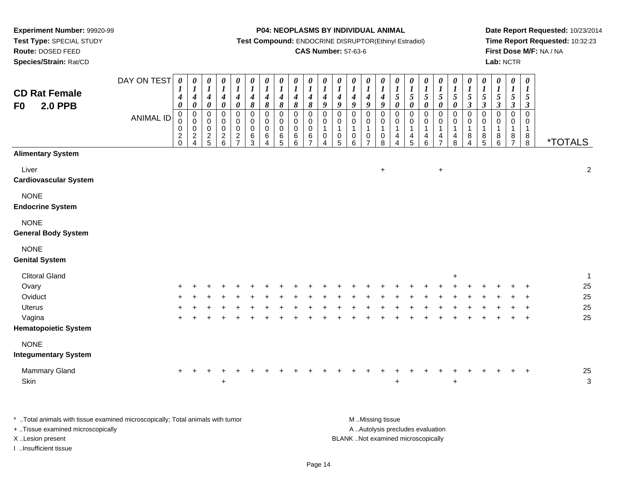**Route:** DOSED FEED

**Species/Strain:** Rat/CD

#### **P04: NEOPLASMS BY INDIVIDUAL ANIMAL**

**Test Compound:** ENDOCRINE DISRUPTOR(Ethinyl Estradiol)

## **CAS Number:** 57-63-6

**Date Report Requested:** 10/23/2014**Time Report Requested:** 10:32:23**First Dose M/F:** NA / NA**Lab:** NCTR

| <b>CD Rat Female</b><br><b>2.0 PPB</b><br>F <sub>0</sub>                                                                                                          | DAY ON TEST<br><b>ANIMAL ID</b> | $\pmb{\theta}$<br>$\boldsymbol{l}$<br>4<br>$\boldsymbol{\theta}$<br>$\mathbf 0$<br>0<br>$\pmb{0}$<br>$^2_{\rm 0}$ | $\pmb{\theta}$<br>$\boldsymbol{l}$<br>4<br>$\pmb{\theta}$<br>$\pmb{0}$<br>$\pmb{0}$<br>0<br>$\frac{2}{4}$ | $\pmb{\theta}$<br>$\boldsymbol{l}$<br>$\boldsymbol{4}$<br>$\pmb{\theta}$<br>$\boldsymbol{0}$<br>0<br>$\mathbf 0$<br>$\frac{2}{5}$ | 0<br>$\boldsymbol{l}$<br>$\boldsymbol{4}$<br>$\pmb{\theta}$<br>0<br>0<br>0<br>$\begin{array}{c} 2 \\ 6 \end{array}$ | $\boldsymbol{\theta}$<br>$\boldsymbol{l}$<br>$\boldsymbol{4}$<br>$\pmb{\theta}$<br>$\pmb{0}$<br>0<br>$\mathbf 0$<br>$\frac{2}{7}$ | 0<br>$\boldsymbol{l}$<br>$\boldsymbol{4}$<br>$\pmb{8}$<br>$\mathsf 0$<br>0<br>$\pmb{0}$<br>6<br>$\overline{3}$ | 0<br>$\boldsymbol{l}$<br>$\boldsymbol{4}$<br>8<br>$\pmb{0}$<br>0<br>0<br>6<br>4 | $\pmb{\theta}$<br>$\boldsymbol{l}$<br>$\boldsymbol{4}$<br>$\pmb{8}$<br>$\mathbf 0$<br>0<br>$\mathbf 0$<br>$\,6$<br>$\overline{5}$ | 0<br>$\boldsymbol{l}$<br>$\boldsymbol{4}$<br>8<br>$\mathbf 0$<br>0<br>$\mathbf 0$<br>6<br>$6\phantom{a}$ | $\boldsymbol{\theta}$<br>$\boldsymbol{l}$<br>$\boldsymbol{4}$<br>$\pmb{8}$<br>$\pmb{0}$<br>$\mathbf 0$<br>$\pmb{0}$<br>$\,6\,$<br>$\overline{7}$ | 0<br>$\boldsymbol{l}$<br>$\boldsymbol{4}$<br>9<br>$\mathbf 0$<br>0<br>$\mathbf{1}$<br>$\,0\,$<br>4 | $\pmb{\theta}$<br>$\boldsymbol{l}$<br>$\boldsymbol{4}$<br>$\boldsymbol{g}$<br>$\pmb{0}$<br>0<br>$\mathbf{1}$<br>$\begin{array}{c} 0 \\ 5 \end{array}$ | $\boldsymbol{\theta}$<br>$\boldsymbol{l}$<br>$\boldsymbol{4}$<br>$\boldsymbol{g}$<br>$\mathbf 0$<br>0<br>$\overline{1}$<br>$\pmb{0}$<br>6 | 0<br>$\boldsymbol{l}$<br>$\boldsymbol{4}$<br>9<br>$\mathbf 0$<br>0<br>$\mathbf{1}$<br>$\pmb{0}$<br>$\overline{7}$ | 0<br>$\boldsymbol{l}$<br>4<br>$\boldsymbol{9}$<br>$\pmb{0}$<br>0<br>$\mathbf 1$<br>$\pmb{0}$<br>8 | $\boldsymbol{\theta}$<br>$\boldsymbol{l}$<br>5<br>$\pmb{\theta}$<br>$\mathsf 0$<br>0<br>$\mathbf 1$<br>4<br>$\boldsymbol{\Lambda}$ | 0<br>$\boldsymbol{l}$<br>5<br>$\pmb{\theta}$<br>$\pmb{0}$<br>0<br>$\mathbf{1}$<br>4<br>5 | $\pmb{\theta}$<br>$\boldsymbol{l}$<br>$\sqrt{5}$<br>$\pmb{\theta}$<br>$\pmb{0}$<br>0<br>$\mathbf{1}$<br>$\begin{array}{c} 4 \\ 6 \end{array}$ | 0<br>$\boldsymbol{l}$<br>5<br>0<br>$\pmb{0}$<br>0<br>1<br>4<br>$\overline{7}$ | $\pmb{\theta}$<br>$\boldsymbol{l}$<br>5<br>$\pmb{\theta}$<br>$\mathsf 0$<br>0<br>$\mathbf{1}$<br>$\frac{4}{8}$ | $\boldsymbol{\theta}$<br>$\boldsymbol{l}$<br>$\mathfrak{s}$<br>$\boldsymbol{\beta}$<br>$\mathbf 0$<br>0<br>$\mathbf 1$<br>$\,8\,$<br>4 | 0<br>$\boldsymbol{l}$<br>5<br>$\boldsymbol{\beta}$<br>$\mathbf 0$<br>0<br>$\mathbf 1$<br>8<br>$\overline{5}$ | $\pmb{\theta}$<br>$\boldsymbol{l}$<br>$\frac{5}{3}$<br>$\pmb{0}$<br>0<br>$\mathbf{1}$<br>$\begin{array}{c} 8 \\ 6 \end{array}$ | $\boldsymbol{\theta}$<br>$\boldsymbol{l}$<br>$\mathfrak{s}$<br>$\mathfrak{z}$<br>$\pmb{0}$<br>0<br>$\mathbf{1}$<br>$\frac{8}{7}$ | 0<br>$\boldsymbol{I}$<br>5<br>$\boldsymbol{\beta}$<br>$\mathbf 0$<br>0<br>$\mathbf{1}$<br>$_{8}^8$ | <i><b>*TOTALS</b></i>                  |
|-------------------------------------------------------------------------------------------------------------------------------------------------------------------|---------------------------------|-------------------------------------------------------------------------------------------------------------------|-----------------------------------------------------------------------------------------------------------|-----------------------------------------------------------------------------------------------------------------------------------|---------------------------------------------------------------------------------------------------------------------|-----------------------------------------------------------------------------------------------------------------------------------|----------------------------------------------------------------------------------------------------------------|---------------------------------------------------------------------------------|-----------------------------------------------------------------------------------------------------------------------------------|----------------------------------------------------------------------------------------------------------|--------------------------------------------------------------------------------------------------------------------------------------------------|----------------------------------------------------------------------------------------------------|-------------------------------------------------------------------------------------------------------------------------------------------------------|-------------------------------------------------------------------------------------------------------------------------------------------|-------------------------------------------------------------------------------------------------------------------|---------------------------------------------------------------------------------------------------|------------------------------------------------------------------------------------------------------------------------------------|------------------------------------------------------------------------------------------|-----------------------------------------------------------------------------------------------------------------------------------------------|-------------------------------------------------------------------------------|----------------------------------------------------------------------------------------------------------------|----------------------------------------------------------------------------------------------------------------------------------------|--------------------------------------------------------------------------------------------------------------|--------------------------------------------------------------------------------------------------------------------------------|----------------------------------------------------------------------------------------------------------------------------------|----------------------------------------------------------------------------------------------------|----------------------------------------|
| <b>Alimentary System</b>                                                                                                                                          |                                 |                                                                                                                   |                                                                                                           |                                                                                                                                   |                                                                                                                     |                                                                                                                                   |                                                                                                                |                                                                                 |                                                                                                                                   |                                                                                                          |                                                                                                                                                  |                                                                                                    |                                                                                                                                                       |                                                                                                                                           |                                                                                                                   |                                                                                                   |                                                                                                                                    |                                                                                          |                                                                                                                                               |                                                                               |                                                                                                                |                                                                                                                                        |                                                                                                              |                                                                                                                                |                                                                                                                                  |                                                                                                    |                                        |
| Liver<br><b>Cardiovascular System</b>                                                                                                                             |                                 |                                                                                                                   |                                                                                                           |                                                                                                                                   |                                                                                                                     |                                                                                                                                   |                                                                                                                |                                                                                 |                                                                                                                                   |                                                                                                          |                                                                                                                                                  |                                                                                                    |                                                                                                                                                       |                                                                                                                                           |                                                                                                                   | $\ddot{}$                                                                                         |                                                                                                                                    |                                                                                          |                                                                                                                                               | $\ddot{}$                                                                     |                                                                                                                |                                                                                                                                        |                                                                                                              |                                                                                                                                |                                                                                                                                  |                                                                                                    | $\overline{2}$                         |
| <b>NONE</b><br><b>Endocrine System</b>                                                                                                                            |                                 |                                                                                                                   |                                                                                                           |                                                                                                                                   |                                                                                                                     |                                                                                                                                   |                                                                                                                |                                                                                 |                                                                                                                                   |                                                                                                          |                                                                                                                                                  |                                                                                                    |                                                                                                                                                       |                                                                                                                                           |                                                                                                                   |                                                                                                   |                                                                                                                                    |                                                                                          |                                                                                                                                               |                                                                               |                                                                                                                |                                                                                                                                        |                                                                                                              |                                                                                                                                |                                                                                                                                  |                                                                                                    |                                        |
| <b>NONE</b><br><b>General Body System</b>                                                                                                                         |                                 |                                                                                                                   |                                                                                                           |                                                                                                                                   |                                                                                                                     |                                                                                                                                   |                                                                                                                |                                                                                 |                                                                                                                                   |                                                                                                          |                                                                                                                                                  |                                                                                                    |                                                                                                                                                       |                                                                                                                                           |                                                                                                                   |                                                                                                   |                                                                                                                                    |                                                                                          |                                                                                                                                               |                                                                               |                                                                                                                |                                                                                                                                        |                                                                                                              |                                                                                                                                |                                                                                                                                  |                                                                                                    |                                        |
| <b>NONE</b><br><b>Genital System</b>                                                                                                                              |                                 |                                                                                                                   |                                                                                                           |                                                                                                                                   |                                                                                                                     |                                                                                                                                   |                                                                                                                |                                                                                 |                                                                                                                                   |                                                                                                          |                                                                                                                                                  |                                                                                                    |                                                                                                                                                       |                                                                                                                                           |                                                                                                                   |                                                                                                   |                                                                                                                                    |                                                                                          |                                                                                                                                               |                                                                               |                                                                                                                |                                                                                                                                        |                                                                                                              |                                                                                                                                |                                                                                                                                  |                                                                                                    |                                        |
| <b>Clitoral Gland</b><br>Ovary<br>Oviduct<br><b>Uterus</b><br>Vagina<br><b>Hematopoietic System</b>                                                               |                                 |                                                                                                                   |                                                                                                           |                                                                                                                                   |                                                                                                                     |                                                                                                                                   |                                                                                                                |                                                                                 |                                                                                                                                   |                                                                                                          |                                                                                                                                                  |                                                                                                    |                                                                                                                                                       |                                                                                                                                           |                                                                                                                   |                                                                                                   |                                                                                                                                    |                                                                                          |                                                                                                                                               |                                                                               | $\ddot{}$                                                                                                      |                                                                                                                                        |                                                                                                              |                                                                                                                                |                                                                                                                                  | $\ddot{}$<br>$\ddot{}$                                                                             | $\overline{1}$<br>25<br>25<br>25<br>25 |
| <b>NONE</b><br><b>Integumentary System</b>                                                                                                                        |                                 |                                                                                                                   |                                                                                                           |                                                                                                                                   |                                                                                                                     |                                                                                                                                   |                                                                                                                |                                                                                 |                                                                                                                                   |                                                                                                          |                                                                                                                                                  |                                                                                                    |                                                                                                                                                       |                                                                                                                                           |                                                                                                                   |                                                                                                   |                                                                                                                                    |                                                                                          |                                                                                                                                               |                                                                               |                                                                                                                |                                                                                                                                        |                                                                                                              |                                                                                                                                |                                                                                                                                  |                                                                                                    |                                        |
| Mammary Gland<br>Skin                                                                                                                                             |                                 |                                                                                                                   |                                                                                                           |                                                                                                                                   | +                                                                                                                   |                                                                                                                                   |                                                                                                                |                                                                                 |                                                                                                                                   |                                                                                                          |                                                                                                                                                  |                                                                                                    |                                                                                                                                                       |                                                                                                                                           |                                                                                                                   |                                                                                                   |                                                                                                                                    |                                                                                          |                                                                                                                                               |                                                                               | $\ddot{}$                                                                                                      |                                                                                                                                        |                                                                                                              |                                                                                                                                |                                                                                                                                  |                                                                                                    | 25<br>3                                |
| *  Total animals with tissue examined microscopically; Total animals with tumor<br>+ Tissue examined microscopically<br>X Lesion present<br>I Insufficient tissue |                                 |                                                                                                                   |                                                                                                           |                                                                                                                                   |                                                                                                                     |                                                                                                                                   |                                                                                                                |                                                                                 |                                                                                                                                   |                                                                                                          |                                                                                                                                                  |                                                                                                    |                                                                                                                                                       |                                                                                                                                           | M Missing tissue<br>A  Autolysis precludes evaluation<br>BLANK Not examined microscopically                       |                                                                                                   |                                                                                                                                    |                                                                                          |                                                                                                                                               |                                                                               |                                                                                                                |                                                                                                                                        |                                                                                                              |                                                                                                                                |                                                                                                                                  |                                                                                                    |                                        |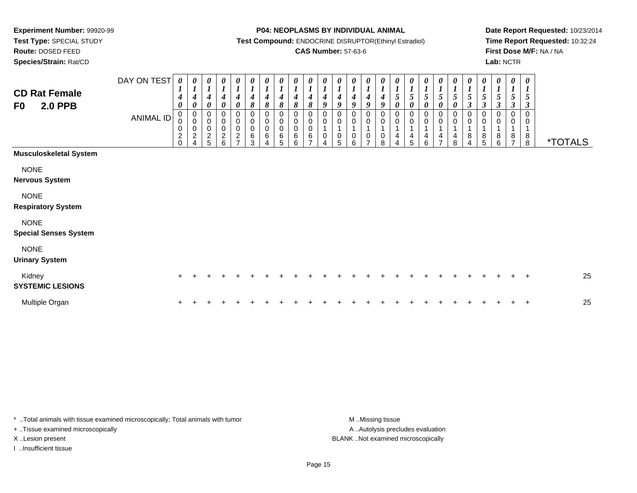**Route:** DOSED FEED

**Species/Strain:** Rat/CD

#### **P04: NEOPLASMS BY INDIVIDUAL ANIMAL**

**Test Compound:** ENDOCRINE DISRUPTOR(Ethinyl Estradiol)

### **CAS Number:** 57-63-6

**Date Report Requested:** 10/23/2014**Time Report Requested:** 10:32:24**First Dose M/F:** NA / NA**Lab:** NCTR

| <b>CD Rat Female</b><br><b>2.0 PPB</b><br>F0 | DAY ON TEST<br>ANIMAL ID | 0<br>1<br>$\boldsymbol{4}$<br>$\boldsymbol{\theta}$<br>$\pmb{0}$<br>0<br>$\pmb{0}$<br>$\overline{c}$<br>$\Omega$ | 0<br>$\boldsymbol{l}$<br>$\boldsymbol{4}$<br>$\boldsymbol{\theta}$<br>$\pmb{0}$<br>$\pmb{0}$<br>$\mathbf 0$<br>$\boldsymbol{2}$<br>4 | 0<br>$\boldsymbol{l}$<br>$\boldsymbol{4}$<br>$\pmb{\theta}$<br>0<br>$\mathbf 0$<br>$\pmb{0}$<br>$\frac{2}{5}$ | $\boldsymbol{l}$<br>$\boldsymbol{4}$<br>$\boldsymbol{\theta}$<br>0<br>$\pmb{0}$<br>$\pmb{0}$<br>$\sqrt{2}$<br>6 | 0<br>$\overline{I}$<br>4<br>0<br>0<br>$\pmb{0}$<br>$\pmb{0}$<br>$\boldsymbol{2}$<br>$\rightarrow$ | $\boldsymbol{\theta}$<br>1<br>$\boldsymbol{4}$<br>8<br>0<br>$\mathbf 0$<br>$\mathsf{O}\xspace$<br>$\,6$<br>3 | 0<br>$\boldsymbol{l}$<br>$\boldsymbol{4}$<br>8<br>0<br>$\pmb{0}$<br>0<br>6<br>4 | $\boldsymbol{\theta}$<br>$\boldsymbol{l}$<br>4<br>8<br>0<br>$\pmb{0}$<br>$\pmb{0}$<br>$\,6\,$<br>5 | 0<br>$\boldsymbol{l}$<br>$\boldsymbol{4}$<br>$\pmb{8}$<br>0<br>0<br>$\mathsf 0$<br>6<br>6 | 0<br>$\boldsymbol{l}$<br>$\boldsymbol{4}$<br>$\pmb{8}$<br>0<br>0<br>$\pmb{0}$<br>$\,6$<br>⇁ | $\boldsymbol{l}$<br>$\boldsymbol{4}$<br>9<br>0<br>$\mathbf 0$ | 0<br>4<br>9<br>0<br>0<br>$\,0\,$<br>5 | $\boldsymbol{\theta}$<br>$\boldsymbol{4}$<br>9<br>0<br>$\mathbf 0$<br>$\pmb{0}$<br>6 | 0<br>$\boldsymbol{4}$<br>9<br>0<br>$\mathbf 0$<br>$\pmb{0}$<br>$\overline{ }$ | $\boldsymbol{\theta}$<br>$\boldsymbol{I}$<br>$\boldsymbol{4}$<br>9<br>0<br>$\pmb{0}$<br>$\overline{1}$<br>$\pmb{0}$<br>8 | 0<br>5<br>0<br>0<br>0<br>$\mathbf{1}$<br>4<br>$\overline{4}$ | 0<br>$\boldsymbol{l}$<br>$\sqrt{5}$<br>$\boldsymbol{\theta}$<br>0<br>$\pmb{0}$<br>4<br>5 | 1<br>5<br>0<br>0<br>0<br>4<br>6 | 0<br>$\sqrt{5}$<br>$\boldsymbol{\theta}$<br>0<br>$\pmb{0}$<br>4<br>⇁ | 0<br>$\boldsymbol{l}$<br>5<br>$\boldsymbol{\theta}$<br>0<br>$\mathbf 0$<br>4<br>8 | 0<br>$\boldsymbol{l}$<br>5<br>$\boldsymbol{\beta}$<br>0<br>$\pmb{0}$<br>$\bf 8$<br>$\overline{4}$ | $\boldsymbol{\theta}$<br>$\boldsymbol{l}$<br>$\sqrt{5}$<br>$\mathfrak{z}$<br>0<br>$\pmb{0}$<br>$\mathbf{1}$<br>$\, 8$<br>$\overline{5}$ | 0<br>$\boldsymbol{l}$<br>5<br>3<br>0<br>0<br>$\mathbf{1}$<br>8<br>6 | 0<br>$\boldsymbol{l}$<br>5<br>$\boldsymbol{\beta}$<br>0<br>0<br>8<br>$\overline{ }$ | $\boldsymbol{\theta}$<br>$\boldsymbol{l}$<br>5<br>3<br>$\Omega$<br>0<br>1<br>$\bf8$<br>8 | <i><b>*TOTALS</b></i> |
|----------------------------------------------|--------------------------|------------------------------------------------------------------------------------------------------------------|--------------------------------------------------------------------------------------------------------------------------------------|---------------------------------------------------------------------------------------------------------------|-----------------------------------------------------------------------------------------------------------------|---------------------------------------------------------------------------------------------------|--------------------------------------------------------------------------------------------------------------|---------------------------------------------------------------------------------|----------------------------------------------------------------------------------------------------|-------------------------------------------------------------------------------------------|---------------------------------------------------------------------------------------------|---------------------------------------------------------------|---------------------------------------|--------------------------------------------------------------------------------------|-------------------------------------------------------------------------------|--------------------------------------------------------------------------------------------------------------------------|--------------------------------------------------------------|------------------------------------------------------------------------------------------|---------------------------------|----------------------------------------------------------------------|-----------------------------------------------------------------------------------|---------------------------------------------------------------------------------------------------|-----------------------------------------------------------------------------------------------------------------------------------------|---------------------------------------------------------------------|-------------------------------------------------------------------------------------|------------------------------------------------------------------------------------------|-----------------------|
| <b>Musculoskeletal System</b>                |                          |                                                                                                                  |                                                                                                                                      |                                                                                                               |                                                                                                                 |                                                                                                   |                                                                                                              |                                                                                 |                                                                                                    |                                                                                           |                                                                                             |                                                               |                                       |                                                                                      |                                                                               |                                                                                                                          |                                                              |                                                                                          |                                 |                                                                      |                                                                                   |                                                                                                   |                                                                                                                                         |                                                                     |                                                                                     |                                                                                          |                       |
| <b>NONE</b><br><b>Nervous System</b>         |                          |                                                                                                                  |                                                                                                                                      |                                                                                                               |                                                                                                                 |                                                                                                   |                                                                                                              |                                                                                 |                                                                                                    |                                                                                           |                                                                                             |                                                               |                                       |                                                                                      |                                                                               |                                                                                                                          |                                                              |                                                                                          |                                 |                                                                      |                                                                                   |                                                                                                   |                                                                                                                                         |                                                                     |                                                                                     |                                                                                          |                       |
| <b>NONE</b><br><b>Respiratory System</b>     |                          |                                                                                                                  |                                                                                                                                      |                                                                                                               |                                                                                                                 |                                                                                                   |                                                                                                              |                                                                                 |                                                                                                    |                                                                                           |                                                                                             |                                                               |                                       |                                                                                      |                                                                               |                                                                                                                          |                                                              |                                                                                          |                                 |                                                                      |                                                                                   |                                                                                                   |                                                                                                                                         |                                                                     |                                                                                     |                                                                                          |                       |
| <b>NONE</b><br><b>Special Senses System</b>  |                          |                                                                                                                  |                                                                                                                                      |                                                                                                               |                                                                                                                 |                                                                                                   |                                                                                                              |                                                                                 |                                                                                                    |                                                                                           |                                                                                             |                                                               |                                       |                                                                                      |                                                                               |                                                                                                                          |                                                              |                                                                                          |                                 |                                                                      |                                                                                   |                                                                                                   |                                                                                                                                         |                                                                     |                                                                                     |                                                                                          |                       |
| <b>NONE</b><br><b>Urinary System</b>         |                          |                                                                                                                  |                                                                                                                                      |                                                                                                               |                                                                                                                 |                                                                                                   |                                                                                                              |                                                                                 |                                                                                                    |                                                                                           |                                                                                             |                                                               |                                       |                                                                                      |                                                                               |                                                                                                                          |                                                              |                                                                                          |                                 |                                                                      |                                                                                   |                                                                                                   |                                                                                                                                         |                                                                     |                                                                                     |                                                                                          |                       |
| Kidney<br><b>SYSTEMIC LESIONS</b>            |                          |                                                                                                                  |                                                                                                                                      |                                                                                                               |                                                                                                                 |                                                                                                   |                                                                                                              |                                                                                 |                                                                                                    |                                                                                           |                                                                                             |                                                               |                                       |                                                                                      |                                                                               |                                                                                                                          |                                                              |                                                                                          |                                 |                                                                      |                                                                                   |                                                                                                   |                                                                                                                                         |                                                                     |                                                                                     | $\pm$                                                                                    | 25                    |
| Multiple Organ                               |                          |                                                                                                                  |                                                                                                                                      |                                                                                                               |                                                                                                                 |                                                                                                   |                                                                                                              |                                                                                 |                                                                                                    |                                                                                           |                                                                                             |                                                               |                                       |                                                                                      |                                                                               |                                                                                                                          |                                                              |                                                                                          |                                 |                                                                      |                                                                                   |                                                                                                   |                                                                                                                                         |                                                                     |                                                                                     | $\div$                                                                                   | 25                    |

\* ..Total animals with tissue examined microscopically; Total animals with tumor **M** . Missing tissue M ..Missing tissue + ..Tissue examined microscopically

I ..Insufficient tissue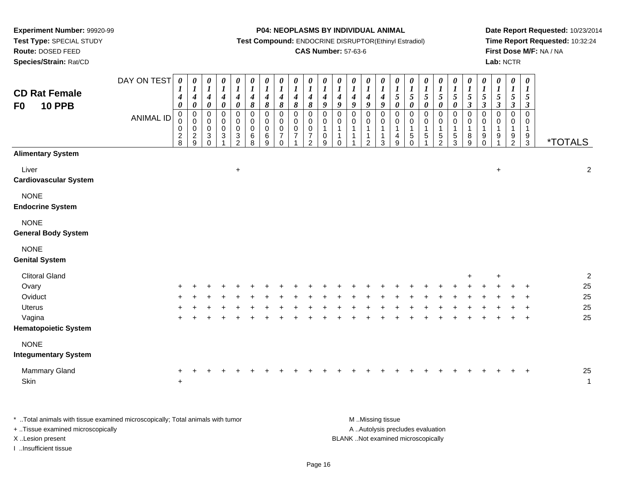**Test Type:** SPECIAL STUDY**Route:** DOSED FEED

**Species/Strain:** Rat/CD

**P04: NEOPLASMS BY INDIVIDUAL ANIMAL**

**Test Compound:** ENDOCRINE DISRUPTOR(Ethinyl Estradiol)

### **CAS Number:** 57-63-6

**Date Report Requested:** 10/23/2014**Time Report Requested:** 10:32:24**First Dose M/F:** NA / NA**Lab:** NCTR

| <b>CD Rat Female</b><br><b>10 PPB</b><br>F <sub>0</sub>                                      | DAY ON TEST<br><b>ANIMAL ID</b> | $\boldsymbol{\theta}$<br>$\boldsymbol{l}$<br>$\boldsymbol{4}$<br>$\pmb{\theta}$<br>$\overline{0}$<br>0<br>$\pmb{0}$<br>$\frac{2}{8}$ | 0<br>$\boldsymbol{l}$<br>$\boldsymbol{4}$<br>$\pmb{\theta}$<br>$\mathbf 0$<br>$\mathsf{O}\xspace$<br>$\mathsf{O}\xspace$<br>$\frac{2}{9}$ | $\pmb{\theta}$<br>$\boldsymbol{l}$<br>$\boldsymbol{4}$<br>$\pmb{\theta}$<br>$\pmb{0}$<br>$\pmb{0}$<br>$\mathbf 0$<br>$\mathbf{3}$<br>$\Omega$ | $\frac{\boldsymbol{0}}{\boldsymbol{I}}$<br>$\boldsymbol{4}$<br>$\pmb{\theta}$<br>$\mathbf 0$<br>$\mathbf 0$<br>$\bar{0}$<br>$\mathbf{3}$ | $\pmb{\theta}$<br>$\boldsymbol{l}$<br>$\boldsymbol{4}$<br>$\pmb{\theta}$<br>$\mathsf{O}\xspace$<br>$\pmb{0}$<br>$\ddot{\mathbf{0}}$<br>$\frac{3}{2}$ | 0<br>$\boldsymbol{l}$<br>$\boldsymbol{4}$<br>8<br>$\mathbf 0$<br>$\mathsf 0$<br>$\mathsf{O}\xspace$<br>6<br>8 | $\pmb{\theta}$<br>$\boldsymbol{l}$<br>$\boldsymbol{4}$<br>$\pmb{8}$<br>$\pmb{0}$<br>$\pmb{0}$<br>$\pmb{0}$<br>$\,6$<br>9 | $\pmb{\theta}$<br>$\boldsymbol{l}$<br>$\boldsymbol{4}$<br>$\pmb{8}$<br>$\mathbf 0$<br>$\mathbf 0$<br>$\mathbf 0$<br>$\overline{7}$<br>$\Omega$ | $\pmb{\theta}$<br>$\boldsymbol{l}$<br>$\boldsymbol{4}$<br>8<br>$\pmb{0}$<br>$\mathbf 0$<br>$\mathbf 0$<br>$\overline{7}$ | $\boldsymbol{\theta}$<br>$\boldsymbol{l}$<br>$\boldsymbol{4}$<br>$\pmb{8}$<br>$\pmb{0}$<br>$\pmb{0}$<br>$\ddot{\mathbf{0}}$<br>$\overline{7}$<br>$\mathfrak{p}$ | 0<br>$\boldsymbol{l}$<br>$\boldsymbol{4}$<br>9<br>0<br>$\mathbf 0$<br>$\mathbf{1}$<br>0<br>9 | $\pmb{\theta}$<br>$\boldsymbol{l}$<br>$\boldsymbol{4}$<br>$\boldsymbol{g}$<br>0<br>$\pmb{0}$<br>$\mathbf{1}$<br>$\mathbf{1}$<br>$\Omega$ | $\pmb{\theta}$<br>$\boldsymbol{l}$<br>$\boldsymbol{4}$<br>$\boldsymbol{9}$<br>$\mathbf 0$<br>$\mathbf 0$<br>$\overline{1}$<br>$\overline{1}$<br>1 | $\boldsymbol{\theta}$<br>$\boldsymbol{l}$<br>$\boldsymbol{4}$<br>$\boldsymbol{g}$<br>0<br>$\mathsf{O}\xspace$<br>$\mathbf{1}$<br>$\mathbf{1}$<br>$\overline{2}$ | $\pmb{\theta}$<br>$\boldsymbol{l}$<br>$\boldsymbol{4}$<br>$\boldsymbol{g}$<br>$\mathbf 0$<br>0<br>$\overline{1}$<br>$\mathbf{1}$<br>3 | 0<br>$\frac{1}{5}$<br>$\pmb{\theta}$<br>$\mathbf 0$<br>$\mathbf 0$<br>$\mathbf{1}$<br>4<br>9 | $\pmb{\theta}$<br>$\boldsymbol{l}$<br>5<br>$\pmb{\theta}$<br>$\mathsf{O}\xspace$<br>$\pmb{0}$<br>$\mathbf{1}$<br>$\sqrt{5}$<br>$\Omega$ | $\begin{array}{c} \n0 \\ 1 \\ 5\n\end{array}$<br>$\pmb{\theta}$<br>$\pmb{0}$<br>$\mathsf{O}$<br>$\mathbf{1}$<br>$\sqrt{5}$<br>1 | 0<br>$\frac{1}{5}$<br>0<br>0<br>$\mathbf{1}$<br>$\frac{5}{2}$ | $\boldsymbol{\theta}$<br>$\boldsymbol{l}$<br>$\mathfrak{s}$<br>$\pmb{\theta}$<br>$\mathbf 0$<br>$\mathsf{O}\xspace$<br>$\overline{1}$<br>$\,$ 5 $\,$<br>3 | 0<br>$\boldsymbol{l}$<br>5<br>$\boldsymbol{\beta}$<br>0<br>0<br>$\mathbf{1}$<br>8<br>9 | $\pmb{\theta}$<br>$\boldsymbol{l}$<br>$\sqrt{5}$<br>$\boldsymbol{\beta}$<br>$\mathbf 0$<br>$\mathbf 0$<br>$\mathbf{1}$<br>9<br>$\Omega$ | $\pmb{\theta}$<br>$\boldsymbol{l}$<br>$\mathfrak{s}$<br>$\mathfrak{z}$<br>$\mathbf 0$<br>$\mathbf 0$<br>$\mathbf{1}$<br>9 | $\pmb{\theta}$<br>$\boldsymbol{l}$<br>5<br>$\mathfrak{z}$<br>$\pmb{0}$<br>$\pmb{0}$<br>$\mathbf{1}$<br>$\frac{9}{2}$ | $\boldsymbol{\theta}$<br>$\boldsymbol{I}$<br>$\sqrt{5}$<br>$\boldsymbol{\beta}$<br>$\mathbf 0$<br>$\mathbf 0$<br>$\mathbf{1}$<br>$\frac{9}{3}$ | <i><b>*TOTALS</b></i> |                                        |
|----------------------------------------------------------------------------------------------|---------------------------------|--------------------------------------------------------------------------------------------------------------------------------------|-------------------------------------------------------------------------------------------------------------------------------------------|-----------------------------------------------------------------------------------------------------------------------------------------------|------------------------------------------------------------------------------------------------------------------------------------------|------------------------------------------------------------------------------------------------------------------------------------------------------|---------------------------------------------------------------------------------------------------------------|--------------------------------------------------------------------------------------------------------------------------|------------------------------------------------------------------------------------------------------------------------------------------------|--------------------------------------------------------------------------------------------------------------------------|-----------------------------------------------------------------------------------------------------------------------------------------------------------------|----------------------------------------------------------------------------------------------|------------------------------------------------------------------------------------------------------------------------------------------|---------------------------------------------------------------------------------------------------------------------------------------------------|-----------------------------------------------------------------------------------------------------------------------------------------------------------------|---------------------------------------------------------------------------------------------------------------------------------------|----------------------------------------------------------------------------------------------|-----------------------------------------------------------------------------------------------------------------------------------------|---------------------------------------------------------------------------------------------------------------------------------|---------------------------------------------------------------|-----------------------------------------------------------------------------------------------------------------------------------------------------------|----------------------------------------------------------------------------------------|-----------------------------------------------------------------------------------------------------------------------------------------|---------------------------------------------------------------------------------------------------------------------------|----------------------------------------------------------------------------------------------------------------------|------------------------------------------------------------------------------------------------------------------------------------------------|-----------------------|----------------------------------------|
| <b>Alimentary System</b>                                                                     |                                 |                                                                                                                                      |                                                                                                                                           |                                                                                                                                               |                                                                                                                                          |                                                                                                                                                      |                                                                                                               |                                                                                                                          |                                                                                                                                                |                                                                                                                          |                                                                                                                                                                 |                                                                                              |                                                                                                                                          |                                                                                                                                                   |                                                                                                                                                                 |                                                                                                                                       |                                                                                              |                                                                                                                                         |                                                                                                                                 |                                                               |                                                                                                                                                           |                                                                                        |                                                                                                                                         |                                                                                                                           |                                                                                                                      |                                                                                                                                                |                       |                                        |
| Liver<br><b>Cardiovascular System</b>                                                        |                                 |                                                                                                                                      |                                                                                                                                           |                                                                                                                                               |                                                                                                                                          | $+$                                                                                                                                                  |                                                                                                               |                                                                                                                          |                                                                                                                                                |                                                                                                                          |                                                                                                                                                                 |                                                                                              |                                                                                                                                          |                                                                                                                                                   |                                                                                                                                                                 |                                                                                                                                       |                                                                                              |                                                                                                                                         |                                                                                                                                 |                                                               |                                                                                                                                                           |                                                                                        |                                                                                                                                         | $\ddot{}$                                                                                                                 |                                                                                                                      |                                                                                                                                                |                       | $\overline{2}$                         |
| <b>NONE</b><br><b>Endocrine System</b>                                                       |                                 |                                                                                                                                      |                                                                                                                                           |                                                                                                                                               |                                                                                                                                          |                                                                                                                                                      |                                                                                                               |                                                                                                                          |                                                                                                                                                |                                                                                                                          |                                                                                                                                                                 |                                                                                              |                                                                                                                                          |                                                                                                                                                   |                                                                                                                                                                 |                                                                                                                                       |                                                                                              |                                                                                                                                         |                                                                                                                                 |                                                               |                                                                                                                                                           |                                                                                        |                                                                                                                                         |                                                                                                                           |                                                                                                                      |                                                                                                                                                |                       |                                        |
| <b>NONE</b><br><b>General Body System</b>                                                    |                                 |                                                                                                                                      |                                                                                                                                           |                                                                                                                                               |                                                                                                                                          |                                                                                                                                                      |                                                                                                               |                                                                                                                          |                                                                                                                                                |                                                                                                                          |                                                                                                                                                                 |                                                                                              |                                                                                                                                          |                                                                                                                                                   |                                                                                                                                                                 |                                                                                                                                       |                                                                                              |                                                                                                                                         |                                                                                                                                 |                                                               |                                                                                                                                                           |                                                                                        |                                                                                                                                         |                                                                                                                           |                                                                                                                      |                                                                                                                                                |                       |                                        |
| <b>NONE</b><br><b>Genital System</b>                                                         |                                 |                                                                                                                                      |                                                                                                                                           |                                                                                                                                               |                                                                                                                                          |                                                                                                                                                      |                                                                                                               |                                                                                                                          |                                                                                                                                                |                                                                                                                          |                                                                                                                                                                 |                                                                                              |                                                                                                                                          |                                                                                                                                                   |                                                                                                                                                                 |                                                                                                                                       |                                                                                              |                                                                                                                                         |                                                                                                                                 |                                                               |                                                                                                                                                           |                                                                                        |                                                                                                                                         |                                                                                                                           |                                                                                                                      |                                                                                                                                                |                       |                                        |
| <b>Clitoral Gland</b><br>Ovary<br>Oviduct<br>Uterus<br>Vagina<br><b>Hematopoietic System</b> |                                 |                                                                                                                                      |                                                                                                                                           |                                                                                                                                               |                                                                                                                                          |                                                                                                                                                      |                                                                                                               |                                                                                                                          |                                                                                                                                                |                                                                                                                          |                                                                                                                                                                 |                                                                                              |                                                                                                                                          |                                                                                                                                                   |                                                                                                                                                                 |                                                                                                                                       |                                                                                              |                                                                                                                                         |                                                                                                                                 |                                                               |                                                                                                                                                           | $\ddot{}$                                                                              |                                                                                                                                         | $\ddot{}$                                                                                                                 |                                                                                                                      | $\ddot{}$<br>$\ddot{}$<br>$\ddot{}$<br>$\ddot{}$                                                                                               |                       | $\overline{c}$<br>25<br>25<br>25<br>25 |
| <b>NONE</b><br><b>Integumentary System</b>                                                   |                                 |                                                                                                                                      |                                                                                                                                           |                                                                                                                                               |                                                                                                                                          |                                                                                                                                                      |                                                                                                               |                                                                                                                          |                                                                                                                                                |                                                                                                                          |                                                                                                                                                                 |                                                                                              |                                                                                                                                          |                                                                                                                                                   |                                                                                                                                                                 |                                                                                                                                       |                                                                                              |                                                                                                                                         |                                                                                                                                 |                                                               |                                                                                                                                                           |                                                                                        |                                                                                                                                         |                                                                                                                           |                                                                                                                      |                                                                                                                                                |                       |                                        |
| <b>Mammary Gland</b><br>Skin                                                                 |                                 | ÷<br>$\ddot{}$                                                                                                                       |                                                                                                                                           |                                                                                                                                               |                                                                                                                                          |                                                                                                                                                      |                                                                                                               |                                                                                                                          |                                                                                                                                                |                                                                                                                          |                                                                                                                                                                 |                                                                                              |                                                                                                                                          |                                                                                                                                                   |                                                                                                                                                                 |                                                                                                                                       |                                                                                              |                                                                                                                                         |                                                                                                                                 |                                                               |                                                                                                                                                           |                                                                                        |                                                                                                                                         |                                                                                                                           |                                                                                                                      | $^{+}$                                                                                                                                         |                       | 25<br>$\mathbf{1}$                     |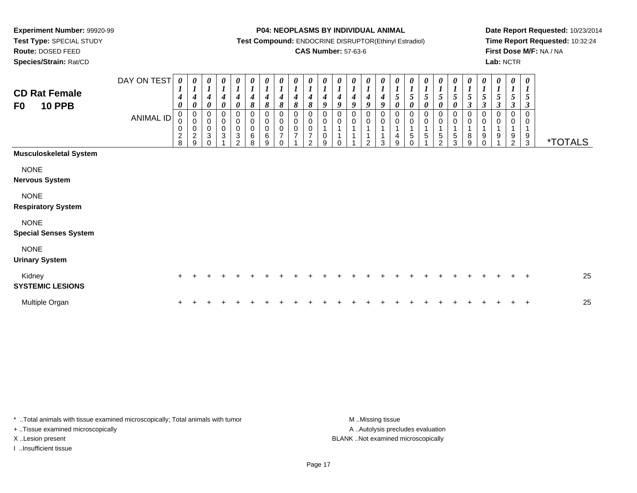**Route:** DOSED FEED

**Species/Strain:** Rat/CD

#### **P04: NEOPLASMS BY INDIVIDUAL ANIMAL**

**Test Compound:** ENDOCRINE DISRUPTOR(Ethinyl Estradiol)

### **CAS Number:** 57-63-6

**Date Report Requested:** 10/23/2014**Time Report Requested:** 10:32:24**First Dose M/F:** NA / NA**Lab:** NCTR

| <b>CD Rat Female</b><br><b>10 PPB</b><br>F0 | DAY ON TEST<br><b>ANIMAL ID</b> | 0<br>$\boldsymbol{I}$<br>4<br>$\boldsymbol{\theta}$<br>$\pmb{0}$<br>0<br>0<br>$\frac{2}{8}$ | 0<br>$\boldsymbol{l}$<br>4<br>$\pmb{\theta}$<br>$\pmb{0}$<br>$\pmb{0}$<br>$\pmb{0}$<br>$\frac{2}{9}$ | $\boldsymbol{l}$<br>$\overline{\mathcal{A}}$<br>$\boldsymbol{\theta}$<br>$\,0\,$<br>$\pmb{0}$<br>$\,0\,$<br>3 | $\boldsymbol{l}$<br>4<br>$\boldsymbol{\theta}$<br>$\pmb{0}$<br>$_{\rm 0}^{\rm 0}$<br>$\mathbf{3}$ | $\frac{\boldsymbol{0}}{\boldsymbol{1}}$<br>4<br>$\boldsymbol{\theta}$<br>$\pmb{0}$<br>$\pmb{0}$<br>$\pmb{0}$<br>3<br>$\mathfrak{p}$ | 0<br>$\boldsymbol{l}$<br>4<br>$\pmb{8}$<br>0<br>$\pmb{0}$<br>0<br>6<br>8 | 0<br>$\boldsymbol{l}$<br>$\boldsymbol{4}$<br>$\pmb{8}$<br>$\mathbf 0$<br>$\pmb{0}$<br>$\pmb{0}$<br>$\,6$<br>9 | 0<br>$\boldsymbol{l}$<br>4<br>$\pmb{8}$<br>$\pmb{0}$<br>$_{\rm 0}^{\rm 0}$<br>7<br>$\Omega$ | $\boldsymbol{\theta}$<br>4<br>$\pmb{8}$<br>0<br>$\mathbf 0$<br>$\mathbf 0$<br>7 | $\boldsymbol{l}$<br>$\pmb{8}$<br>0<br>0<br>$\mathbf 0$<br>$\mathfrak{p}$ | $\boldsymbol{l}$<br>$\boldsymbol{4}$<br>9<br>0<br>0<br>$\pmb{0}$<br>9 | $\begin{bmatrix} 0 \\ 1 \\ 4 \end{bmatrix}$<br>$\boldsymbol{g}$<br>$\pmb{0}$<br>$\mathbf 0$<br>$\overline{A}$<br>$\Omega$ | $\frac{\theta}{I}$<br>$\boldsymbol{4}$<br>$\boldsymbol{g}$<br>0<br>0<br>1 | 0<br>$\boldsymbol{l}$<br>$\boldsymbol{4}$<br>9<br>$\pmb{0}$<br>$\pmb{0}$<br>$\mathcal{P}$ | U<br>$\boldsymbol{l}$<br>$\boldsymbol{4}$<br>9<br>0<br>$\pmb{0}$<br>1<br>1<br>3 | 5<br>0<br>0<br>0<br>$\overline{A}$<br>4<br>9 | $\frac{1}{5}$<br>$\boldsymbol{\theta}$<br>0<br>$\mathbf 0$<br>$\overline{1}$<br>$\sqrt{5}$<br>$\Omega$ | $\frac{1}{5}$<br>0<br>$\pmb{0}$<br>0<br>1<br>5 | $\frac{1}{5}$<br>$\pmb{\theta}$<br>$\mathbf 0$<br>$\pmb{0}$<br>1<br>5<br>$\mathfrak{p}$ | 0<br>$\frac{1}{5}$<br>0<br>0<br>0<br>$\overline{ }$<br>$\overline{5}$<br>3 | 0<br>$\frac{1}{5}$<br>$\boldsymbol{\beta}$<br>0<br>0<br>8<br>9 | 0<br>$\boldsymbol{l}$<br>5<br>$\boldsymbol{\beta}$<br>$\pmb{0}$<br>$\mathbf 0$<br>$\mathbf{1}$<br>9<br>$\Omega$ | 0<br>5<br>$\boldsymbol{\beta}$<br>$\mathbf 0$<br>$\pmb{0}$<br>9 | 0<br>$\boldsymbol{l}$<br>$5\overline{)}$<br>$\boldsymbol{\beta}$<br>0<br>0<br>1<br>9<br>$\overline{2}$ | 0<br>$\boldsymbol{l}$<br>5<br>$\mathfrak{z}$<br>$\Omega$<br>0<br>$\frac{9}{3}$ | <i><b>*TOTALS</b></i> |
|---------------------------------------------|---------------------------------|---------------------------------------------------------------------------------------------|------------------------------------------------------------------------------------------------------|---------------------------------------------------------------------------------------------------------------|---------------------------------------------------------------------------------------------------|-------------------------------------------------------------------------------------------------------------------------------------|--------------------------------------------------------------------------|---------------------------------------------------------------------------------------------------------------|---------------------------------------------------------------------------------------------|---------------------------------------------------------------------------------|--------------------------------------------------------------------------|-----------------------------------------------------------------------|---------------------------------------------------------------------------------------------------------------------------|---------------------------------------------------------------------------|-------------------------------------------------------------------------------------------|---------------------------------------------------------------------------------|----------------------------------------------|--------------------------------------------------------------------------------------------------------|------------------------------------------------|-----------------------------------------------------------------------------------------|----------------------------------------------------------------------------|----------------------------------------------------------------|-----------------------------------------------------------------------------------------------------------------|-----------------------------------------------------------------|--------------------------------------------------------------------------------------------------------|--------------------------------------------------------------------------------|-----------------------|
| <b>Musculoskeletal System</b>               |                                 |                                                                                             |                                                                                                      |                                                                                                               |                                                                                                   |                                                                                                                                     |                                                                          |                                                                                                               |                                                                                             |                                                                                 |                                                                          |                                                                       |                                                                                                                           |                                                                           |                                                                                           |                                                                                 |                                              |                                                                                                        |                                                |                                                                                         |                                                                            |                                                                |                                                                                                                 |                                                                 |                                                                                                        |                                                                                |                       |
| <b>NONE</b><br><b>Nervous System</b>        |                                 |                                                                                             |                                                                                                      |                                                                                                               |                                                                                                   |                                                                                                                                     |                                                                          |                                                                                                               |                                                                                             |                                                                                 |                                                                          |                                                                       |                                                                                                                           |                                                                           |                                                                                           |                                                                                 |                                              |                                                                                                        |                                                |                                                                                         |                                                                            |                                                                |                                                                                                                 |                                                                 |                                                                                                        |                                                                                |                       |
| <b>NONE</b><br><b>Respiratory System</b>    |                                 |                                                                                             |                                                                                                      |                                                                                                               |                                                                                                   |                                                                                                                                     |                                                                          |                                                                                                               |                                                                                             |                                                                                 |                                                                          |                                                                       |                                                                                                                           |                                                                           |                                                                                           |                                                                                 |                                              |                                                                                                        |                                                |                                                                                         |                                                                            |                                                                |                                                                                                                 |                                                                 |                                                                                                        |                                                                                |                       |
| <b>NONE</b><br><b>Special Senses System</b> |                                 |                                                                                             |                                                                                                      |                                                                                                               |                                                                                                   |                                                                                                                                     |                                                                          |                                                                                                               |                                                                                             |                                                                                 |                                                                          |                                                                       |                                                                                                                           |                                                                           |                                                                                           |                                                                                 |                                              |                                                                                                        |                                                |                                                                                         |                                                                            |                                                                |                                                                                                                 |                                                                 |                                                                                                        |                                                                                |                       |
| <b>NONE</b><br><b>Urinary System</b>        |                                 |                                                                                             |                                                                                                      |                                                                                                               |                                                                                                   |                                                                                                                                     |                                                                          |                                                                                                               |                                                                                             |                                                                                 |                                                                          |                                                                       |                                                                                                                           |                                                                           |                                                                                           |                                                                                 |                                              |                                                                                                        |                                                |                                                                                         |                                                                            |                                                                |                                                                                                                 |                                                                 |                                                                                                        |                                                                                |                       |
| Kidney<br><b>SYSTEMIC LESIONS</b>           |                                 | $\pm$                                                                                       |                                                                                                      |                                                                                                               |                                                                                                   |                                                                                                                                     |                                                                          |                                                                                                               |                                                                                             |                                                                                 |                                                                          |                                                                       |                                                                                                                           |                                                                           |                                                                                           |                                                                                 |                                              |                                                                                                        |                                                |                                                                                         |                                                                            |                                                                |                                                                                                                 |                                                                 |                                                                                                        | $\pm$                                                                          | 25                    |
| Multiple Organ                              |                                 |                                                                                             |                                                                                                      |                                                                                                               |                                                                                                   |                                                                                                                                     |                                                                          |                                                                                                               |                                                                                             |                                                                                 |                                                                          |                                                                       |                                                                                                                           |                                                                           |                                                                                           |                                                                                 |                                              |                                                                                                        |                                                |                                                                                         |                                                                            |                                                                |                                                                                                                 |                                                                 |                                                                                                        | ÷                                                                              | 25                    |

\* ..Total animals with tissue examined microscopically; Total animals with tumor **M** . Missing tissue M ..Missing tissue + ..Tissue examined microscopically

I ..Insufficient tissue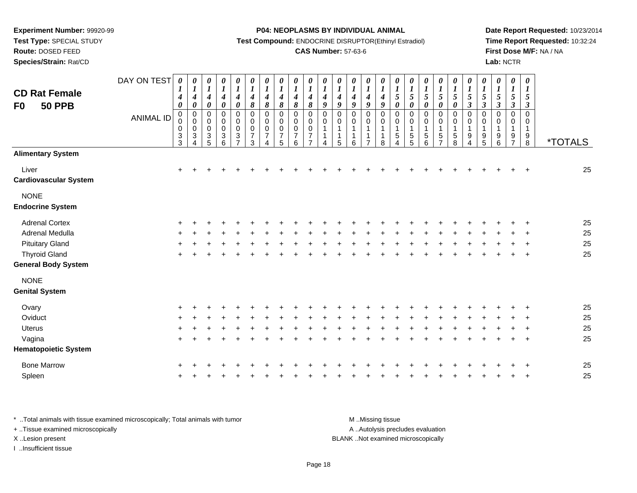**Test Type:** SPECIAL STUDY

**Route:** DOSED FEED

**Species/Strain:** Rat/CD

#### **P04: NEOPLASMS BY INDIVIDUAL ANIMAL**

**Test Compound:** ENDOCRINE DISRUPTOR(Ethinyl Estradiol)

### **CAS Number:** 57-63-6

**Date Report Requested:** 10/23/2014**Time Report Requested:** 10:32:24**First Dose M/F:** NA / NA**Lab:** NCTR

| <b>CD Rat Female</b><br>F <sub>0</sub><br><b>50 PPB</b> | DAY ON TEST<br><b>ANIMAL ID</b> | 0<br>$\bm{l}$<br>4<br>0<br>0<br>0<br>0<br>$\ensuremath{\mathsf{3}}$<br>$\mathbf{3}$ | 0<br>$\boldsymbol{l}$<br>$\boldsymbol{4}$<br>$\pmb{\theta}$<br>$\pmb{0}$<br>$\pmb{0}$<br>$\pmb{0}$<br>$\sqrt{3}$<br>4 | 0<br>$\boldsymbol{l}$<br>$\boldsymbol{4}$<br>$\pmb{\theta}$<br>0<br>$\pmb{0}$<br>$\mathsf 0$<br>$\ensuremath{\mathsf{3}}$<br>5 | 0<br>$\boldsymbol{l}$<br>$\boldsymbol{4}$<br>$\pmb{\theta}$<br>0<br>$\pmb{0}$<br>0<br>$\sqrt{3}$<br>$6\phantom{a}$ | $\pmb{\theta}$<br>$\boldsymbol{l}$<br>$\boldsymbol{4}$<br>$\pmb{\theta}$<br>$\pmb{0}$<br>0<br>$\mathbf 0$<br>$\ensuremath{\mathsf{3}}$<br>$\overline{7}$ | $\pmb{\theta}$<br>$\boldsymbol{l}$<br>$\boldsymbol{4}$<br>$\pmb{8}$<br>$\pmb{0}$<br>$\pmb{0}$<br>$\mathbf 0$<br>$\overline{7}$<br>$\mathbf{3}$ | 0<br>$\boldsymbol{l}$<br>$\boldsymbol{4}$<br>8<br>0<br>0<br>$\mathbf 0$<br>7<br>4 | $\pmb{\theta}$<br>$\boldsymbol{l}$<br>$\boldsymbol{4}$<br>$\pmb{8}$<br>0<br>0<br>0<br>$\overline{7}$<br>5 | 0<br>$\boldsymbol{l}$<br>$\boldsymbol{4}$<br>8<br>$\mathbf 0$<br>$\Omega$<br>$\mathbf 0$<br>$\overline{7}$<br>6 | 0<br>$\boldsymbol{l}$<br>$\boldsymbol{4}$<br>$\pmb{8}$<br>$\pmb{0}$<br>0<br>$\pmb{0}$<br>$\overline{7}$ | $\pmb{\theta}$<br>$\boldsymbol{l}$<br>4<br>$\boldsymbol{g}$<br>$\pmb{0}$<br>0<br>$\mathbf{1}$<br>$\mathbf{1}$<br>4 | 0<br>$\boldsymbol{l}$<br>$\boldsymbol{4}$<br>9<br>$\mathbf 0$<br>$\mathbf 0$<br>1<br>1<br>5 | $\boldsymbol{\theta}$<br>$\boldsymbol{l}$<br>$\boldsymbol{4}$<br>9<br>$\pmb{0}$<br>$\mathbf 0$<br>$\mathbf{1}$<br>$\overline{1}$<br>6 | $\pmb{\theta}$<br>$\boldsymbol{l}$<br>$\boldsymbol{4}$<br>9<br>$\pmb{0}$<br>$\pmb{0}$<br>$\mathbf 1$<br>$\mathbf 1$<br>$\overline{7}$ | 0<br>$\boldsymbol{l}$<br>$\boldsymbol{4}$<br>$\boldsymbol{g}$<br>$\pmb{0}$<br>$\mathbf 0$<br>1<br>1<br>8 | $\pmb{\theta}$<br>$\boldsymbol{l}$<br>$\sqrt{5}$<br>$\boldsymbol{\theta}$<br>$\pmb{0}$<br>$\mathbf 0$<br>$\mathbf{1}$<br>$\,$ 5 $\,$<br>4 | $\boldsymbol{\theta}$<br>$\boldsymbol{l}$<br>$\sqrt{5}$<br>$\boldsymbol{\theta}$<br>$\pmb{0}$<br>$\mathbf 0$<br>$\mathbf{1}$<br>$\,$ 5 $\,$<br>5 | $\pmb{\theta}$<br>$\boldsymbol{l}$<br>5<br>$\boldsymbol{\theta}$<br>$\pmb{0}$<br>$\mathsf 0$<br>$\sqrt{5}$<br>6 | 0<br>$\boldsymbol{l}$<br>5<br>0<br>$\pmb{0}$<br>0<br>$\mathbf 5$<br>$\overline{7}$ | 0<br>$\boldsymbol{l}$<br>5<br>$\boldsymbol{\theta}$<br>$\pmb{0}$<br>$\mathsf 0$<br>$\mathbf 1$<br>$\mathbf 5$<br>8 | 0<br>$\boldsymbol{\mathit{1}}$<br>$\sqrt{5}$<br>$\boldsymbol{\beta}$<br>$\pmb{0}$<br>$\mathbf 0$<br>$\mathbf{1}$<br>$\boldsymbol{9}$<br>4 | 0<br>$\boldsymbol{l}$<br>$\sqrt{5}$<br>$\boldsymbol{\beta}$<br>$\,0\,$<br>$\pmb{0}$<br>$\mathbf{1}$<br>$\boldsymbol{9}$<br>5 | $\boldsymbol{\theta}$<br>$\boldsymbol{I}$<br>$5\overline{)}$<br>$\mathbf{3}$<br>0<br>$\mathbf 0$<br>1<br>9<br>6 | $\pmb{\theta}$<br>$\boldsymbol{l}$<br>$\mathfrak{s}$<br>$\boldsymbol{\beta}$<br>0<br>$\mathbf 0$<br>$\mathbf{1}$<br>9<br>$\overline{7}$ | $\boldsymbol{\theta}$<br>$\boldsymbol{l}$<br>5<br>$\boldsymbol{\beta}$<br>$\pmb{0}$<br>$\mathbf 0$<br>$\mathbf{1}$<br>$\boldsymbol{9}$<br>8 | <i><b>*TOTALS</b></i> |
|---------------------------------------------------------|---------------------------------|-------------------------------------------------------------------------------------|-----------------------------------------------------------------------------------------------------------------------|--------------------------------------------------------------------------------------------------------------------------------|--------------------------------------------------------------------------------------------------------------------|----------------------------------------------------------------------------------------------------------------------------------------------------------|------------------------------------------------------------------------------------------------------------------------------------------------|-----------------------------------------------------------------------------------|-----------------------------------------------------------------------------------------------------------|-----------------------------------------------------------------------------------------------------------------|---------------------------------------------------------------------------------------------------------|--------------------------------------------------------------------------------------------------------------------|---------------------------------------------------------------------------------------------|---------------------------------------------------------------------------------------------------------------------------------------|---------------------------------------------------------------------------------------------------------------------------------------|----------------------------------------------------------------------------------------------------------|-------------------------------------------------------------------------------------------------------------------------------------------|--------------------------------------------------------------------------------------------------------------------------------------------------|-----------------------------------------------------------------------------------------------------------------|------------------------------------------------------------------------------------|--------------------------------------------------------------------------------------------------------------------|-------------------------------------------------------------------------------------------------------------------------------------------|------------------------------------------------------------------------------------------------------------------------------|-----------------------------------------------------------------------------------------------------------------|-----------------------------------------------------------------------------------------------------------------------------------------|---------------------------------------------------------------------------------------------------------------------------------------------|-----------------------|
| <b>Alimentary System</b>                                |                                 |                                                                                     |                                                                                                                       |                                                                                                                                |                                                                                                                    |                                                                                                                                                          |                                                                                                                                                |                                                                                   |                                                                                                           |                                                                                                                 |                                                                                                         |                                                                                                                    |                                                                                             |                                                                                                                                       |                                                                                                                                       |                                                                                                          |                                                                                                                                           |                                                                                                                                                  |                                                                                                                 |                                                                                    |                                                                                                                    |                                                                                                                                           |                                                                                                                              |                                                                                                                 |                                                                                                                                         |                                                                                                                                             |                       |
| Liver<br><b>Cardiovascular System</b>                   |                                 | $\ddot{}$                                                                           |                                                                                                                       | $\div$                                                                                                                         | $\pm$                                                                                                              | $\pm$                                                                                                                                                    |                                                                                                                                                |                                                                                   |                                                                                                           |                                                                                                                 |                                                                                                         |                                                                                                                    |                                                                                             |                                                                                                                                       |                                                                                                                                       |                                                                                                          |                                                                                                                                           |                                                                                                                                                  |                                                                                                                 |                                                                                    |                                                                                                                    |                                                                                                                                           |                                                                                                                              |                                                                                                                 |                                                                                                                                         | $\pm$                                                                                                                                       | 25                    |
| <b>NONE</b><br><b>Endocrine System</b>                  |                                 |                                                                                     |                                                                                                                       |                                                                                                                                |                                                                                                                    |                                                                                                                                                          |                                                                                                                                                |                                                                                   |                                                                                                           |                                                                                                                 |                                                                                                         |                                                                                                                    |                                                                                             |                                                                                                                                       |                                                                                                                                       |                                                                                                          |                                                                                                                                           |                                                                                                                                                  |                                                                                                                 |                                                                                    |                                                                                                                    |                                                                                                                                           |                                                                                                                              |                                                                                                                 |                                                                                                                                         |                                                                                                                                             |                       |
| <b>Adrenal Cortex</b>                                   |                                 |                                                                                     |                                                                                                                       |                                                                                                                                |                                                                                                                    |                                                                                                                                                          |                                                                                                                                                |                                                                                   |                                                                                                           |                                                                                                                 |                                                                                                         |                                                                                                                    |                                                                                             |                                                                                                                                       |                                                                                                                                       |                                                                                                          |                                                                                                                                           |                                                                                                                                                  |                                                                                                                 |                                                                                    |                                                                                                                    |                                                                                                                                           |                                                                                                                              |                                                                                                                 |                                                                                                                                         |                                                                                                                                             | 25                    |
| Adrenal Medulla                                         |                                 |                                                                                     |                                                                                                                       |                                                                                                                                |                                                                                                                    |                                                                                                                                                          |                                                                                                                                                |                                                                                   |                                                                                                           |                                                                                                                 |                                                                                                         |                                                                                                                    |                                                                                             |                                                                                                                                       |                                                                                                                                       |                                                                                                          |                                                                                                                                           |                                                                                                                                                  |                                                                                                                 |                                                                                    |                                                                                                                    |                                                                                                                                           |                                                                                                                              |                                                                                                                 |                                                                                                                                         |                                                                                                                                             | 25                    |
| <b>Pituitary Gland</b>                                  |                                 |                                                                                     |                                                                                                                       |                                                                                                                                |                                                                                                                    |                                                                                                                                                          |                                                                                                                                                |                                                                                   |                                                                                                           |                                                                                                                 |                                                                                                         |                                                                                                                    |                                                                                             |                                                                                                                                       |                                                                                                                                       |                                                                                                          |                                                                                                                                           |                                                                                                                                                  |                                                                                                                 |                                                                                    |                                                                                                                    |                                                                                                                                           |                                                                                                                              |                                                                                                                 |                                                                                                                                         |                                                                                                                                             | 25                    |
| <b>Thyroid Gland</b>                                    |                                 | $\pm$                                                                               |                                                                                                                       |                                                                                                                                |                                                                                                                    |                                                                                                                                                          |                                                                                                                                                |                                                                                   |                                                                                                           |                                                                                                                 |                                                                                                         |                                                                                                                    |                                                                                             |                                                                                                                                       |                                                                                                                                       |                                                                                                          |                                                                                                                                           |                                                                                                                                                  |                                                                                                                 |                                                                                    |                                                                                                                    |                                                                                                                                           | ÷                                                                                                                            |                                                                                                                 |                                                                                                                                         | $\overline{+}$                                                                                                                              | 25                    |
| <b>General Body System</b>                              |                                 |                                                                                     |                                                                                                                       |                                                                                                                                |                                                                                                                    |                                                                                                                                                          |                                                                                                                                                |                                                                                   |                                                                                                           |                                                                                                                 |                                                                                                         |                                                                                                                    |                                                                                             |                                                                                                                                       |                                                                                                                                       |                                                                                                          |                                                                                                                                           |                                                                                                                                                  |                                                                                                                 |                                                                                    |                                                                                                                    |                                                                                                                                           |                                                                                                                              |                                                                                                                 |                                                                                                                                         |                                                                                                                                             |                       |
| <b>NONE</b>                                             |                                 |                                                                                     |                                                                                                                       |                                                                                                                                |                                                                                                                    |                                                                                                                                                          |                                                                                                                                                |                                                                                   |                                                                                                           |                                                                                                                 |                                                                                                         |                                                                                                                    |                                                                                             |                                                                                                                                       |                                                                                                                                       |                                                                                                          |                                                                                                                                           |                                                                                                                                                  |                                                                                                                 |                                                                                    |                                                                                                                    |                                                                                                                                           |                                                                                                                              |                                                                                                                 |                                                                                                                                         |                                                                                                                                             |                       |
| <b>Genital System</b>                                   |                                 |                                                                                     |                                                                                                                       |                                                                                                                                |                                                                                                                    |                                                                                                                                                          |                                                                                                                                                |                                                                                   |                                                                                                           |                                                                                                                 |                                                                                                         |                                                                                                                    |                                                                                             |                                                                                                                                       |                                                                                                                                       |                                                                                                          |                                                                                                                                           |                                                                                                                                                  |                                                                                                                 |                                                                                    |                                                                                                                    |                                                                                                                                           |                                                                                                                              |                                                                                                                 |                                                                                                                                         |                                                                                                                                             |                       |
| Ovary                                                   |                                 |                                                                                     |                                                                                                                       |                                                                                                                                |                                                                                                                    |                                                                                                                                                          |                                                                                                                                                |                                                                                   |                                                                                                           |                                                                                                                 |                                                                                                         |                                                                                                                    |                                                                                             |                                                                                                                                       |                                                                                                                                       |                                                                                                          |                                                                                                                                           |                                                                                                                                                  |                                                                                                                 |                                                                                    |                                                                                                                    |                                                                                                                                           |                                                                                                                              |                                                                                                                 |                                                                                                                                         |                                                                                                                                             | 25                    |
| Oviduct                                                 |                                 |                                                                                     |                                                                                                                       |                                                                                                                                |                                                                                                                    |                                                                                                                                                          |                                                                                                                                                |                                                                                   |                                                                                                           |                                                                                                                 |                                                                                                         |                                                                                                                    |                                                                                             |                                                                                                                                       |                                                                                                                                       |                                                                                                          |                                                                                                                                           |                                                                                                                                                  |                                                                                                                 |                                                                                    |                                                                                                                    |                                                                                                                                           |                                                                                                                              |                                                                                                                 |                                                                                                                                         |                                                                                                                                             | 25                    |
| Uterus                                                  |                                 |                                                                                     |                                                                                                                       |                                                                                                                                |                                                                                                                    |                                                                                                                                                          |                                                                                                                                                |                                                                                   |                                                                                                           |                                                                                                                 |                                                                                                         |                                                                                                                    |                                                                                             |                                                                                                                                       |                                                                                                                                       |                                                                                                          |                                                                                                                                           |                                                                                                                                                  |                                                                                                                 |                                                                                    |                                                                                                                    |                                                                                                                                           |                                                                                                                              |                                                                                                                 |                                                                                                                                         |                                                                                                                                             | 25                    |
| Vagina                                                  |                                 | $\pm$                                                                               |                                                                                                                       |                                                                                                                                |                                                                                                                    |                                                                                                                                                          |                                                                                                                                                |                                                                                   |                                                                                                           |                                                                                                                 |                                                                                                         |                                                                                                                    |                                                                                             |                                                                                                                                       |                                                                                                                                       |                                                                                                          |                                                                                                                                           |                                                                                                                                                  |                                                                                                                 |                                                                                    |                                                                                                                    |                                                                                                                                           |                                                                                                                              |                                                                                                                 |                                                                                                                                         | $\ddot{}$                                                                                                                                   | 25                    |
| <b>Hematopoietic System</b>                             |                                 |                                                                                     |                                                                                                                       |                                                                                                                                |                                                                                                                    |                                                                                                                                                          |                                                                                                                                                |                                                                                   |                                                                                                           |                                                                                                                 |                                                                                                         |                                                                                                                    |                                                                                             |                                                                                                                                       |                                                                                                                                       |                                                                                                          |                                                                                                                                           |                                                                                                                                                  |                                                                                                                 |                                                                                    |                                                                                                                    |                                                                                                                                           |                                                                                                                              |                                                                                                                 |                                                                                                                                         |                                                                                                                                             |                       |
| <b>Bone Marrow</b>                                      |                                 |                                                                                     |                                                                                                                       |                                                                                                                                |                                                                                                                    |                                                                                                                                                          |                                                                                                                                                |                                                                                   |                                                                                                           |                                                                                                                 |                                                                                                         |                                                                                                                    |                                                                                             |                                                                                                                                       |                                                                                                                                       |                                                                                                          |                                                                                                                                           |                                                                                                                                                  |                                                                                                                 |                                                                                    |                                                                                                                    |                                                                                                                                           |                                                                                                                              |                                                                                                                 |                                                                                                                                         |                                                                                                                                             | 25                    |
| Spleen                                                  |                                 |                                                                                     |                                                                                                                       |                                                                                                                                |                                                                                                                    |                                                                                                                                                          |                                                                                                                                                |                                                                                   |                                                                                                           |                                                                                                                 |                                                                                                         |                                                                                                                    |                                                                                             |                                                                                                                                       |                                                                                                                                       |                                                                                                          |                                                                                                                                           |                                                                                                                                                  |                                                                                                                 |                                                                                    |                                                                                                                    |                                                                                                                                           |                                                                                                                              |                                                                                                                 |                                                                                                                                         |                                                                                                                                             | 25                    |